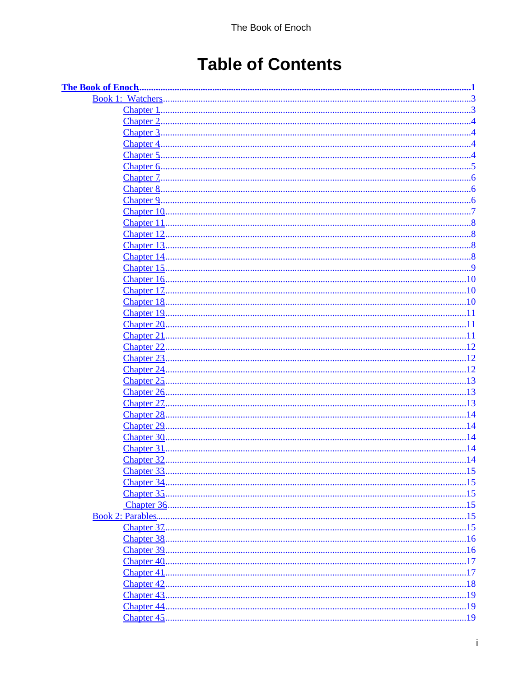# **Table of Contents**

| <b>Book 1: Watchers.</b>               |           |
|----------------------------------------|-----------|
| <b>Chapter 1</b>                       |           |
| <b>Chapter 2</b>                       |           |
| Chapter 3                              |           |
| Chapter 4                              |           |
| Chapter 5                              |           |
| <b>Chapter 6</b>                       |           |
| Chapter 7.                             |           |
| Chapter 8.                             | .6        |
| Chapter 9.                             | 6         |
| Chapter 10.                            |           |
| Chapter 11                             | 8         |
| Chapter 12                             |           |
| Chapter 13                             |           |
| Chapter 14                             | 8         |
| Chapter 15                             | .9        |
| Chapter 16                             | .10       |
| Chapter 17.                            | .10       |
| Chapter 18                             |           |
| Chapter 19.                            |           |
| Chapter 20                             | 11        |
| <b>Chapter 21</b>                      | .11       |
| <b>Chapter 22</b>                      | .12       |
| Chapter 23                             | .12       |
| <b>Chapter 24</b><br><b>Chapter 25</b> | 12<br>.13 |
| <b>Chapter 26</b>                      | .13       |
| Chapter 27.                            | .13       |
| Chapter 28                             | . 14      |
| Chapter 29                             |           |
| <b>Chapter 30</b>                      | . 14      |
| <b>Chapter 31</b>                      | .14       |
| <b>Chapter 32</b>                      | .14       |
|                                        |           |
|                                        |           |
|                                        |           |
|                                        |           |
|                                        |           |
|                                        |           |
|                                        |           |
|                                        |           |
| Chapter 40.                            | .17       |
| Chapter 41.                            | .17       |
| Chapter 42.                            |           |
|                                        |           |
| Chapter 44.                            |           |
| Chapter 45.                            |           |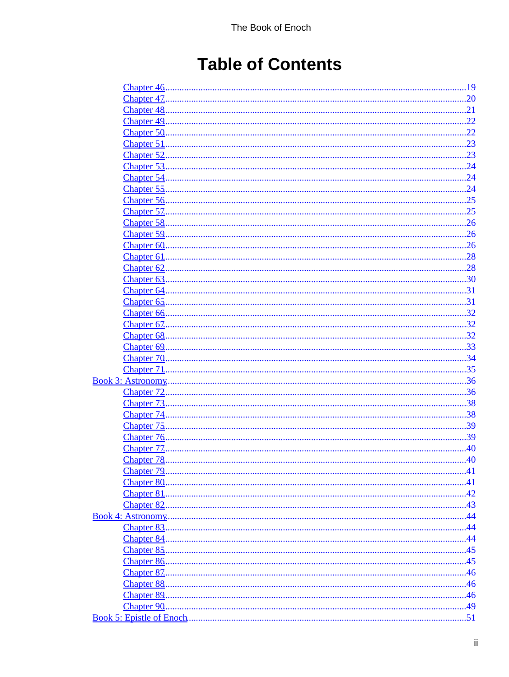# **Table of Contents**

| Chapter 46                | .19  |
|---------------------------|------|
| Chapter 47.               | .20  |
| <b>Chapter 48</b>         | .21  |
| <b>Chapter 49</b>         | .22  |
| Chapter 50                | .22  |
| Chapter 51                | .23  |
| <b>Chapter 52</b>         | .23  |
| Chapter 53                | .24  |
| Chapter 54                | .24  |
| Chapter 55.               | .24  |
| Chapter 56                | .25  |
| Chapter 57.               | .25  |
| <b>Chapter 58</b>         | .26  |
| Chapter 59                | .26  |
| Chapter <sub>60</sub>     | 26   |
|                           |      |
| Chapter 61                | .28  |
| Chapter <sub>62</sub>     | .28  |
| Chapter <sub>63</sub>     | .30  |
| Chapter <sub>64</sub>     | .31  |
| Chapter 65                | .31  |
| Chapter <sub>66</sub>     | .32  |
| Chapter 67.               | .32  |
| <b>Chapter 68</b>         | .32  |
| Chapter <sub>69</sub>     | .33  |
| Chapter 70                | 34   |
| <b>Chapter 71</b>         | .35  |
| <b>Book 3: Astronomy.</b> | .36  |
| <b>Chapter 72</b>         | .36  |
| Chapter 73                | .38  |
| Chapter 74                | 38   |
| Chapter 75                | 39   |
| <b>Chapter 76</b>         | .39  |
| Chapter 77.               | .40  |
|                           |      |
| Chapter 79.               | .41  |
|                           | .41  |
| Chapter 81                | 42   |
| Chapter 82.               |      |
|                           | . 44 |
|                           |      |
|                           |      |
| Chapter 85.               |      |
| Chapter 86.               |      |
| Chapter 87.               |      |
|                           |      |
|                           |      |
| Chapter 89.               |      |
| Chapter 90.               | .49  |
|                           |      |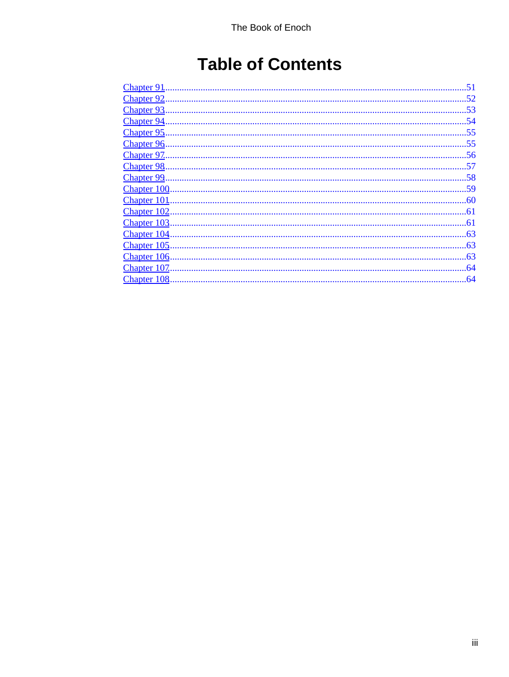# **Table of Contents**

| Chapter 91.         |     |
|---------------------|-----|
| <b>Chapter 92</b>   | .52 |
| <b>Chapter 93</b>   | .53 |
| <b>Chapter 94</b>   | -54 |
| <b>Chapter 95.</b>  | .55 |
| <b>Chapter 96</b>   | .55 |
| <b>Chapter 97.</b>  | .56 |
| <b>Chapter 98</b>   | -57 |
| Chapter 99.         |     |
| Chapter 100         |     |
| Chapter 101         |     |
| Chapter 102         | .61 |
| Chapter 103         | .61 |
| Chapter 104         | 63  |
| Chapter 105         | .63 |
| Chapter 106         | .63 |
| <b>Chapter 107.</b> | .64 |
| <b>Chapter 108</b>  | .64 |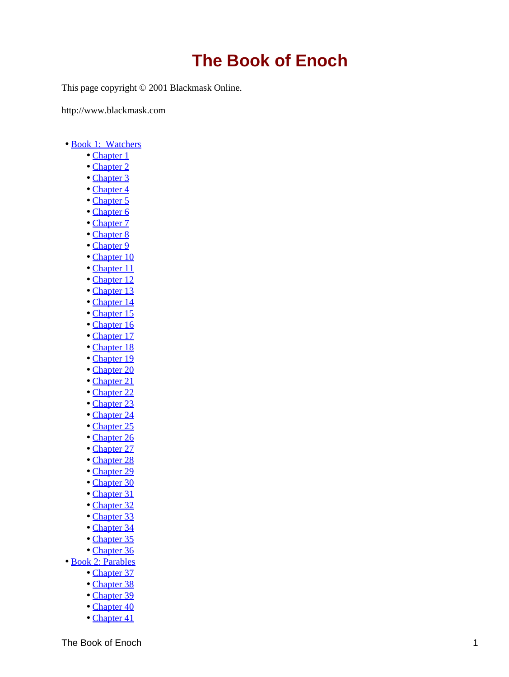<span id="page-4-0"></span>This page copyright © 2001 Blackmask Online.

http://www.blackmask.com

- [Book 1: Watchers](#page-6-0)
	- [Chapter 1](#page-6-0)
	- [Chapter 2](#page-7-0)
	- [Chapter 3](#page-7-0)
	- [Chapter 4](#page-7-0)
	- [Chapter 5](#page-7-0)
	- [Chapter 6](#page-8-0)
	- [Chapter 7](#page-9-0)
	- [Chapter 8](#page-9-0)
	- [Chapter 9](#page-9-0)
	- [Chapter 10](#page-10-0)
	- [Chapter 11](#page-11-0)
	- [Chapter 12](#page-11-0)
	- [Chapter 13](#page-11-0) • [Chapter 14](#page-11-0)
	- [Chapter 15](#page-12-0)
	- [Chapter 16](#page-13-0)
	- [Chapter 17](#page-13-0)
	- [Chapter 18](#page-13-0)
	- [Chapter 19](#page-14-0)
	- [Chapter 20](#page-14-0)
	- [Chapter 21](#page-14-0)
	- [Chapter 22](#page-15-0)
	- [Chapter 23](#page-15-0)
	- [Chapter 24](#page-15-0)
	- [Chapter 25](#page-16-0)
	- [Chapter 26](#page-16-0)
	- [Chapter 27](#page-16-0)
	- [Chapter 28](#page-17-0)
	- [Chapter 29](#page-17-0)
	- [Chapter 30](#page-17-0)
	- [Chapter 31](#page-17-0)
	- [Chapter 32](#page-17-0)
	- [Chapter 33](#page-18-0)
	- [Chapter 34](#page-18-0)
	- [Chapter 35](#page-18-0)
	- [Chapter 36](#page-18-0)
- [Book 2: Parables](#page-18-0)
	- [Chapter 37](#page-18-0)
	- [Chapter 38](#page-19-0) • [Chapter 39](#page-19-0)
	- [Chapter 40](#page-20-0)
	- [Chapter 41](#page-20-0)
- The Book of Enoch 100 and 200 and 200 and 200 and 200 and 200 and 200 and 200 and 200 and 200 and 200 and 200 and 200 and 200 and 200 and 200 and 200 and 200 and 200 and 200 and 200 and 200 and 200 and 200 and 200 and 200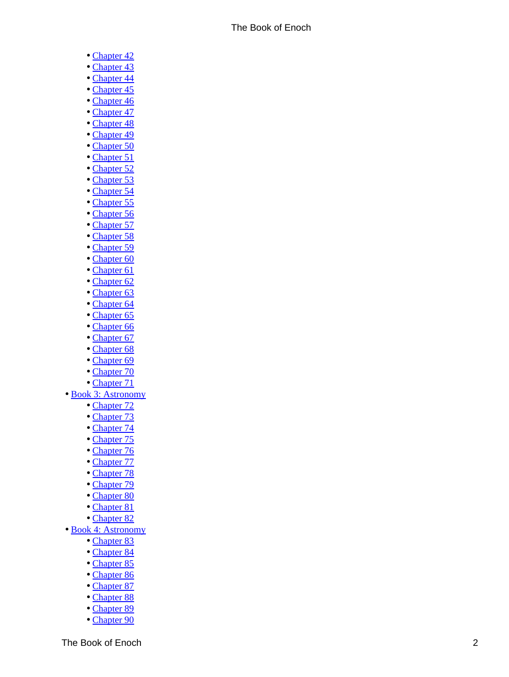- [Chapter 42](#page-21-0)
- [Chapter 43](#page-22-0)
- [Chapter 44](#page-22-0)
- [Chapter 45](#page-22-0)
- [Chapter 46](#page-22-0)
- [Chapter 47](#page-23-0)
- [Chapter 48](#page-24-0)
- [Chapter 49](#page-25-0) • [Chapter 50](#page-25-0)
- [Chapter 51](#page-26-0)
- [Chapter 52](#page-26-0)
- [Chapter 53](#page-27-0)
- [Chapter 54](#page-27-0)
- [Chapter 55](#page-27-0)
- [Chapter 56](#page-28-0)
- [Chapter 57](#page-28-0)
- [Chapter 58](#page-29-0)
- [Chapter 59](#page-29-0)
- [Chapter 60](#page-29-0)
- [Chapter 61](#page-31-0)
- [Chapter 62](#page-31-0)
- [Chapter 63](#page-33-0)
- [Chapter 64](#page-34-0)
- [Chapter 65](#page-34-0)
- [Chapter 66](#page-35-0)
- [Chapter 67](#page-35-0)
- [Chapter 68](#page-35-0)
- [Chapter 69](#page-36-0)
- [Chapter 70](#page-37-0) • [Chapter 71](#page-38-0)
- [Book 3: Astronomy](#page-39-0)
	- [Chapter 72](#page-39-0)
	- [Chapter 73](#page-41-0)
	- [Chapter 74](#page-41-0)
	- [Chapter 75](#page-42-0)
	- [Chapter 76](#page-42-0)
	- [Chapter 77](#page-43-0)
	- [Chapter 78](#page-43-0)
	- [Chapter 79](#page-44-0)
	- [Chapter 80](#page-44-0)
	- [Chapter 81](#page-45-0)
	- [Chapter 82](#page-46-0)
- [Book 4: Astronomy](#page-47-0)
	- [Chapter 83](#page-47-0)
	- [Chapter 84](#page-47-0)
	- [Chapter 85](#page-48-0)
	- [Chapter 86](#page-48-0)
	- [Chapter 87](#page-49-0)
	- [Chapter 88](#page-49-0)
	- [Chapter 89](#page-49-0)
	- [Chapter 90](#page-52-0)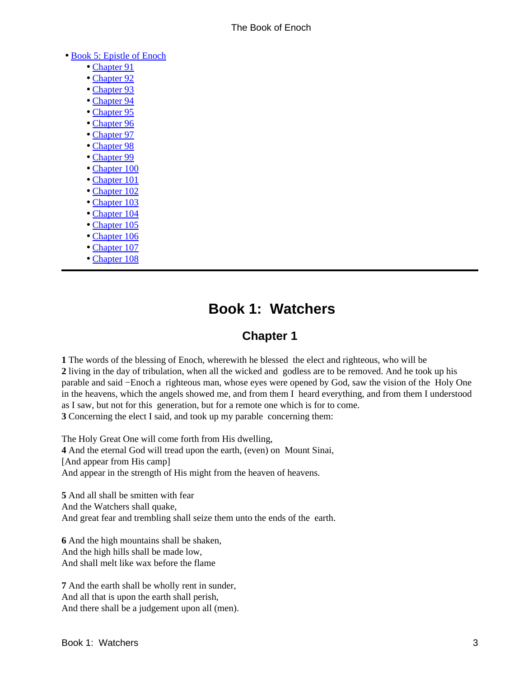#### <span id="page-6-0"></span>• [Book 5: Epistle of Enoch](#page-54-0)

- [Chapter 91](#page-54-0)
- [Chapter 92](#page-55-0)
- [Chapter 93](#page-56-0)
- [Chapter 94](#page-57-0)
- [Chapter 95](#page-58-0)
- [Chapter 96](#page-58-0)
- [Chapter 97](#page-59-0)
- [Chapter 98](#page-60-0)
- [Chapter 99](#page-61-0)
- [Chapter 100](#page-62-0)
- [Chapter 101](#page-63-0)
- [Chapter 102](#page-64-0)
- [Chapter 103](#page-64-0)
- [Chapter 104](#page-66-0)
- [Chapter 105](#page-66-0)
- [Chapter 106](#page-66-0)
- [Chapter 107](#page-67-0)
- [Chapter 108](#page-67-0)

## **Book 1: Watchers**

### **Chapter 1**

**1** The words of the blessing of Enoch, wherewith he blessed the elect and righteous, who will be **2** living in the day of tribulation, when all the wicked and godless are to be removed. And he took up his parable and said −Enoch a righteous man, whose eyes were opened by God, saw the vision of the Holy One in the heavens, which the angels showed me, and from them I heard everything, and from them I understood as I saw, but not for this generation, but for a remote one which is for to come. **3** Concerning the elect I said, and took up my parable concerning them:

The Holy Great One will come forth from His dwelling, **4** And the eternal God will tread upon the earth, (even) on Mount Sinai, [And appear from His camp] And appear in the strength of His might from the heaven of heavens.

**5** And all shall be smitten with fear And the Watchers shall quake, And great fear and trembling shall seize them unto the ends of the earth.

**6** And the high mountains shall be shaken, And the high hills shall be made low, And shall melt like wax before the flame

**7** And the earth shall be wholly rent in sunder, And all that is upon the earth shall perish, And there shall be a judgement upon all (men).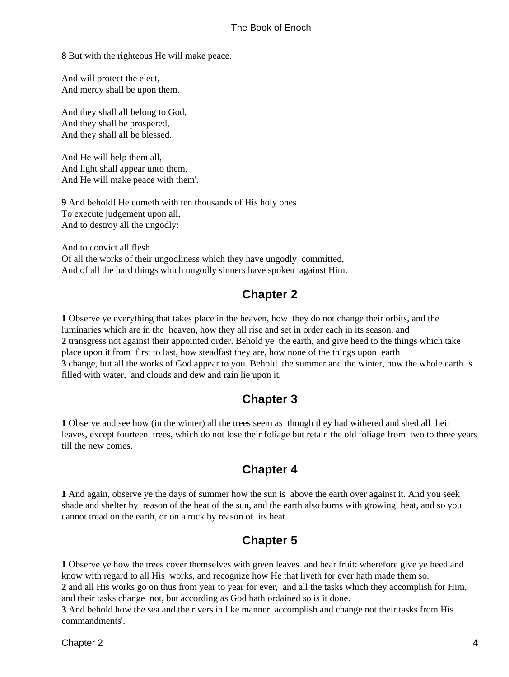<span id="page-7-0"></span>**8** But with the righteous He will make peace.

And will protect the elect, And mercy shall be upon them.

And they shall all belong to God, And they shall be prospered, And they shall all be blessed.

And He will help them all, And light shall appear unto them, And He will make peace with them'.

**9** And behold! He cometh with ten thousands of His holy ones To execute judgement upon all, And to destroy all the ungodly:

And to convict all flesh Of all the works of their ungodliness which they have ungodly committed, And of all the hard things which ungodly sinners have spoken against Him.

### **Chapter 2**

**1** Observe ye everything that takes place in the heaven, how they do not change their orbits, and the luminaries which are in the heaven, how they all rise and set in order each in its season, and **2** transgress not against their appointed order. Behold ye the earth, and give heed to the things which take place upon it from first to last, how steadfast they are, how none of the things upon earth **3** change, but all the works of God appear to you. Behold the summer and the winter, how the whole earth is filled with water, and clouds and dew and rain lie upon it.

### **Chapter 3**

**1** Observe and see how (in the winter) all the trees seem as though they had withered and shed all their leaves, except fourteen trees, which do not lose their foliage but retain the old foliage from two to three years till the new comes.

### **Chapter 4**

**1** And again, observe ye the days of summer how the sun is above the earth over against it. And you seek shade and shelter by reason of the heat of the sun, and the earth also burns with growing heat, and so you cannot tread on the earth, or on a rock by reason of its heat.

### **Chapter 5**

**1** Observe ye how the trees cover themselves with green leaves and bear fruit: wherefore give ye heed and know with regard to all His works, and recognize how He that liveth for ever hath made them so. **2** and all His works go on thus from year to year for ever, and all the tasks which they accomplish for Him, and their tasks change not, but according as God hath ordained so is it done.

**3** And behold how the sea and the rivers in like manner accomplish and change not their tasks from His commandments'.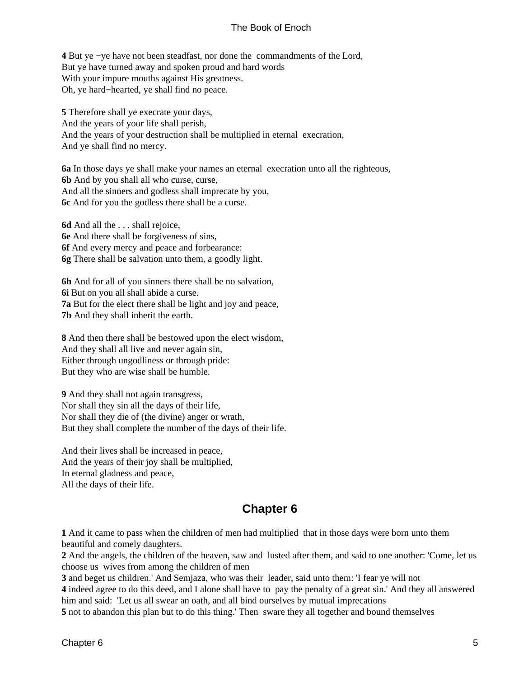<span id="page-8-0"></span>**4** But ye −ye have not been steadfast, nor done the commandments of the Lord, But ye have turned away and spoken proud and hard words With your impure mouths against His greatness. Oh, ye hard−hearted, ye shall find no peace.

**5** Therefore shall ye execrate your days, And the years of your life shall perish, And the years of your destruction shall be multiplied in eternal execration, And ye shall find no mercy.

**6a** In those days ye shall make your names an eternal execration unto all the righteous, **6b** And by you shall all who curse, curse, And all the sinners and godless shall imprecate by you, **6c** And for you the godless there shall be a curse.

**6d** And all the . . . shall rejoice, **6e** And there shall be forgiveness of sins, **6f** And every mercy and peace and forbearance: **6g** There shall be salvation unto them, a goodly light.

**6h** And for all of you sinners there shall be no salvation, **6i** But on you all shall abide a curse. **7a** But for the elect there shall be light and joy and peace, **7b** And they shall inherit the earth.

**8** And then there shall be bestowed upon the elect wisdom, And they shall all live and never again sin, Either through ungodliness or through pride: But they who are wise shall be humble.

**9** And they shall not again transgress, Nor shall they sin all the days of their life, Nor shall they die of (the divine) anger or wrath, But they shall complete the number of the days of their life.

And their lives shall be increased in peace, And the years of their joy shall be multiplied, In eternal gladness and peace, All the days of their life.

#### **Chapter 6**

**1** And it came to pass when the children of men had multiplied that in those days were born unto them beautiful and comely daughters.

**2** And the angels, the children of the heaven, saw and lusted after them, and said to one another: 'Come, let us choose us wives from among the children of men

**3** and beget us children.' And Semjaza, who was their leader, said unto them: 'I fear ye will not

**4** indeed agree to do this deed, and I alone shall have to pay the penalty of a great sin.' And they all answered him and said: 'Let us all swear an oath, and all bind ourselves by mutual imprecations

**5** not to abandon this plan but to do this thing.' Then sware they all together and bound themselves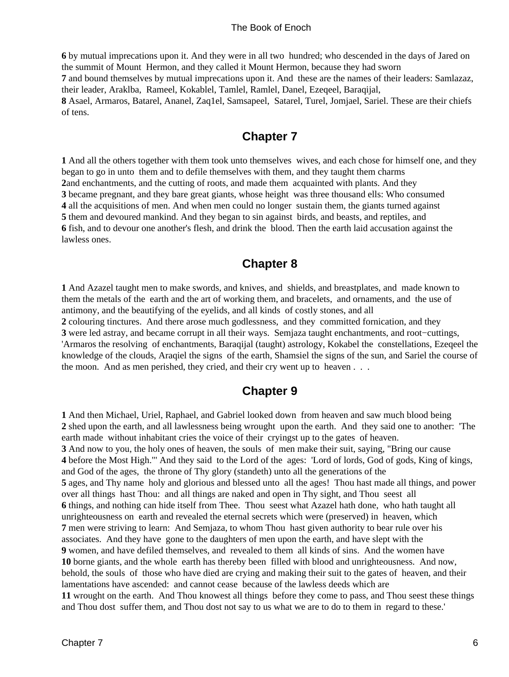<span id="page-9-0"></span>**6** by mutual imprecations upon it. And they were in all two hundred; who descended in the days of Jared on the summit of Mount Hermon, and they called it Mount Hermon, because they had sworn **7** and bound themselves by mutual imprecations upon it. And these are the names of their leaders: Samlazaz, their leader, Araklba, Rameel, Kokablel, Tamlel, Ramlel, Danel, Ezeqeel, Baraqijal, **8** Asael, Armaros, Batarel, Ananel, Zaq1el, Samsapeel, Satarel, Turel, Jomjael, Sariel. These are their chiefs of tens.

### **Chapter 7**

 And all the others together with them took unto themselves wives, and each chose for himself one, and they began to go in unto them and to defile themselves with them, and they taught them charms and enchantments, and the cutting of roots, and made them acquainted with plants. And they became pregnant, and they bare great giants, whose height was three thousand ells: Who consumed all the acquisitions of men. And when men could no longer sustain them, the giants turned against them and devoured mankind. And they began to sin against birds, and beasts, and reptiles, and fish, and to devour one another's flesh, and drink the blood. Then the earth laid accusation against the lawless ones.

### **Chapter 8**

**1** And Azazel taught men to make swords, and knives, and shields, and breastplates, and made known to them the metals of the earth and the art of working them, and bracelets, and ornaments, and the use of antimony, and the beautifying of the eyelids, and all kinds of costly stones, and all **2** colouring tinctures. And there arose much godlessness, and they committed fornication, and they **3** were led astray, and became corrupt in all their ways. Semjaza taught enchantments, and root−cuttings, 'Armaros the resolving of enchantments, Baraqijal (taught) astrology, Kokabel the constellations, Ezeqeel the knowledge of the clouds, Araqiel the signs of the earth, Shamsiel the signs of the sun, and Sariel the course of the moon. And as men perished, they cried, and their cry went up to heaven . . .

### **Chapter 9**

**1** And then Michael, Uriel, Raphael, and Gabriel looked down from heaven and saw much blood being **2** shed upon the earth, and all lawlessness being wrought upon the earth. And they said one to another: 'The earth made without inhabitant cries the voice of their cryingst up to the gates of heaven. **3** And now to you, the holy ones of heaven, the souls of men make their suit, saying, "Bring our cause **4** before the Most High."' And they said to the Lord of the ages: 'Lord of lords, God of gods, King of kings, and God of the ages, the throne of Thy glory (standeth) unto all the generations of the **5** ages, and Thy name holy and glorious and blessed unto all the ages! Thou hast made all things, and power over all things hast Thou: and all things are naked and open in Thy sight, and Thou seest all **6** things, and nothing can hide itself from Thee. Thou seest what Azazel hath done, who hath taught all unrighteousness on earth and revealed the eternal secrets which were (preserved) in heaven, which **7** men were striving to learn: And Semjaza, to whom Thou hast given authority to bear rule over his associates. And they have gone to the daughters of men upon the earth, and have slept with the **9** women, and have defiled themselves, and revealed to them all kinds of sins. And the women have **10** borne giants, and the whole earth has thereby been filled with blood and unrighteousness. And now, behold, the souls of those who have died are crying and making their suit to the gates of heaven, and their lamentations have ascended: and cannot cease because of the lawless deeds which are **11** wrought on the earth. And Thou knowest all things before they come to pass, and Thou seest these things and Thou dost suffer them, and Thou dost not say to us what we are to do to them in regard to these.'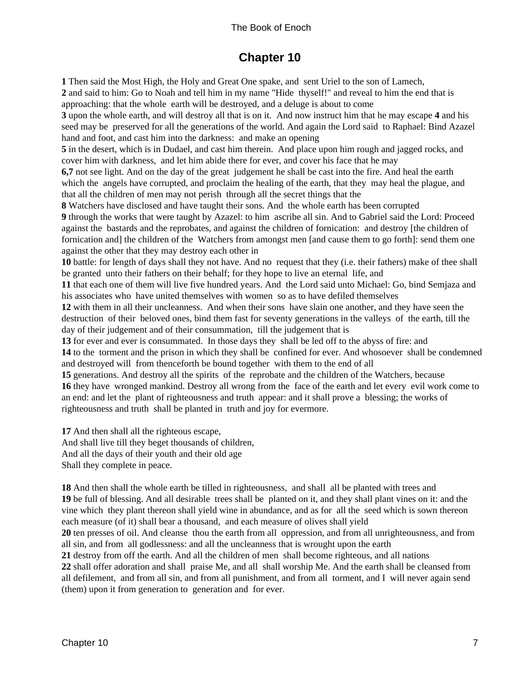### **Chapter 10**

<span id="page-10-0"></span>**1** Then said the Most High, the Holy and Great One spake, and sent Uriel to the son of Lamech,

**2** and said to him: Go to Noah and tell him in my name "Hide thyself!" and reveal to him the end that is approaching: that the whole earth will be destroyed, and a deluge is about to come

**3** upon the whole earth, and will destroy all that is on it. And now instruct him that he may escape **4** and his seed may be preserved for all the generations of the world. And again the Lord said to Raphael: Bind Azazel hand and foot, and cast him into the darkness: and make an opening

**5** in the desert, which is in Dudael, and cast him therein. And place upon him rough and jagged rocks, and cover him with darkness, and let him abide there for ever, and cover his face that he may

**6,7** not see light. And on the day of the great judgement he shall be cast into the fire. And heal the earth which the angels have corrupted, and proclaim the healing of the earth, that they may heal the plague, and that all the children of men may not perish through all the secret things that the

**8** Watchers have disclosed and have taught their sons. And the whole earth has been corrupted

**9** through the works that were taught by Azazel: to him ascribe all sin. And to Gabriel said the Lord: Proceed against the bastards and the reprobates, and against the children of fornication: and destroy [the children of fornication and] the children of the Watchers from amongst men [and cause them to go forth]: send them one against the other that they may destroy each other in

**10** battle: for length of days shall they not have. And no request that they (i.e. their fathers) make of thee shall be granted unto their fathers on their behalf; for they hope to live an eternal life, and

**11** that each one of them will live five hundred years. And the Lord said unto Michael: Go, bind Semjaza and his associates who have united themselves with women so as to have defiled themselves

**12** with them in all their uncleanness. And when their sons have slain one another, and they have seen the destruction of their beloved ones, bind them fast for seventy generations in the valleys of the earth, till the day of their judgement and of their consummation, till the judgement that is

**13** for ever and ever is consummated. In those days they shall be led off to the abyss of fire: and

**14** to the torment and the prison in which they shall be confined for ever. And whosoever shall be condemned and destroyed will from thenceforth be bound together with them to the end of all

**15** generations. And destroy all the spirits of the reprobate and the children of the Watchers, because **16** they have wronged mankind. Destroy all wrong from the face of the earth and let every evil work come to an end: and let the plant of righteousness and truth appear: and it shall prove a blessing; the works of righteousness and truth shall be planted in truth and joy for evermore.

**17** And then shall all the righteous escape, And shall live till they beget thousands of children, And all the days of their youth and their old age Shall they complete in peace.

**18** And then shall the whole earth be tilled in righteousness, and shall all be planted with trees and **19** be full of blessing. And all desirable trees shall be planted on it, and they shall plant vines on it: and the vine which they plant thereon shall yield wine in abundance, and as for all the seed which is sown thereon each measure (of it) shall bear a thousand, and each measure of olives shall yield

**20** ten presses of oil. And cleanse thou the earth from all oppression, and from all unrighteousness, and from all sin, and from all godlessness: and all the uncleanness that is wrought upon the earth

**21** destroy from off the earth. And all the children of men shall become righteous, and all nations

**22** shall offer adoration and shall praise Me, and all shall worship Me. And the earth shall be cleansed from all defilement, and from all sin, and from all punishment, and from all torment, and I will never again send (them) upon it from generation to generation and for ever.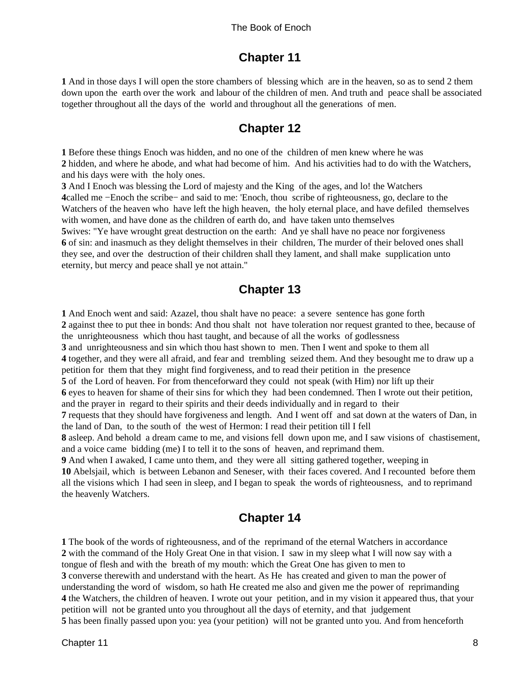### **Chapter 11**

<span id="page-11-0"></span>**1** And in those days I will open the store chambers of blessing which are in the heaven, so as to send 2 them down upon the earth over the work and labour of the children of men. And truth and peace shall be associated together throughout all the days of the world and throughout all the generations of men.

### **Chapter 12**

**1** Before these things Enoch was hidden, and no one of the children of men knew where he was **2** hidden, and where he abode, and what had become of him. And his activities had to do with the Watchers, and his days were with the holy ones.

**3** And I Enoch was blessing the Lord of majesty and the King of the ages, and lo! the Watchers **4**called me −Enoch the scribe− and said to me: 'Enoch, thou scribe of righteousness, go, declare to the Watchers of the heaven who have left the high heaven, the holy eternal place, and have defiled themselves with women, and have done as the children of earth do, and have taken unto themselves **5**wives: "Ye have wrought great destruction on the earth: And ye shall have no peace nor forgiveness **6** of sin: and inasmuch as they delight themselves in their children, The murder of their beloved ones shall they see, and over the destruction of their children shall they lament, and shall make supplication unto eternity, but mercy and peace shall ye not attain."

### **Chapter 13**

 And Enoch went and said: Azazel, thou shalt have no peace: a severe sentence has gone forth against thee to put thee in bonds: And thou shalt not have toleration nor request granted to thee, because of the unrighteousness which thou hast taught, and because of all the works of godlessness and unrighteousness and sin which thou hast shown to men. Then I went and spoke to them all together, and they were all afraid, and fear and trembling seized them. And they besought me to draw up a petition for them that they might find forgiveness, and to read their petition in the presence of the Lord of heaven. For from thenceforward they could not speak (with Him) nor lift up their eyes to heaven for shame of their sins for which they had been condemned. Then I wrote out their petition, and the prayer in regard to their spirits and their deeds individually and in regard to their requests that they should have forgiveness and length. And I went off and sat down at the waters of Dan, in the land of Dan, to the south of the west of Hermon: I read their petition till I fell asleep. And behold a dream came to me, and visions fell down upon me, and I saw visions of chastisement, and a voice came bidding (me) I to tell it to the sons of heaven, and reprimand them. And when I awaked, I came unto them, and they were all sitting gathered together, weeping in Abelsjail, which is between Lebanon and Seneser, with their faces covered. And I recounted before them all the visions which I had seen in sleep, and I began to speak the words of righteousness, and to reprimand

### **Chapter 14**

 The book of the words of righteousness, and of the reprimand of the eternal Watchers in accordance with the command of the Holy Great One in that vision. I saw in my sleep what I will now say with a tongue of flesh and with the breath of my mouth: which the Great One has given to men to converse therewith and understand with the heart. As He has created and given to man the power of understanding the word of wisdom, so hath He created me also and given me the power of reprimanding the Watchers, the children of heaven. I wrote out your petition, and in my vision it appeared thus, that your petition will not be granted unto you throughout all the days of eternity, and that judgement has been finally passed upon you: yea (your petition) will not be granted unto you. And from henceforth

the heavenly Watchers.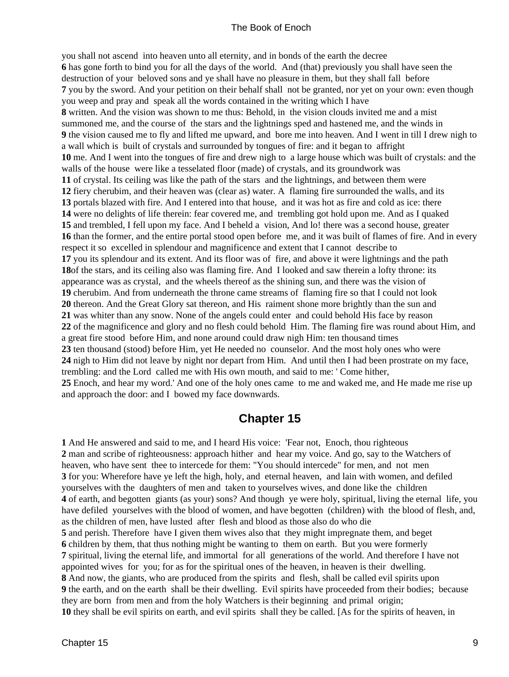<span id="page-12-0"></span>you shall not ascend into heaven unto all eternity, and in bonds of the earth the decree has gone forth to bind you for all the days of the world. And (that) previously you shall have seen the destruction of your beloved sons and ye shall have no pleasure in them, but they shall fall before you by the sword. And your petition on their behalf shall not be granted, nor yet on your own: even though you weep and pray and speak all the words contained in the writing which I have written. And the vision was shown to me thus: Behold, in the vision clouds invited me and a mist summoned me, and the course of the stars and the lightnings sped and hastened me, and the winds in the vision caused me to fly and lifted me upward, and bore me into heaven. And I went in till I drew nigh to a wall which is built of crystals and surrounded by tongues of fire: and it began to affright me. And I went into the tongues of fire and drew nigh to a large house which was built of crystals: and the walls of the house were like a tesselated floor (made) of crystals, and its groundwork was of crystal. Its ceiling was like the path of the stars and the lightnings, and between them were fiery cherubim, and their heaven was (clear as) water. A flaming fire surrounded the walls, and its portals blazed with fire. And I entered into that house, and it was hot as fire and cold as ice: there were no delights of life therein: fear covered me, and trembling got hold upon me. And as I quaked and trembled, I fell upon my face. And I beheld a vision, And lo! there was a second house, greater than the former, and the entire portal stood open before me, and it was built of flames of fire. And in every respect it so excelled in splendour and magnificence and extent that I cannot describe to you its splendour and its extent. And its floor was of fire, and above it were lightnings and the path of the stars, and its ceiling also was flaming fire. And I looked and saw therein a lofty throne: its appearance was as crystal, and the wheels thereof as the shining sun, and there was the vision of cherubim. And from underneath the throne came streams of flaming fire so that I could not look thereon. And the Great Glory sat thereon, and His raiment shone more brightly than the sun and was whiter than any snow. None of the angels could enter and could behold His face by reason of the magnificence and glory and no flesh could behold Him. The flaming fire was round about Him, and a great fire stood before Him, and none around could draw nigh Him: ten thousand times ten thousand (stood) before Him, yet He needed no counselor. And the most holy ones who were nigh to Him did not leave by night nor depart from Him. And until then I had been prostrate on my face, trembling: and the Lord called me with His own mouth, and said to me: ' Come hither, Enoch, and hear my word.' And one of the holy ones came to me and waked me, and He made me rise up and approach the door: and I bowed my face downwards.

#### **Chapter 15**

 And He answered and said to me, and I heard His voice: 'Fear not, Enoch, thou righteous man and scribe of righteousness: approach hither and hear my voice. And go, say to the Watchers of heaven, who have sent thee to intercede for them: "You should intercede" for men, and not men for you: Wherefore have ye left the high, holy, and eternal heaven, and lain with women, and defiled yourselves with the daughters of men and taken to yourselves wives, and done like the children of earth, and begotten giants (as your) sons? And though ye were holy, spiritual, living the eternal life, you have defiled yourselves with the blood of women, and have begotten (children) with the blood of flesh, and, as the children of men, have lusted after flesh and blood as those also do who die and perish. Therefore have I given them wives also that they might impregnate them, and beget children by them, that thus nothing might be wanting to them on earth. But you were formerly spiritual, living the eternal life, and immortal for all generations of the world. And therefore I have not appointed wives for you; for as for the spiritual ones of the heaven, in heaven is their dwelling. And now, the giants, who are produced from the spirits and flesh, shall be called evil spirits upon the earth, and on the earth shall be their dwelling. Evil spirits have proceeded from their bodies; because they are born from men and from the holy Watchers is their beginning and primal origin; they shall be evil spirits on earth, and evil spirits shall they be called. [As for the spirits of heaven, in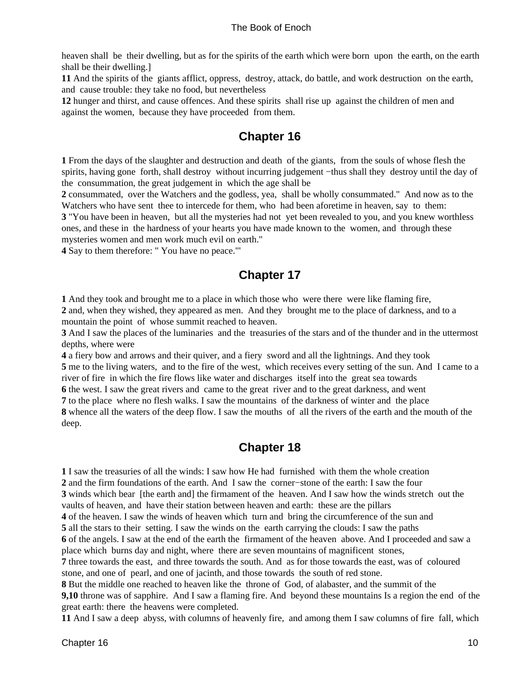<span id="page-13-0"></span>heaven shall be their dwelling, but as for the spirits of the earth which were born upon the earth, on the earth shall be their dwelling.]

**11** And the spirits of the giants afflict, oppress, destroy, attack, do battle, and work destruction on the earth, and cause trouble: they take no food, but nevertheless

**12** hunger and thirst, and cause offences. And these spirits shall rise up against the children of men and against the women, because they have proceeded from them.

### **Chapter 16**

**1** From the days of the slaughter and destruction and death of the giants, from the souls of whose flesh the spirits, having gone forth, shall destroy without incurring judgement −thus shall they destroy until the day of the consummation, the great judgement in which the age shall be

**2** consummated, over the Watchers and the godless, yea, shall be wholly consummated." And now as to the Watchers who have sent thee to intercede for them, who had been aforetime in heaven, say to them:

**3** "You have been in heaven, but all the mysteries had not yet been revealed to you, and you knew worthless ones, and these in the hardness of your hearts you have made known to the women, and through these mysteries women and men work much evil on earth."

**4** Say to them therefore: " You have no peace."'

### **Chapter 17**

**1** And they took and brought me to a place in which those who were there were like flaming fire, **2** and, when they wished, they appeared as men. And they brought me to the place of darkness, and to a mountain the point of whose summit reached to heaven.

**3** And I saw the places of the luminaries and the treasuries of the stars and of the thunder and in the uttermost depths, where were

**4** a fiery bow and arrows and their quiver, and a fiery sword and all the lightnings. And they took **5** me to the living waters, and to the fire of the west, which receives every setting of the sun. And I came to a river of fire in which the fire flows like water and discharges itself into the great sea towards

**6** the west. I saw the great rivers and came to the great river and to the great darkness, and went

**7** to the place where no flesh walks. I saw the mountains of the darkness of winter and the place **8** whence all the waters of the deep flow. I saw the mouths of all the rivers of the earth and the mouth of the deep.

### **Chapter 18**

**1** I saw the treasuries of all the winds: I saw how He had furnished with them the whole creation **2** and the firm foundations of the earth. And I saw the corner−stone of the earth: I saw the four

**3** winds which bear [the earth and] the firmament of the heaven. And I saw how the winds stretch out the vaults of heaven, and have their station between heaven and earth: these are the pillars

**4** of the heaven. I saw the winds of heaven which turn and bring the circumference of the sun and

**5** all the stars to their setting. I saw the winds on the earth carrying the clouds: I saw the paths

**6** of the angels. I saw at the end of the earth the firmament of the heaven above. And I proceeded and saw a place which burns day and night, where there are seven mountains of magnificent stones,

**7** three towards the east, and three towards the south. And as for those towards the east, was of coloured stone, and one of pearl, and one of jacinth, and those towards the south of red stone.

**8** But the middle one reached to heaven like the throne of God, of alabaster, and the summit of the **9,10** throne was of sapphire. And I saw a flaming fire. And beyond these mountains Is a region the end of the great earth: there the heavens were completed.

**11** And I saw a deep abyss, with columns of heavenly fire, and among them I saw columns of fire fall, which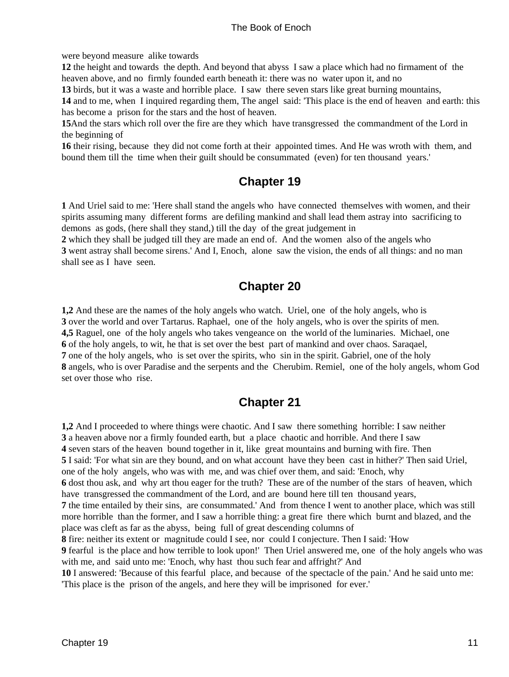<span id="page-14-0"></span>were beyond measure alike towards

**12** the height and towards the depth. And beyond that abyss I saw a place which had no firmament of the heaven above, and no firmly founded earth beneath it: there was no water upon it, and no

**13** birds, but it was a waste and horrible place. I saw there seven stars like great burning mountains,

**14** and to me, when I inquired regarding them, The angel said: 'This place is the end of heaven and earth: this has become a prison for the stars and the host of heaven.

**15**And the stars which roll over the fire are they which have transgressed the commandment of the Lord in the beginning of

**16** their rising, because they did not come forth at their appointed times. And He was wroth with them, and bound them till the time when their guilt should be consummated (even) for ten thousand years.'

### **Chapter 19**

**1** And Uriel said to me: 'Here shall stand the angels who have connected themselves with women, and their spirits assuming many different forms are defiling mankind and shall lead them astray into sacrificing to demons as gods, (here shall they stand,) till the day of the great judgement in

**2** which they shall be judged till they are made an end of. And the women also of the angels who **3** went astray shall become sirens.' And I, Enoch, alone saw the vision, the ends of all things: and no man shall see as I have seen.

### **Chapter 20**

**1,2** And these are the names of the holy angels who watch. Uriel, one of the holy angels, who is **3** over the world and over Tartarus. Raphael, one of the holy angels, who is over the spirits of men. **4,5** Raguel, one of the holy angels who takes vengeance on the world of the luminaries. Michael, one **6** of the holy angels, to wit, he that is set over the best part of mankind and over chaos. Saraqael, **7** one of the holy angels, who is set over the spirits, who sin in the spirit. Gabriel, one of the holy **8** angels, who is over Paradise and the serpents and the Cherubim. Remiel, one of the holy angels, whom God set over those who rise.

### **Chapter 21**

**1,2** And I proceeded to where things were chaotic. And I saw there something horrible: I saw neither **3** a heaven above nor a firmly founded earth, but a place chaotic and horrible. And there I saw **4** seven stars of the heaven bound together in it, like great mountains and burning with fire. Then **5** I said: 'For what sin are they bound, and on what account have they been cast in hither?' Then said Uriel, one of the holy angels, who was with me, and was chief over them, and said: 'Enoch, why **6** dost thou ask, and why art thou eager for the truth? These are of the number of the stars of heaven, which have transgressed the commandment of the Lord, and are bound here till ten thousand years, **7** the time entailed by their sins, are consummated.' And from thence I went to another place, which was still more horrible than the former, and I saw a horrible thing: a great fire there which burnt and blazed, and the place was cleft as far as the abyss, being full of great descending columns of **8** fire: neither its extent or magnitude could I see, nor could I conjecture. Then I said: 'How

**9** fearful is the place and how terrible to look upon!' Then Uriel answered me, one of the holy angels who was

with me, and said unto me: 'Enoch, why hast thou such fear and affright?' And

**10** I answered: 'Because of this fearful place, and because of the spectacle of the pain.' And he said unto me: 'This place is the prison of the angels, and here they will be imprisoned for ever.'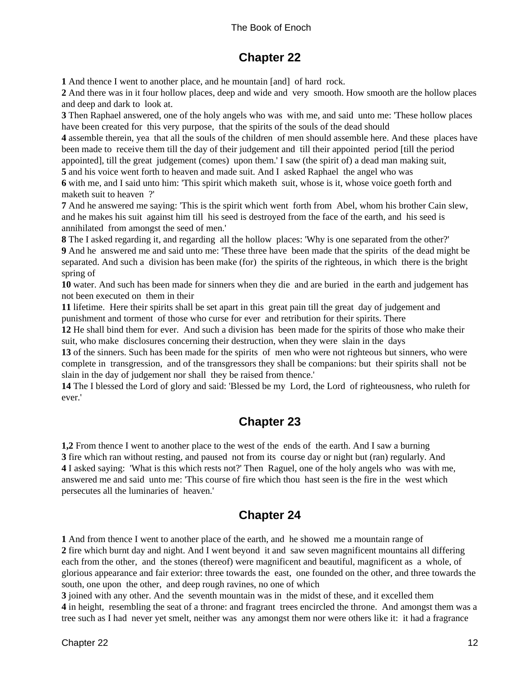### **Chapter 22**

<span id="page-15-0"></span>**1** And thence I went to another place, and he mountain [and] of hard rock.

**2** And there was in it four hollow places, deep and wide and very smooth. How smooth are the hollow places and deep and dark to look at.

**3** Then Raphael answered, one of the holy angels who was with me, and said unto me: 'These hollow places have been created for this very purpose, that the spirits of the souls of the dead should

**4** assemble therein, yea that all the souls of the children of men should assemble here. And these places have been made to receive them till the day of their judgement and till their appointed period [till the period appointed], till the great judgement (comes) upon them.' I saw (the spirit of) a dead man making suit,

**5** and his voice went forth to heaven and made suit. And I asked Raphael the angel who was

**6** with me, and I said unto him: 'This spirit which maketh suit, whose is it, whose voice goeth forth and maketh suit to heaven ?'

**7** And he answered me saying: 'This is the spirit which went forth from Abel, whom his brother Cain slew, and he makes his suit against him till his seed is destroyed from the face of the earth, and his seed is annihilated from amongst the seed of men.'

**8** The I asked regarding it, and regarding all the hollow places: 'Why is one separated from the other?'

**9** And he answered me and said unto me: 'These three have been made that the spirits of the dead might be separated. And such a division has been make (for) the spirits of the righteous, in which there is the bright spring of

**10** water. And such has been made for sinners when they die and are buried in the earth and judgement has not been executed on them in their

**11** lifetime. Here their spirits shall be set apart in this great pain till the great day of judgement and punishment and torment of those who curse for ever and retribution for their spirits. There

**12** He shall bind them for ever. And such a division has been made for the spirits of those who make their suit, who make disclosures concerning their destruction, when they were slain in the days

**13** of the sinners. Such has been made for the spirits of men who were not righteous but sinners, who were complete in transgression, and of the transgressors they shall be companions: but their spirits shall not be slain in the day of judgement nor shall they be raised from thence.'

**14** The I blessed the Lord of glory and said: 'Blessed be my Lord, the Lord of righteousness, who ruleth for ever.'

### **Chapter 23**

**1,2** From thence I went to another place to the west of the ends of the earth. And I saw a burning **3** fire which ran without resting, and paused not from its course day or night but (ran) regularly. And **4** I asked saying: 'What is this which rests not?' Then Raguel, one of the holy angels who was with me, answered me and said unto me: 'This course of fire which thou hast seen is the fire in the west which persecutes all the luminaries of heaven.'

### **Chapter 24**

**1** And from thence I went to another place of the earth, and he showed me a mountain range of **2** fire which burnt day and night. And I went beyond it and saw seven magnificent mountains all differing each from the other, and the stones (thereof) were magnificent and beautiful, magnificent as a whole, of glorious appearance and fair exterior: three towards the east, one founded on the other, and three towards the south, one upon the other, and deep rough ravines, no one of which

**3** joined with any other. And the seventh mountain was in the midst of these, and it excelled them **4** in height, resembling the seat of a throne: and fragrant trees encircled the throne. And amongst them was a tree such as I had never yet smelt, neither was any amongst them nor were others like it: it had a fragrance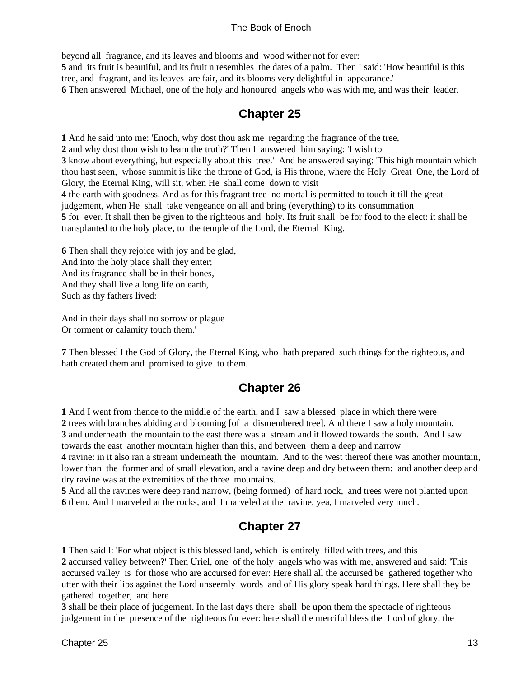<span id="page-16-0"></span>beyond all fragrance, and its leaves and blooms and wood wither not for ever:

**5** and its fruit is beautiful, and its fruit n resembles the dates of a palm. Then I said: 'How beautiful is this tree, and fragrant, and its leaves are fair, and its blooms very delightful in appearance.'

**6** Then answered Michael, one of the holy and honoured angels who was with me, and was their leader.

### **Chapter 25**

**1** And he said unto me: 'Enoch, why dost thou ask me regarding the fragrance of the tree,

**2** and why dost thou wish to learn the truth?' Then I answered him saying: 'I wish to

**3** know about everything, but especially about this tree.' And he answered saying: 'This high mountain which thou hast seen, whose summit is like the throne of God, is His throne, where the Holy Great One, the Lord of Glory, the Eternal King, will sit, when He shall come down to visit

**4** the earth with goodness. And as for this fragrant tree no mortal is permitted to touch it till the great

judgement, when He shall take vengeance on all and bring (everything) to its consummation

**5** for ever. It shall then be given to the righteous and holy. Its fruit shall be for food to the elect: it shall be transplanted to the holy place, to the temple of the Lord, the Eternal King.

**6** Then shall they rejoice with joy and be glad, And into the holy place shall they enter; And its fragrance shall be in their bones, And they shall live a long life on earth, Such as thy fathers lived:

And in their days shall no sorrow or plague Or torment or calamity touch them.'

**7** Then blessed I the God of Glory, the Eternal King, who hath prepared such things for the righteous, and hath created them and promised to give to them.

### **Chapter 26**

 And I went from thence to the middle of the earth, and I saw a blessed place in which there were trees with branches abiding and blooming [of a dismembered tree]. And there I saw a holy mountain, and underneath the mountain to the east there was a stream and it flowed towards the south. And I saw towards the east another mountain higher than this, and between them a deep and narrow

**4** ravine: in it also ran a stream underneath the mountain. And to the west thereof there was another mountain, lower than the former and of small elevation, and a ravine deep and dry between them: and another deep and dry ravine was at the extremities of the three mountains.

**5** And all the ravines were deep rand narrow, (being formed) of hard rock, and trees were not planted upon **6** them. And I marveled at the rocks, and I marveled at the ravine, yea, I marveled very much.

### **Chapter 27**

**1** Then said I: 'For what object is this blessed land, which is entirely filled with trees, and this

**2** accursed valley between?' Then Uriel, one of the holy angels who was with me, answered and said: 'This accursed valley is for those who are accursed for ever: Here shall all the accursed be gathered together who utter with their lips against the Lord unseemly words and of His glory speak hard things. Here shall they be gathered together, and here

**3** shall be their place of judgement. In the last days there shall be upon them the spectacle of righteous judgement in the presence of the righteous for ever: here shall the merciful bless the Lord of glory, the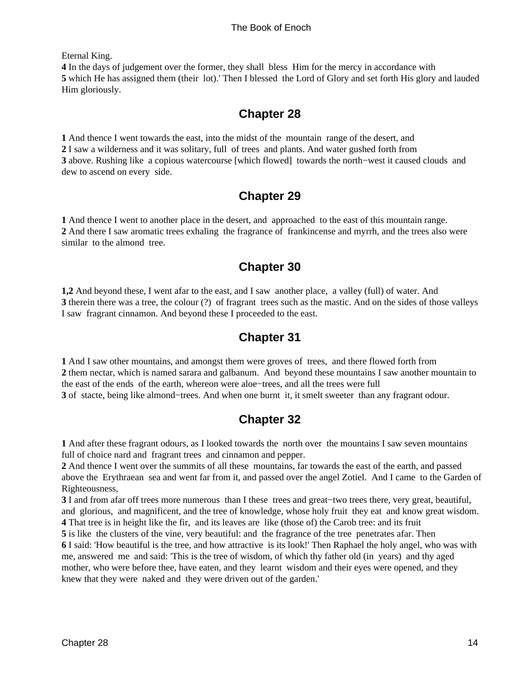<span id="page-17-0"></span>Eternal King.

**4** In the days of judgement over the former, they shall bless Him for the mercy in accordance with **5** which He has assigned them (their lot).' Then I blessed the Lord of Glory and set forth His glory and lauded Him gloriously.

### **Chapter 28**

 And thence I went towards the east, into the midst of the mountain range of the desert, and I saw a wilderness and it was solitary, full of trees and plants. And water gushed forth from above. Rushing like a copious watercourse [which flowed] towards the north−west it caused clouds and dew to ascend on every side.

### **Chapter 29**

**1** And thence I went to another place in the desert, and approached to the east of this mountain range. **2** And there I saw aromatic trees exhaling the fragrance of frankincense and myrrh, and the trees also were similar to the almond tree.

### **Chapter 30**

**1,2** And beyond these, I went afar to the east, and I saw another place, a valley (full) of water. And **3** therein there was a tree, the colour (?) of fragrant trees such as the mastic. And on the sides of those valleys I saw fragrant cinnamon. And beyond these I proceeded to the east.

### **Chapter 31**

 And I saw other mountains, and amongst them were groves of trees, and there flowed forth from them nectar, which is named sarara and galbanum. And beyond these mountains I saw another mountain to the east of the ends of the earth, whereon were aloe−trees, and all the trees were full of stacte, being like almond−trees. And when one burnt it, it smelt sweeter than any fragrant odour.

### **Chapter 32**

**1** And after these fragrant odours, as I looked towards the north over the mountains I saw seven mountains full of choice nard and fragrant trees and cinnamon and pepper.

**2** And thence I went over the summits of all these mountains, far towards the east of the earth, and passed above the Erythraean sea and went far from it, and passed over the angel Zotiel. And I came to the Garden of Righteousness,

**3** I and from afar off trees more numerous than I these trees and great−two trees there, very great, beautiful, and glorious, and magnificent, and the tree of knowledge, whose holy fruit they eat and know great wisdom. **4** That tree is in height like the fir, and its leaves are like (those of) the Carob tree: and its fruit

**5** is like the clusters of the vine, very beautiful: and the fragrance of the tree penetrates afar. Then **6** I said: 'How beautiful is the tree, and how attractive is its look!' Then Raphael the holy angel, who was with me, answered me and said: 'This is the tree of wisdom, of which thy father old (in years) and thy aged mother, who were before thee, have eaten, and they learnt wisdom and their eyes were opened, and they knew that they were naked and they were driven out of the garden.'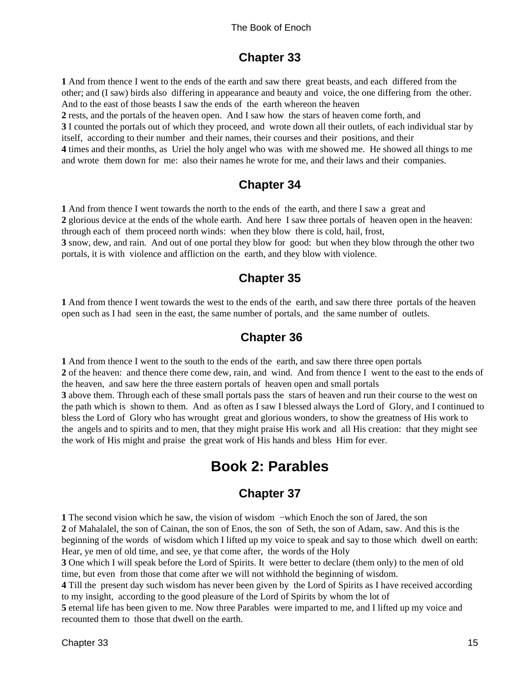### **Chapter 33**

<span id="page-18-0"></span>**1** And from thence I went to the ends of the earth and saw there great beasts, and each differed from the other; and (I saw) birds also differing in appearance and beauty and voice, the one differing from the other. And to the east of those beasts I saw the ends of the earth whereon the heaven

**2** rests, and the portals of the heaven open. And I saw how the stars of heaven come forth, and

**3** I counted the portals out of which they proceed, and wrote down all their outlets, of each individual star by itself, according to their number and their names, their courses and their positions, and their

**4** times and their months, as Uriel the holy angel who was with me showed me. He showed all things to me and wrote them down for me: also their names he wrote for me, and their laws and their companies.

### **Chapter 34**

**1** And from thence I went towards the north to the ends of the earth, and there I saw a great and

**2** glorious device at the ends of the whole earth. And here I saw three portals of heaven open in the heaven: through each of them proceed north winds: when they blow there is cold, hail, frost,

**3** snow, dew, and rain. And out of one portal they blow for good: but when they blow through the other two portals, it is with violence and affliction on the earth, and they blow with violence.

### **Chapter 35**

**1** And from thence I went towards the west to the ends of the earth, and saw there three portals of the heaven open such as I had seen in the east, the same number of portals, and the same number of outlets.

### **Chapter 36**

**1** And from thence I went to the south to the ends of the earth, and saw there three open portals **2** of the heaven: and thence there come dew, rain, and wind. And from thence I went to the east to the ends of the heaven, and saw here the three eastern portals of heaven open and small portals **3** above them. Through each of these small portals pass the stars of heaven and run their course to the west on the path which is shown to them. And as often as I saw I blessed always the Lord of Glory, and I continued to bless the Lord of Glory who has wrought great and glorious wonders, to show the greatness of His work to the angels and to spirits and to men, that they might praise His work and all His creation: that they might see the work of His might and praise the great work of His hands and bless Him for ever.

# **Book 2: Parables**

### **Chapter 37**

**1** The second vision which he saw, the vision of wisdom −which Enoch the son of Jared, the son **2** of Mahalalel, the son of Cainan, the son of Enos, the son of Seth, the son of Adam, saw. And this is the beginning of the words of wisdom which I lifted up my voice to speak and say to those which dwell on earth: Hear, ye men of old time, and see, ye that come after, the words of the Holy

**3** One which I will speak before the Lord of Spirits. It were better to declare (them only) to the men of old time, but even from those that come after we will not withhold the beginning of wisdom.

**4** Till the present day such wisdom has never been given by the Lord of Spirits as I have received according to my insight, according to the good pleasure of the Lord of Spirits by whom the lot of

**5** eternal life has been given to me. Now three Parables were imparted to me, and I lifted up my voice and recounted them to those that dwell on the earth.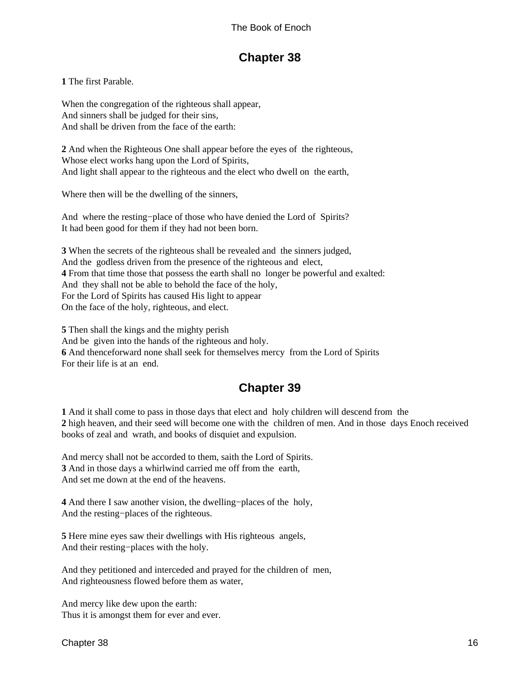### **Chapter 38**

<span id="page-19-0"></span>**1** The first Parable.

When the congregation of the righteous shall appear, And sinners shall be judged for their sins, And shall be driven from the face of the earth:

**2** And when the Righteous One shall appear before the eyes of the righteous, Whose elect works hang upon the Lord of Spirits, And light shall appear to the righteous and the elect who dwell on the earth,

Where then will be the dwelling of the sinners,

And where the resting−place of those who have denied the Lord of Spirits? It had been good for them if they had not been born.

**3** When the secrets of the righteous shall be revealed and the sinners judged, And the godless driven from the presence of the righteous and elect, **4** From that time those that possess the earth shall no longer be powerful and exalted: And they shall not be able to behold the face of the holy, For the Lord of Spirits has caused His light to appear On the face of the holy, righteous, and elect.

**5** Then shall the kings and the mighty perish And be given into the hands of the righteous and holy. **6** And thenceforward none shall seek for themselves mercy from the Lord of Spirits For their life is at an end.

### **Chapter 39**

**1** And it shall come to pass in those days that elect and holy children will descend from the **2** high heaven, and their seed will become one with the children of men. And in those days Enoch received books of zeal and wrath, and books of disquiet and expulsion.

And mercy shall not be accorded to them, saith the Lord of Spirits. **3** And in those days a whirlwind carried me off from the earth, And set me down at the end of the heavens.

**4** And there I saw another vision, the dwelling−places of the holy, And the resting−places of the righteous.

**5** Here mine eyes saw their dwellings with His righteous angels, And their resting−places with the holy.

And they petitioned and interceded and prayed for the children of men, And righteousness flowed before them as water,

And mercy like dew upon the earth: Thus it is amongst them for ever and ever.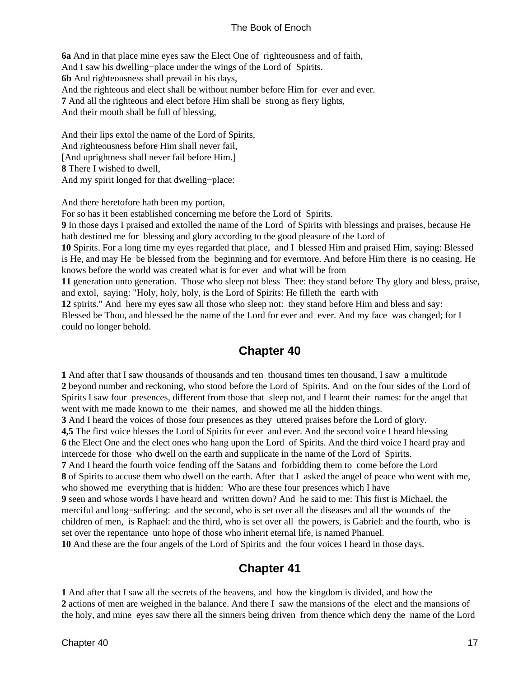<span id="page-20-0"></span>**6a** And in that place mine eyes saw the Elect One of righteousness and of faith, And I saw his dwelling−place under the wings of the Lord of Spirits. **6b** And righteousness shall prevail in his days, And the righteous and elect shall be without number before Him for ever and ever. **7** And all the righteous and elect before Him shall be strong as fiery lights, And their mouth shall be full of blessing,

And their lips extol the name of the Lord of Spirits, And righteousness before Him shall never fail, [And uprightness shall never fail before Him.] **8** There I wished to dwell, And my spirit longed for that dwelling−place:

And there heretofore hath been my portion,

For so has it been established concerning me before the Lord of Spirits.

**9** In those days I praised and extolled the name of the Lord of Spirits with blessings and praises, because He hath destined me for blessing and glory according to the good pleasure of the Lord of

**10** Spirits. For a long time my eyes regarded that place, and I blessed Him and praised Him, saying: Blessed is He, and may He be blessed from the beginning and for evermore. And before Him there is no ceasing. He knows before the world was created what is for ever and what will be from

**11** generation unto generation. Those who sleep not bless Thee: they stand before Thy glory and bless, praise, and extol, saying: "Holy, holy, holy, is the Lord of Spirits: He filleth the earth with

**12** spirits." And here my eyes saw all those who sleep not: they stand before Him and bless and say:

Blessed be Thou, and blessed be the name of the Lord for ever and ever. And my face was changed; for I could no longer behold.

### **Chapter 40**

**1** And after that I saw thousands of thousands and ten thousand times ten thousand, I saw a multitude **2** beyond number and reckoning, who stood before the Lord of Spirits. And on the four sides of the Lord of Spirits I saw four presences, different from those that sleep not, and I learnt their names: for the angel that went with me made known to me their names, and showed me all the hidden things.

**3** And I heard the voices of those four presences as they uttered praises before the Lord of glory.

**4,5** The first voice blesses the Lord of Spirits for ever and ever. And the second voice I heard blessing **6** the Elect One and the elect ones who hang upon the Lord of Spirits. And the third voice I heard pray and intercede for those who dwell on the earth and supplicate in the name of the Lord of Spirits.

**7** And I heard the fourth voice fending off the Satans and forbidding them to come before the Lord **8** of Spirits to accuse them who dwell on the earth. After that I asked the angel of peace who went with me, who showed me everything that is hidden: Who are these four presences which I have

**9** seen and whose words I have heard and written down? And he said to me: This first is Michael, the merciful and long−suffering: and the second, who is set over all the diseases and all the wounds of the children of men, is Raphael: and the third, who is set over all the powers, is Gabriel: and the fourth, who is set over the repentance unto hope of those who inherit eternal life, is named Phanuel.

**10** And these are the four angels of the Lord of Spirits and the four voices I heard in those days.

### **Chapter 41**

**1** And after that I saw all the secrets of the heavens, and how the kingdom is divided, and how the **2** actions of men are weighed in the balance. And there I saw the mansions of the elect and the mansions of the holy, and mine eyes saw there all the sinners being driven from thence which deny the name of the Lord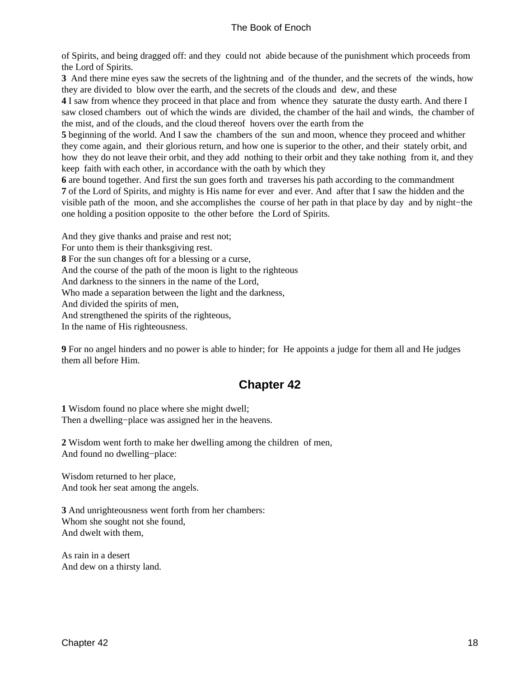<span id="page-21-0"></span>of Spirits, and being dragged off: and they could not abide because of the punishment which proceeds from the Lord of Spirits.

**3** And there mine eyes saw the secrets of the lightning and of the thunder, and the secrets of the winds, how they are divided to blow over the earth, and the secrets of the clouds and dew, and these

**4** I saw from whence they proceed in that place and from whence they saturate the dusty earth. And there I saw closed chambers out of which the winds are divided, the chamber of the hail and winds, the chamber of the mist, and of the clouds, and the cloud thereof hovers over the earth from the

**5** beginning of the world. And I saw the chambers of the sun and moon, whence they proceed and whither they come again, and their glorious return, and how one is superior to the other, and their stately orbit, and how they do not leave their orbit, and they add nothing to their orbit and they take nothing from it, and they keep faith with each other, in accordance with the oath by which they

**6** are bound together. And first the sun goes forth and traverses his path according to the commandment **7** of the Lord of Spirits, and mighty is His name for ever and ever. And after that I saw the hidden and the visible path of the moon, and she accomplishes the course of her path in that place by day and by night−the one holding a position opposite to the other before the Lord of Spirits.

And they give thanks and praise and rest not; For unto them is their thanksgiving rest. **8** For the sun changes oft for a blessing or a curse, And the course of the path of the moon is light to the righteous And darkness to the sinners in the name of the Lord, Who made a separation between the light and the darkness, And divided the spirits of men, And strengthened the spirits of the righteous, In the name of His righteousness.

**9** For no angel hinders and no power is able to hinder; for He appoints a judge for them all and He judges them all before Him.

### **Chapter 42**

**1** Wisdom found no place where she might dwell; Then a dwelling−place was assigned her in the heavens.

**2** Wisdom went forth to make her dwelling among the children of men, And found no dwelling−place:

Wisdom returned to her place, And took her seat among the angels.

**3** And unrighteousness went forth from her chambers: Whom she sought not she found, And dwelt with them,

As rain in a desert And dew on a thirsty land.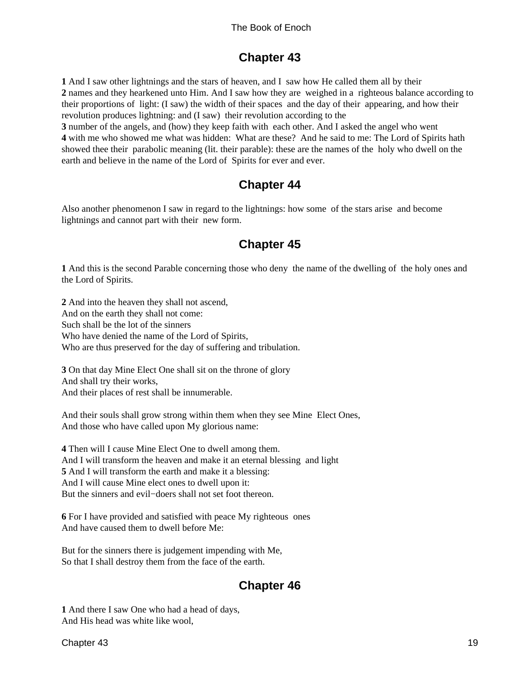### **Chapter 43**

<span id="page-22-0"></span>**1** And I saw other lightnings and the stars of heaven, and I saw how He called them all by their **2** names and they hearkened unto Him. And I saw how they are weighed in a righteous balance according to their proportions of light: (I saw) the width of their spaces and the day of their appearing, and how their revolution produces lightning: and (I saw) their revolution according to the

**3** number of the angels, and (how) they keep faith with each other. And I asked the angel who went **4** with me who showed me what was hidden: What are these? And he said to me: The Lord of Spirits hath showed thee their parabolic meaning (lit. their parable): these are the names of the holy who dwell on the earth and believe in the name of the Lord of Spirits for ever and ever.

### **Chapter 44**

Also another phenomenon I saw in regard to the lightnings: how some of the stars arise and become lightnings and cannot part with their new form.

### **Chapter 45**

**1** And this is the second Parable concerning those who deny the name of the dwelling of the holy ones and the Lord of Spirits.

**2** And into the heaven they shall not ascend, And on the earth they shall not come: Such shall be the lot of the sinners Who have denied the name of the Lord of Spirits, Who are thus preserved for the day of suffering and tribulation.

**3** On that day Mine Elect One shall sit on the throne of glory And shall try their works, And their places of rest shall be innumerable.

And their souls shall grow strong within them when they see Mine Elect Ones, And those who have called upon My glorious name:

**4** Then will I cause Mine Elect One to dwell among them. And I will transform the heaven and make it an eternal blessing and light **5** And I will transform the earth and make it a blessing: And I will cause Mine elect ones to dwell upon it: But the sinners and evil−doers shall not set foot thereon.

**6** For I have provided and satisfied with peace My righteous ones And have caused them to dwell before Me:

But for the sinners there is judgement impending with Me, So that I shall destroy them from the face of the earth.

### **Chapter 46**

**1** And there I saw One who had a head of days, And His head was white like wool,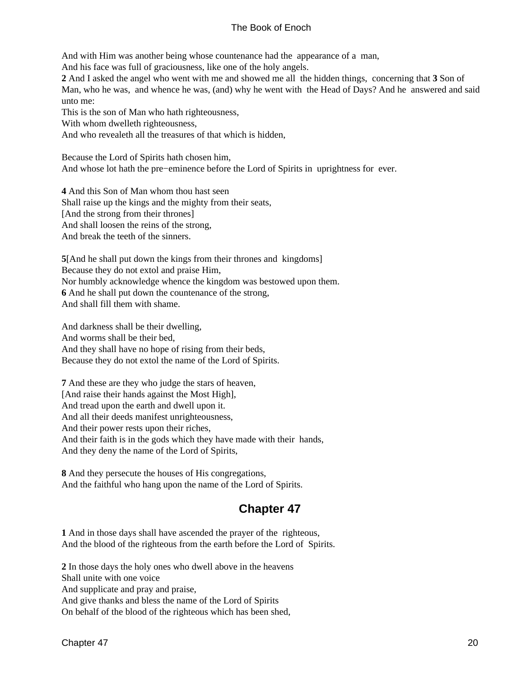<span id="page-23-0"></span>And with Him was another being whose countenance had the appearance of a man,

And his face was full of graciousness, like one of the holy angels.

**2** And I asked the angel who went with me and showed me all the hidden things, concerning that **3** Son of Man, who he was, and whence he was, (and) why he went with the Head of Days? And he answered and said unto me:

This is the son of Man who hath righteousness,

With whom dwelleth righteousness,

And who revealeth all the treasures of that which is hidden,

Because the Lord of Spirits hath chosen him, And whose lot hath the pre−eminence before the Lord of Spirits in uprightness for ever.

**4** And this Son of Man whom thou hast seen Shall raise up the kings and the mighty from their seats, [And the strong from their thrones] And shall loosen the reins of the strong, And break the teeth of the sinners.

**5**[And he shall put down the kings from their thrones and kingdoms] Because they do not extol and praise Him, Nor humbly acknowledge whence the kingdom was bestowed upon them. **6** And he shall put down the countenance of the strong, And shall fill them with shame.

And darkness shall be their dwelling, And worms shall be their bed, And they shall have no hope of rising from their beds, Because they do not extol the name of the Lord of Spirits.

**7** And these are they who judge the stars of heaven, [And raise their hands against the Most High], And tread upon the earth and dwell upon it. And all their deeds manifest unrighteousness, And their power rests upon their riches, And their faith is in the gods which they have made with their hands, And they deny the name of the Lord of Spirits,

**8** And they persecute the houses of His congregations, And the faithful who hang upon the name of the Lord of Spirits.

### **Chapter 47**

**1** And in those days shall have ascended the prayer of the righteous, And the blood of the righteous from the earth before the Lord of Spirits.

**2** In those days the holy ones who dwell above in the heavens Shall unite with one voice And supplicate and pray and praise, And give thanks and bless the name of the Lord of Spirits On behalf of the blood of the righteous which has been shed,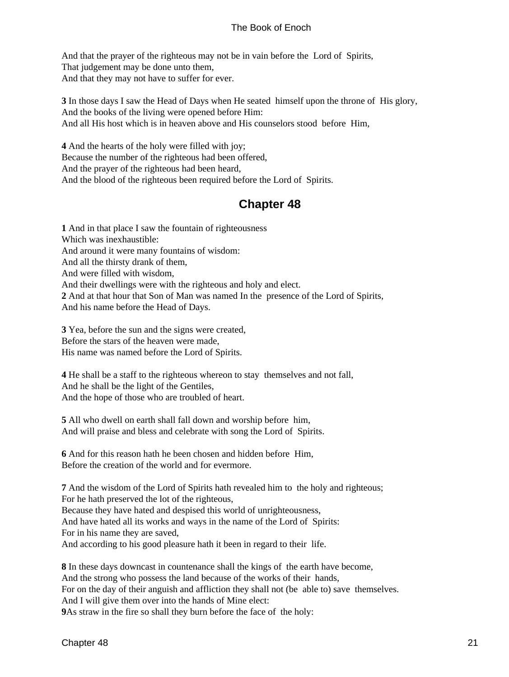<span id="page-24-0"></span>And that the prayer of the righteous may not be in vain before the Lord of Spirits, That judgement may be done unto them, And that they may not have to suffer for ever.

**3** In those days I saw the Head of Days when He seated himself upon the throne of His glory, And the books of the living were opened before Him: And all His host which is in heaven above and His counselors stood before Him,

**4** And the hearts of the holy were filled with joy; Because the number of the righteous had been offered, And the prayer of the righteous had been heard, And the blood of the righteous been required before the Lord of Spirits.

### **Chapter 48**

**1** And in that place I saw the fountain of righteousness Which was inexhaustible: And around it were many fountains of wisdom: And all the thirsty drank of them, And were filled with wisdom, And their dwellings were with the righteous and holy and elect. **2** And at that hour that Son of Man was named In the presence of the Lord of Spirits, And his name before the Head of Days.

**3** Yea, before the sun and the signs were created, Before the stars of the heaven were made, His name was named before the Lord of Spirits.

**4** He shall be a staff to the righteous whereon to stay themselves and not fall, And he shall be the light of the Gentiles, And the hope of those who are troubled of heart.

**5** All who dwell on earth shall fall down and worship before him, And will praise and bless and celebrate with song the Lord of Spirits.

**6** And for this reason hath he been chosen and hidden before Him, Before the creation of the world and for evermore.

**7** And the wisdom of the Lord of Spirits hath revealed him to the holy and righteous; For he hath preserved the lot of the righteous, Because they have hated and despised this world of unrighteousness, And have hated all its works and ways in the name of the Lord of Spirits: For in his name they are saved, And according to his good pleasure hath it been in regard to their life.

**8** In these days downcast in countenance shall the kings of the earth have become, And the strong who possess the land because of the works of their hands, For on the day of their anguish and affliction they shall not (be able to) save themselves. And I will give them over into the hands of Mine elect: **9**As straw in the fire so shall they burn before the face of the holy: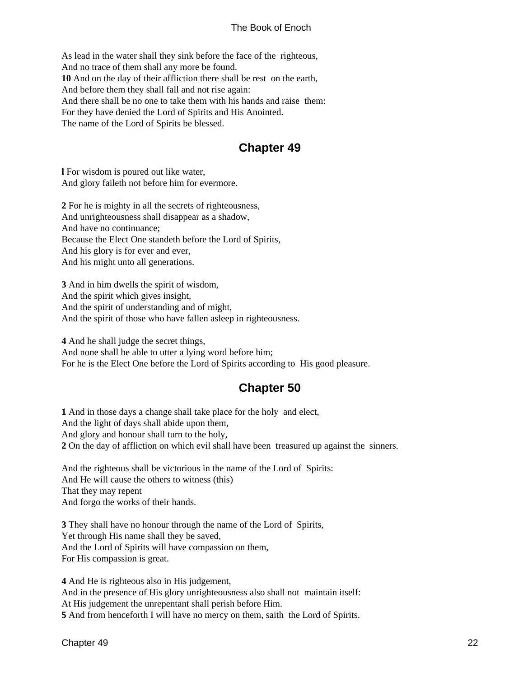<span id="page-25-0"></span>As lead in the water shall they sink before the face of the righteous, And no trace of them shall any more be found. **10** And on the day of their affliction there shall be rest on the earth, And before them they shall fall and not rise again: And there shall be no one to take them with his hands and raise them: For they have denied the Lord of Spirits and His Anointed. The name of the Lord of Spirits be blessed.

### **Chapter 49**

**l** For wisdom is poured out like water, And glory faileth not before him for evermore.

**2** For he is mighty in all the secrets of righteousness, And unrighteousness shall disappear as a shadow, And have no continuance; Because the Elect One standeth before the Lord of Spirits, And his glory is for ever and ever, And his might unto all generations.

**3** And in him dwells the spirit of wisdom, And the spirit which gives insight, And the spirit of understanding and of might, And the spirit of those who have fallen asleep in righteousness.

**4** And he shall judge the secret things, And none shall be able to utter a lying word before him; For he is the Elect One before the Lord of Spirits according to His good pleasure.

### **Chapter 50**

**1** And in those days a change shall take place for the holy and elect, And the light of days shall abide upon them, And glory and honour shall turn to the holy, **2** On the day of affliction on which evil shall have been treasured up against the sinners.

And the righteous shall be victorious in the name of the Lord of Spirits: And He will cause the others to witness (this) That they may repent And forgo the works of their hands.

**3** They shall have no honour through the name of the Lord of Spirits, Yet through His name shall they be saved, And the Lord of Spirits will have compassion on them, For His compassion is great.

**4** And He is righteous also in His judgement, And in the presence of His glory unrighteousness also shall not maintain itself: At His judgement the unrepentant shall perish before Him. **5** And from henceforth I will have no mercy on them, saith the Lord of Spirits.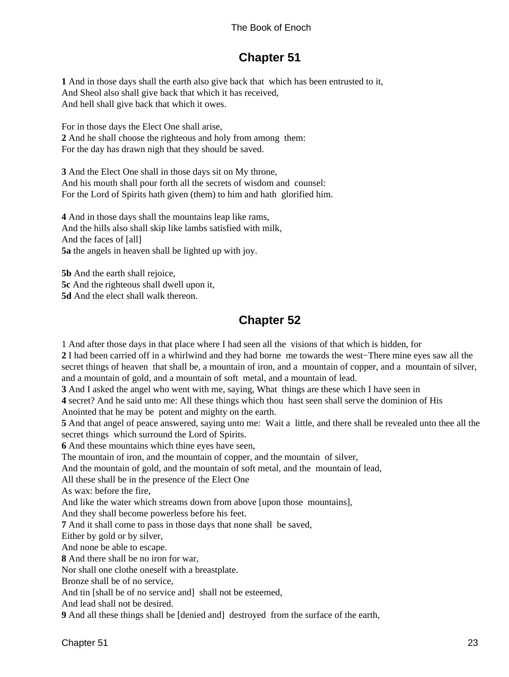### **Chapter 51**

<span id="page-26-0"></span>**1** And in those days shall the earth also give back that which has been entrusted to it, And Sheol also shall give back that which it has received, And hell shall give back that which it owes.

For in those days the Elect One shall arise, **2** And he shall choose the righteous and holy from among them: For the day has drawn nigh that they should be saved.

**3** And the Elect One shall in those days sit on My throne, And his mouth shall pour forth all the secrets of wisdom and counsel: For the Lord of Spirits hath given (them) to him and hath glorified him.

**4** And in those days shall the mountains leap like rams, And the hills also shall skip like lambs satisfied with milk, And the faces of [all] **5a** the angels in heaven shall be lighted up with joy.

**5b** And the earth shall rejoice, **5c** And the righteous shall dwell upon it, **5d** And the elect shall walk thereon.

### **Chapter 52**

1 And after those days in that place where I had seen all the visions of that which is hidden, for

**2** I had been carried off in a whirlwind and they had borne me towards the west−There mine eyes saw all the secret things of heaven that shall be, a mountain of iron, and a mountain of copper, and a mountain of silver, and a mountain of gold, and a mountain of soft metal, and a mountain of lead.

**3** And I asked the angel who went with me, saying, What things are these which I have seen in

**4** secret? And he said unto me: All these things which thou hast seen shall serve the dominion of His Anointed that he may be potent and mighty on the earth.

**5** And that angel of peace answered, saying unto me: Wait a little, and there shall be revealed unto thee all the secret things which surround the Lord of Spirits.

**6** And these mountains which thine eyes have seen,

The mountain of iron, and the mountain of copper, and the mountain of silver,

And the mountain of gold, and the mountain of soft metal, and the mountain of lead,

All these shall be in the presence of the Elect One

As wax: before the fire,

And like the water which streams down from above [upon those mountains],

And they shall become powerless before his feet.

**7** And it shall come to pass in those days that none shall be saved,

Either by gold or by silver,

And none be able to escape.

**8** And there shall be no iron for war,

Nor shall one clothe oneself with a breastplate.

Bronze shall be of no service,

And tin [shall be of no service and] shall not be esteemed,

And lead shall not be desired.

**9** And all these things shall be [denied and] destroyed from the surface of the earth,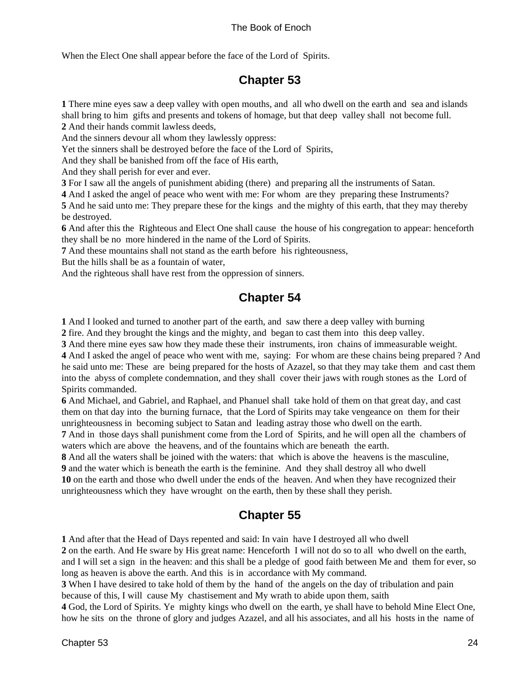<span id="page-27-0"></span>When the Elect One shall appear before the face of the Lord of Spirits.

### **Chapter 53**

**1** There mine eyes saw a deep valley with open mouths, and all who dwell on the earth and sea and islands shall bring to him gifts and presents and tokens of homage, but that deep valley shall not become full. **2** And their hands commit lawless deeds,

And the sinners devour all whom they lawlessly oppress:

Yet the sinners shall be destroyed before the face of the Lord of Spirits,

And they shall be banished from off the face of His earth,

And they shall perish for ever and ever.

**3** For I saw all the angels of punishment abiding (there) and preparing all the instruments of Satan.

**4** And I asked the angel of peace who went with me: For whom are they preparing these Instruments?

**5** And he said unto me: They prepare these for the kings and the mighty of this earth, that they may thereby be destroyed.

**6** And after this the Righteous and Elect One shall cause the house of his congregation to appear: henceforth they shall be no more hindered in the name of the Lord of Spirits.

**7** And these mountains shall not stand as the earth before his righteousness,

But the hills shall be as a fountain of water,

And the righteous shall have rest from the oppression of sinners.

### **Chapter 54**

**1** And I looked and turned to another part of the earth, and saw there a deep valley with burning

**2** fire. And they brought the kings and the mighty, and began to cast them into this deep valley.

**3** And there mine eyes saw how they made these their instruments, iron chains of immeasurable weight.

**4** And I asked the angel of peace who went with me, saying: For whom are these chains being prepared ? And he said unto me: These are being prepared for the hosts of Azazel, so that they may take them and cast them into the abyss of complete condemnation, and they shall cover their jaws with rough stones as the Lord of Spirits commanded.

**6** And Michael, and Gabriel, and Raphael, and Phanuel shall take hold of them on that great day, and cast them on that day into the burning furnace, that the Lord of Spirits may take vengeance on them for their unrighteousness in becoming subject to Satan and leading astray those who dwell on the earth.

**7** And in those days shall punishment come from the Lord of Spirits, and he will open all the chambers of waters which are above the heavens, and of the fountains which are beneath the earth.

**8** And all the waters shall be joined with the waters: that which is above the heavens is the masculine,

**9** and the water which is beneath the earth is the feminine. And they shall destroy all who dwell **10** on the earth and those who dwell under the ends of the heaven. And when they have recognized their

unrighteousness which they have wrought on the earth, then by these shall they perish.

### **Chapter 55**

**1** And after that the Head of Days repented and said: In vain have I destroyed all who dwell

**2** on the earth. And He sware by His great name: Henceforth I will not do so to all who dwell on the earth, and I will set a sign in the heaven: and this shall be a pledge of good faith between Me and them for ever, so

long as heaven is above the earth. And this is in accordance with My command.

**3** When I have desired to take hold of them by the hand of the angels on the day of tribulation and pain because of this, I will cause My chastisement and My wrath to abide upon them, saith

**4** God, the Lord of Spirits. Ye mighty kings who dwell on the earth, ye shall have to behold Mine Elect One, how he sits on the throne of glory and judges Azazel, and all his associates, and all his hosts in the name of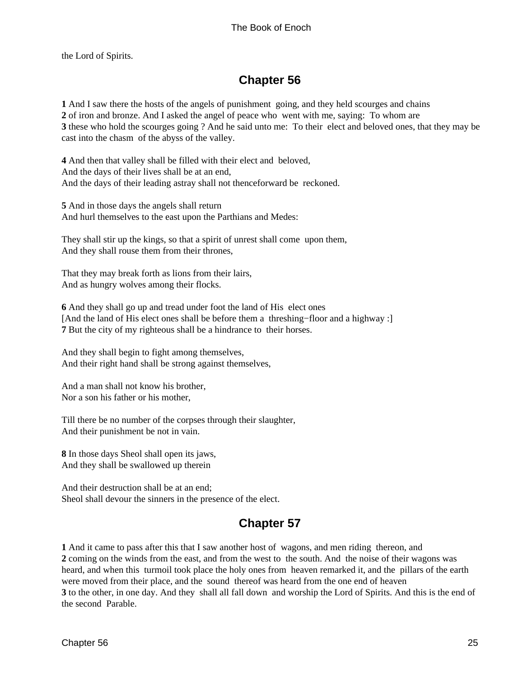<span id="page-28-0"></span>the Lord of Spirits.

### **Chapter 56**

 And I saw there the hosts of the angels of punishment going, and they held scourges and chains of iron and bronze. And I asked the angel of peace who went with me, saying: To whom are these who hold the scourges going ? And he said unto me: To their elect and beloved ones, that they may be cast into the chasm of the abyss of the valley.

**4** And then that valley shall be filled with their elect and beloved, And the days of their lives shall be at an end, And the days of their leading astray shall not thenceforward be reckoned.

**5** And in those days the angels shall return And hurl themselves to the east upon the Parthians and Medes:

They shall stir up the kings, so that a spirit of unrest shall come upon them, And they shall rouse them from their thrones,

That they may break forth as lions from their lairs, And as hungry wolves among their flocks.

**6** And they shall go up and tread under foot the land of His elect ones [And the land of His elect ones shall be before them a threshing−floor and a highway :] **7** But the city of my righteous shall be a hindrance to their horses.

And they shall begin to fight among themselves, And their right hand shall be strong against themselves,

And a man shall not know his brother, Nor a son his father or his mother,

Till there be no number of the corpses through their slaughter, And their punishment be not in vain.

**8** In those days Sheol shall open its jaws, And they shall be swallowed up therein

And their destruction shall be at an end; Sheol shall devour the sinners in the presence of the elect.

### **Chapter 57**

**1** And it came to pass after this that I saw another host of wagons, and men riding thereon, and **2** coming on the winds from the east, and from the west to the south. And the noise of their wagons was heard, and when this turmoil took place the holy ones from heaven remarked it, and the pillars of the earth were moved from their place, and the sound thereof was heard from the one end of heaven **3** to the other, in one day. And they shall all fall down and worship the Lord of Spirits. And this is the end of the second Parable.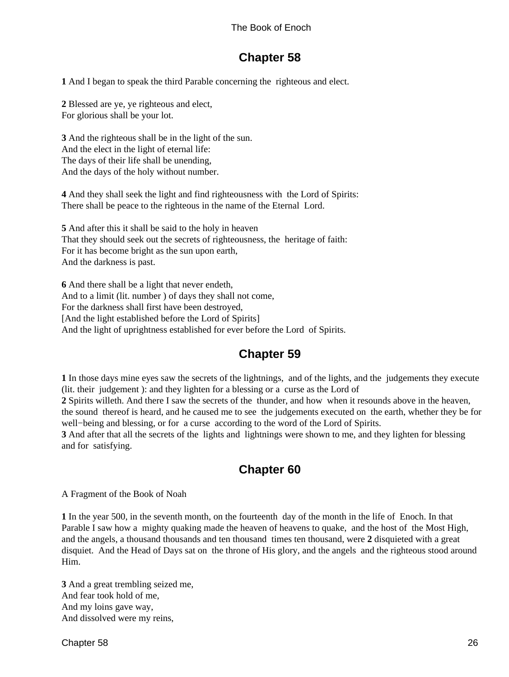### **Chapter 58**

<span id="page-29-0"></span>**1** And I began to speak the third Parable concerning the righteous and elect.

**2** Blessed are ye, ye righteous and elect, For glorious shall be your lot.

**3** And the righteous shall be in the light of the sun. And the elect in the light of eternal life: The days of their life shall be unending, And the days of the holy without number.

**4** And they shall seek the light and find righteousness with the Lord of Spirits: There shall be peace to the righteous in the name of the Eternal Lord.

**5** And after this it shall be said to the holy in heaven That they should seek out the secrets of righteousness, the heritage of faith: For it has become bright as the sun upon earth, And the darkness is past.

**6** And there shall be a light that never endeth, And to a limit (lit. number ) of days they shall not come, For the darkness shall first have been destroyed, [And the light established before the Lord of Spirits] And the light of uprightness established for ever before the Lord of Spirits.

### **Chapter 59**

**1** In those days mine eyes saw the secrets of the lightnings, and of the lights, and the judgements they execute (lit. their judgement ): and they lighten for a blessing or a curse as the Lord of

**2** Spirits willeth. And there I saw the secrets of the thunder, and how when it resounds above in the heaven, the sound thereof is heard, and he caused me to see the judgements executed on the earth, whether they be for well−being and blessing, or for a curse according to the word of the Lord of Spirits.

**3** And after that all the secrets of the lights and lightnings were shown to me, and they lighten for blessing and for satisfying.

### **Chapter 60**

A Fragment of the Book of Noah

**1** In the year 500, in the seventh month, on the fourteenth day of the month in the life of Enoch. In that Parable I saw how a mighty quaking made the heaven of heavens to quake, and the host of the Most High, and the angels, a thousand thousands and ten thousand times ten thousand, were **2** disquieted with a great disquiet. And the Head of Days sat on the throne of His glory, and the angels and the righteous stood around Him.

**3** And a great trembling seized me, And fear took hold of me, And my loins gave way, And dissolved were my reins,

Chapter 58 26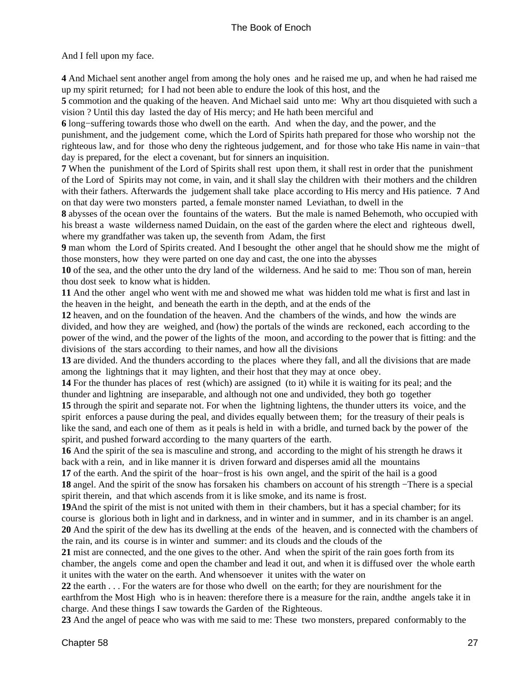And I fell upon my face.

**4** And Michael sent another angel from among the holy ones and he raised me up, and when he had raised me up my spirit returned; for I had not been able to endure the look of this host, and the

**5** commotion and the quaking of the heaven. And Michael said unto me: Why art thou disquieted with such a vision ? Until this day lasted the day of His mercy; and He hath been merciful and

**6** long−suffering towards those who dwell on the earth. And when the day, and the power, and the

punishment, and the judgement come, which the Lord of Spirits hath prepared for those who worship not the righteous law, and for those who deny the righteous judgement, and for those who take His name in vain−that day is prepared, for the elect a covenant, but for sinners an inquisition.

**7** When the punishment of the Lord of Spirits shall rest upon them, it shall rest in order that the punishment of the Lord of Spirits may not come, in vain, and it shall slay the children with their mothers and the children with their fathers. Afterwards the judgement shall take place according to His mercy and His patience. **7** And on that day were two monsters parted, a female monster named Leviathan, to dwell in the

**8** abysses of the ocean over the fountains of the waters. But the male is named Behemoth, who occupied with his breast a waste wilderness named Duidain, on the east of the garden where the elect and righteous dwell, where my grandfather was taken up, the seventh from Adam, the first

**9** man whom the Lord of Spirits created. And I besought the other angel that he should show me the might of those monsters, how they were parted on one day and cast, the one into the abysses

**10** of the sea, and the other unto the dry land of the wilderness. And he said to me: Thou son of man, herein thou dost seek to know what is hidden.

**11** And the other angel who went with me and showed me what was hidden told me what is first and last in the heaven in the height, and beneath the earth in the depth, and at the ends of the

**12** heaven, and on the foundation of the heaven. And the chambers of the winds, and how the winds are divided, and how they are weighed, and (how) the portals of the winds are reckoned, each according to the power of the wind, and the power of the lights of the moon, and according to the power that is fitting: and the divisions of the stars according to their names, and how all the divisions

**13** are divided. And the thunders according to the places where they fall, and all the divisions that are made among the lightnings that it may lighten, and their host that they may at once obey.

**14** For the thunder has places of rest (which) are assigned (to it) while it is waiting for its peal; and the thunder and lightning are inseparable, and although not one and undivided, they both go together

**15** through the spirit and separate not. For when the lightning lightens, the thunder utters its voice, and the spirit enforces a pause during the peal, and divides equally between them; for the treasury of their peals is like the sand, and each one of them as it peals is held in with a bridle, and turned back by the power of the spirit, and pushed forward according to the many quarters of the earth.

**16** And the spirit of the sea is masculine and strong, and according to the might of his strength he draws it back with a rein, and in like manner it is driven forward and disperses amid all the mountains

**17** of the earth. And the spirit of the hoar−frost is his own angel, and the spirit of the hail is a good **18** angel. And the spirit of the snow has forsaken his chambers on account of his strength −There is a special spirit therein, and that which ascends from it is like smoke, and its name is frost.

**19**And the spirit of the mist is not united with them in their chambers, but it has a special chamber; for its course is glorious both in light and in darkness, and in winter and in summer, and in its chamber is an angel. **20** And the spirit of the dew has its dwelling at the ends of the heaven, and is connected with the chambers of the rain, and its course is in winter and summer: and its clouds and the clouds of the

**21** mist are connected, and the one gives to the other. And when the spirit of the rain goes forth from its chamber, the angels come and open the chamber and lead it out, and when it is diffused over the whole earth it unites with the water on the earth. And whensoever it unites with the water on

**22** the earth . . . For the waters are for those who dwell on the earth; for they are nourishment for the earthfrom the Most High who is in heaven: therefore there is a measure for the rain, andthe angels take it in charge. And these things I saw towards the Garden of the Righteous.

**23** And the angel of peace who was with me said to me: These two monsters, prepared conformably to the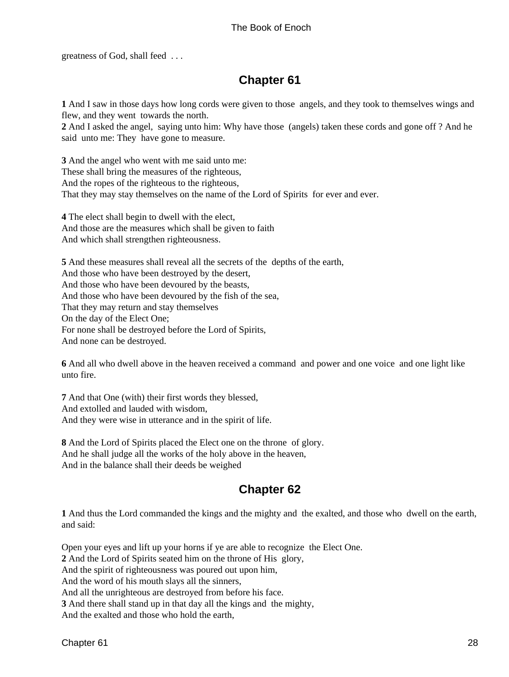<span id="page-31-0"></span>greatness of God, shall feed . . .

### **Chapter 61**

**1** And I saw in those days how long cords were given to those angels, and they took to themselves wings and flew, and they went towards the north.

**2** And I asked the angel, saying unto him: Why have those (angels) taken these cords and gone off ? And he said unto me: They have gone to measure.

**3** And the angel who went with me said unto me: These shall bring the measures of the righteous, And the ropes of the righteous to the righteous, That they may stay themselves on the name of the Lord of Spirits for ever and ever.

**4** The elect shall begin to dwell with the elect, And those are the measures which shall be given to faith And which shall strengthen righteousness.

**5** And these measures shall reveal all the secrets of the depths of the earth, And those who have been destroyed by the desert, And those who have been devoured by the beasts, And those who have been devoured by the fish of the sea, That they may return and stay themselves On the day of the Elect One; For none shall be destroyed before the Lord of Spirits, And none can be destroyed.

**6** And all who dwell above in the heaven received a command and power and one voice and one light like unto fire.

**7** And that One (with) their first words they blessed, And extolled and lauded with wisdom, And they were wise in utterance and in the spirit of life.

**8** And the Lord of Spirits placed the Elect one on the throne of glory. And he shall judge all the works of the holy above in the heaven, And in the balance shall their deeds be weighed

### **Chapter 62**

**1** And thus the Lord commanded the kings and the mighty and the exalted, and those who dwell on the earth, and said:

Open your eyes and lift up your horns if ye are able to recognize the Elect One.

**2** And the Lord of Spirits seated him on the throne of His glory,

And the spirit of righteousness was poured out upon him,

And the word of his mouth slays all the sinners,

And all the unrighteous are destroyed from before his face.

**3** And there shall stand up in that day all the kings and the mighty,

And the exalted and those who hold the earth,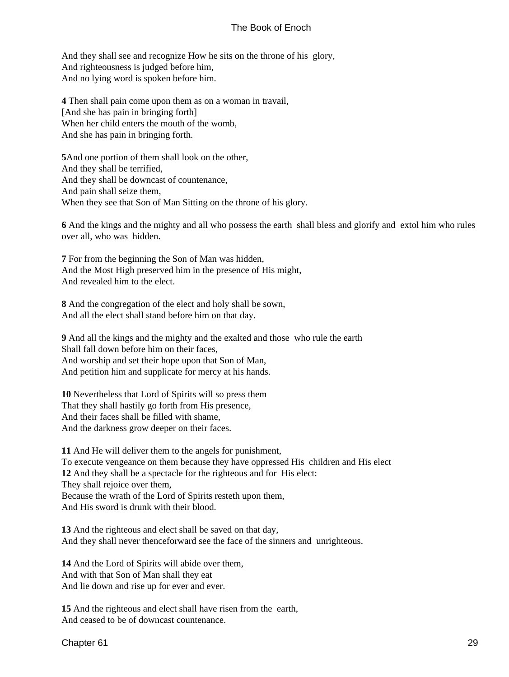And they shall see and recognize How he sits on the throne of his glory, And righteousness is judged before him, And no lying word is spoken before him.

**4** Then shall pain come upon them as on a woman in travail, [And she has pain in bringing forth] When her child enters the mouth of the womb, And she has pain in bringing forth.

**5**And one portion of them shall look on the other, And they shall be terrified, And they shall be downcast of countenance, And pain shall seize them, When they see that Son of Man Sitting on the throne of his glory.

**6** And the kings and the mighty and all who possess the earth shall bless and glorify and extol him who rules over all, who was hidden.

**7** For from the beginning the Son of Man was hidden, And the Most High preserved him in the presence of His might, And revealed him to the elect.

**8** And the congregation of the elect and holy shall be sown, And all the elect shall stand before him on that day.

**9** And all the kings and the mighty and the exalted and those who rule the earth Shall fall down before him on their faces, And worship and set their hope upon that Son of Man, And petition him and supplicate for mercy at his hands.

**10** Nevertheless that Lord of Spirits will so press them That they shall hastily go forth from His presence, And their faces shall be filled with shame, And the darkness grow deeper on their faces.

**11** And He will deliver them to the angels for punishment, To execute vengeance on them because they have oppressed His children and His elect **12** And they shall be a spectacle for the righteous and for His elect: They shall rejoice over them, Because the wrath of the Lord of Spirits resteth upon them, And His sword is drunk with their blood.

**13** And the righteous and elect shall be saved on that day, And they shall never thenceforward see the face of the sinners and unrighteous.

**14** And the Lord of Spirits will abide over them, And with that Son of Man shall they eat And lie down and rise up for ever and ever.

**15** And the righteous and elect shall have risen from the earth, And ceased to be of downcast countenance.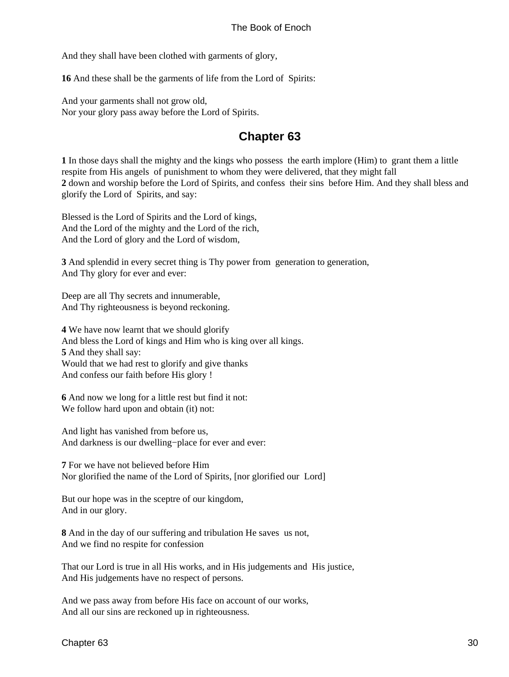<span id="page-33-0"></span>And they shall have been clothed with garments of glory,

**16** And these shall be the garments of life from the Lord of Spirits:

And your garments shall not grow old, Nor your glory pass away before the Lord of Spirits.

### **Chapter 63**

**1** In those days shall the mighty and the kings who possess the earth implore (Him) to grant them a little respite from His angels of punishment to whom they were delivered, that they might fall **2** down and worship before the Lord of Spirits, and confess their sins before Him. And they shall bless and glorify the Lord of Spirits, and say:

Blessed is the Lord of Spirits and the Lord of kings, And the Lord of the mighty and the Lord of the rich, And the Lord of glory and the Lord of wisdom,

**3** And splendid in every secret thing is Thy power from generation to generation, And Thy glory for ever and ever:

Deep are all Thy secrets and innumerable, And Thy righteousness is beyond reckoning.

**4** We have now learnt that we should glorify And bless the Lord of kings and Him who is king over all kings. **5** And they shall say: Would that we had rest to glorify and give thanks And confess our faith before His glory !

**6** And now we long for a little rest but find it not: We follow hard upon and obtain (it) not:

And light has vanished from before us, And darkness is our dwelling−place for ever and ever:

**7** For we have not believed before Him Nor glorified the name of the Lord of Spirits, [nor glorified our Lord]

But our hope was in the sceptre of our kingdom, And in our glory.

**8** And in the day of our suffering and tribulation He saves us not, And we find no respite for confession

That our Lord is true in all His works, and in His judgements and His justice, And His judgements have no respect of persons.

And we pass away from before His face on account of our works, And all our sins are reckoned up in righteousness.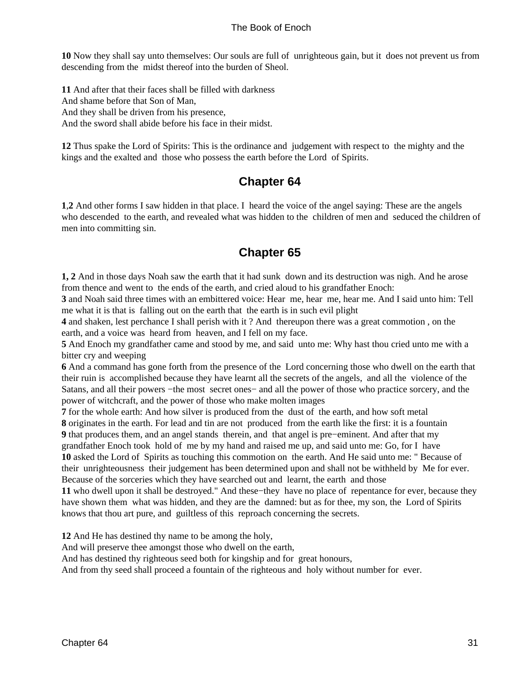<span id="page-34-0"></span>**10** Now they shall say unto themselves: Our souls are full of unrighteous gain, but it does not prevent us from descending from the midst thereof into the burden of Sheol.

**11** And after that their faces shall be filled with darkness And shame before that Son of Man, And they shall be driven from his presence, And the sword shall abide before his face in their midst.

**12** Thus spake the Lord of Spirits: This is the ordinance and judgement with respect to the mighty and the kings and the exalted and those who possess the earth before the Lord of Spirits.

### **Chapter 64**

**1**,**2** And other forms I saw hidden in that place. I heard the voice of the angel saying: These are the angels who descended to the earth, and revealed what was hidden to the children of men and seduced the children of men into committing sin.

### **Chapter 65**

**1, 2** And in those days Noah saw the earth that it had sunk down and its destruction was nigh. And he arose from thence and went to the ends of the earth, and cried aloud to his grandfather Enoch:

**3** and Noah said three times with an embittered voice: Hear me, hear me, hear me. And I said unto him: Tell me what it is that is falling out on the earth that the earth is in such evil plight

**4** and shaken, lest perchance I shall perish with it ? And thereupon there was a great commotion , on the earth, and a voice was heard from heaven, and I fell on my face.

**5** And Enoch my grandfather came and stood by me, and said unto me: Why hast thou cried unto me with a bitter cry and weeping

**6** And a command has gone forth from the presence of the Lord concerning those who dwell on the earth that their ruin is accomplished because they have learnt all the secrets of the angels, and all the violence of the Satans, and all their powers −the most secret ones− and all the power of those who practice sorcery, and the power of witchcraft, and the power of those who make molten images

**7** for the whole earth: And how silver is produced from the dust of the earth, and how soft metal **8** originates in the earth. For lead and tin are not produced from the earth like the first: it is a fountain **9** that produces them, and an angel stands therein, and that angel is pre−eminent. And after that my grandfather Enoch took hold of me by my hand and raised me up, and said unto me: Go, for I have **10** asked the Lord of Spirits as touching this commotion on the earth. And He said unto me: " Because of their unrighteousness their judgement has been determined upon and shall not be withheld by Me for ever. Because of the sorceries which they have searched out and learnt, the earth and those

**11** who dwell upon it shall be destroyed." And these−they have no place of repentance for ever, because they have shown them what was hidden, and they are the damned: but as for thee, my son, the Lord of Spirits knows that thou art pure, and guiltless of this reproach concerning the secrets.

**12** And He has destined thy name to be among the holy,

And will preserve thee amongst those who dwell on the earth,

And has destined thy righteous seed both for kingship and for great honours,

And from thy seed shall proceed a fountain of the righteous and holy without number for ever.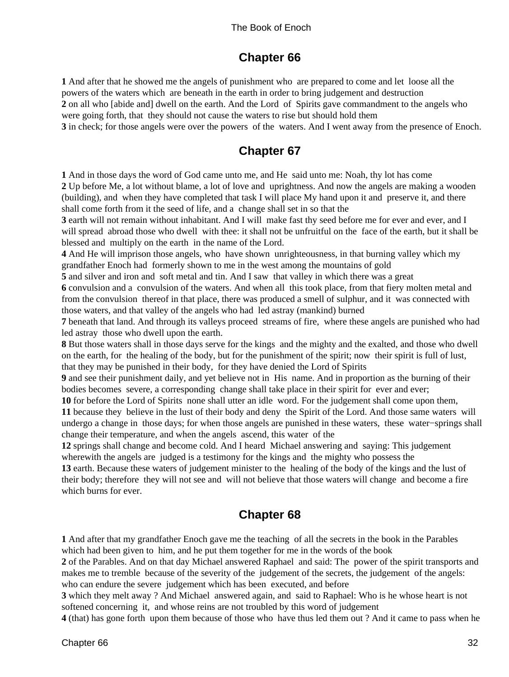### **Chapter 66**

<span id="page-35-0"></span>**1** And after that he showed me the angels of punishment who are prepared to come and let loose all the powers of the waters which are beneath in the earth in order to bring judgement and destruction **2** on all who [abide and] dwell on the earth. And the Lord of Spirits gave commandment to the angels who were going forth, that they should not cause the waters to rise but should hold them **3** in check; for those angels were over the powers of the waters. And I went away from the presence of Enoch.

### **Chapter 67**

**1** And in those days the word of God came unto me, and He said unto me: Noah, thy lot has come **2** Up before Me, a lot without blame, a lot of love and uprightness. And now the angels are making a wooden (building), and when they have completed that task I will place My hand upon it and preserve it, and there shall come forth from it the seed of life, and a change shall set in so that the

**3** earth will not remain without inhabitant. And I will make fast thy seed before me for ever and ever, and I will spread abroad those who dwell with thee: it shall not be unfruitful on the face of the earth, but it shall be blessed and multiply on the earth in the name of the Lord.

**4** And He will imprison those angels, who have shown unrighteousness, in that burning valley which my grandfather Enoch had formerly shown to me in the west among the mountains of gold

**5** and silver and iron and soft metal and tin. And I saw that valley in which there was a great

**6** convulsion and a convulsion of the waters. And when all this took place, from that fiery molten metal and from the convulsion thereof in that place, there was produced a smell of sulphur, and it was connected with those waters, and that valley of the angels who had led astray (mankind) burned

**7** beneath that land. And through its valleys proceed streams of fire, where these angels are punished who had led astray those who dwell upon the earth.

**8** But those waters shall in those days serve for the kings and the mighty and the exalted, and those who dwell on the earth, for the healing of the body, but for the punishment of the spirit; now their spirit is full of lust, that they may be punished in their body, for they have denied the Lord of Spirits

**9** and see their punishment daily, and yet believe not in His name. And in proportion as the burning of their bodies becomes severe, a corresponding change shall take place in their spirit for ever and ever;

**10** for before the Lord of Spirits none shall utter an idle word. For the judgement shall come upon them, **11** because they believe in the lust of their body and deny the Spirit of the Lord. And those same waters will undergo a change in those days; for when those angels are punished in these waters, these water−springs shall change their temperature, and when the angels ascend, this water of the

**12** springs shall change and become cold. And I heard Michael answering and saying: This judgement wherewith the angels are judged is a testimony for the kings and the mighty who possess the

**13** earth. Because these waters of judgement minister to the healing of the body of the kings and the lust of their body; therefore they will not see and will not believe that those waters will change and become a fire which burns for ever.

### **Chapter 68**

**1** And after that my grandfather Enoch gave me the teaching of all the secrets in the book in the Parables which had been given to him, and he put them together for me in the words of the book

**2** of the Parables. And on that day Michael answered Raphael and said: The power of the spirit transports and makes me to tremble because of the severity of the judgement of the secrets, the judgement of the angels: who can endure the severe judgement which has been executed, and before

**3** which they melt away ? And Michael answered again, and said to Raphael: Who is he whose heart is not softened concerning it, and whose reins are not troubled by this word of judgement

**4** (that) has gone forth upon them because of those who have thus led them out ? And it came to pass when he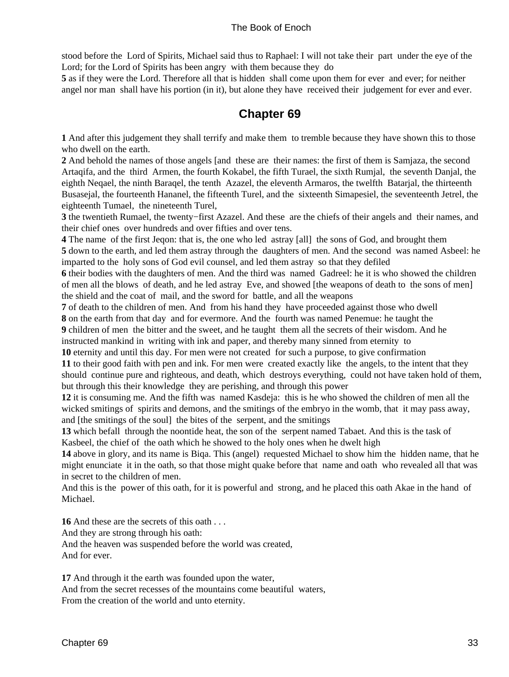<span id="page-36-0"></span>stood before the Lord of Spirits, Michael said thus to Raphael: I will not take their part under the eye of the Lord; for the Lord of Spirits has been angry with them because they do

**5** as if they were the Lord. Therefore all that is hidden shall come upon them for ever and ever; for neither angel nor man shall have his portion (in it), but alone they have received their judgement for ever and ever.

### **Chapter 69**

**1** And after this judgement they shall terrify and make them to tremble because they have shown this to those who dwell on the earth.

**2** And behold the names of those angels [and these are their names: the first of them is Samjaza, the second Artaqifa, and the third Armen, the fourth Kokabel, the fifth Turael, the sixth Rumjal, the seventh Danjal, the eighth Neqael, the ninth Baraqel, the tenth Azazel, the eleventh Armaros, the twelfth Batarjal, the thirteenth Busasejal, the fourteenth Hananel, the fifteenth Turel, and the sixteenth Simapesiel, the seventeenth Jetrel, the eighteenth Tumael, the nineteenth Turel,

**3** the twentieth Rumael, the twenty−first Azazel. And these are the chiefs of their angels and their names, and their chief ones over hundreds and over fifties and over tens.

**4** The name of the first Jeqon: that is, the one who led astray [all] the sons of God, and brought them

**5** down to the earth, and led them astray through the daughters of men. And the second was named Asbeel: he imparted to the holy sons of God evil counsel, and led them astray so that they defiled

**6** their bodies with the daughters of men. And the third was named Gadreel: he it is who showed the children of men all the blows of death, and he led astray Eve, and showed [the weapons of death to the sons of men] the shield and the coat of mail, and the sword for battle, and all the weapons

**7** of death to the children of men. And from his hand they have proceeded against those who dwell

**8** on the earth from that day and for evermore. And the fourth was named Penemue: he taught the

**9** children of men the bitter and the sweet, and he taught them all the secrets of their wisdom. And he

instructed mankind in writing with ink and paper, and thereby many sinned from eternity to

**10** eternity and until this day. For men were not created for such a purpose, to give confirmation

**11** to their good faith with pen and ink. For men were created exactly like the angels, to the intent that they should continue pure and righteous, and death, which destroys everything, could not have taken hold of them, but through this their knowledge they are perishing, and through this power

**12** it is consuming me. And the fifth was named Kasdeja: this is he who showed the children of men all the wicked smitings of spirits and demons, and the smitings of the embryo in the womb, that it may pass away, and [the smitings of the soul] the bites of the serpent, and the smitings

**13** which befall through the noontide heat, the son of the serpent named Tabaet. And this is the task of Kasbeel, the chief of the oath which he showed to the holy ones when he dwelt high

**14** above in glory, and its name is Biqa. This (angel) requested Michael to show him the hidden name, that he might enunciate it in the oath, so that those might quake before that name and oath who revealed all that was in secret to the children of men.

And this is the power of this oath, for it is powerful and strong, and he placed this oath Akae in the hand of Michael.

**16** And these are the secrets of this oath . . .

And they are strong through his oath:

And the heaven was suspended before the world was created,

And for ever.

**17** And through it the earth was founded upon the water,

And from the secret recesses of the mountains come beautiful waters,

From the creation of the world and unto eternity.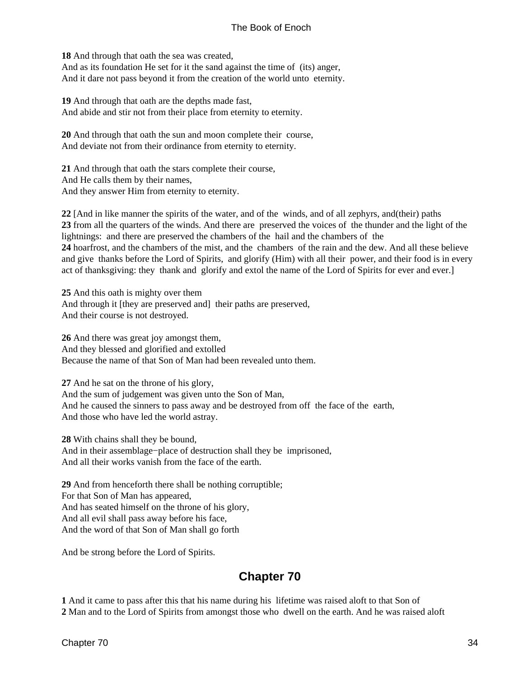<span id="page-37-0"></span>**18** And through that oath the sea was created, And as its foundation He set for it the sand against the time of (its) anger, And it dare not pass beyond it from the creation of the world unto eternity.

**19** And through that oath are the depths made fast, And abide and stir not from their place from eternity to eternity.

**20** And through that oath the sun and moon complete their course, And deviate not from their ordinance from eternity to eternity.

**21** And through that oath the stars complete their course, And He calls them by their names, And they answer Him from eternity to eternity.

**22** [And in like manner the spirits of the water, and of the winds, and of all zephyrs, and(their) paths **23** from all the quarters of the winds. And there are preserved the voices of the thunder and the light of the lightnings: and there are preserved the chambers of the hail and the chambers of the **24** hoarfrost, and the chambers of the mist, and the chambers of the rain and the dew. And all these believe and give thanks before the Lord of Spirits, and glorify (Him) with all their power, and their food is in every act of thanksgiving: they thank and glorify and extol the name of the Lord of Spirits for ever and ever.]

**25** And this oath is mighty over them And through it [they are preserved and] their paths are preserved, And their course is not destroyed.

**26** And there was great joy amongst them, And they blessed and glorified and extolled Because the name of that Son of Man had been revealed unto them.

**27** And he sat on the throne of his glory, And the sum of judgement was given unto the Son of Man, And he caused the sinners to pass away and be destroyed from off the face of the earth, And those who have led the world astray.

**28** With chains shall they be bound, And in their assemblage−place of destruction shall they be imprisoned, And all their works vanish from the face of the earth.

**29** And from henceforth there shall be nothing corruptible; For that Son of Man has appeared, And has seated himself on the throne of his glory, And all evil shall pass away before his face, And the word of that Son of Man shall go forth

And be strong before the Lord of Spirits.

### **Chapter 70**

**1** And it came to pass after this that his name during his lifetime was raised aloft to that Son of **2** Man and to the Lord of Spirits from amongst those who dwell on the earth. And he was raised aloft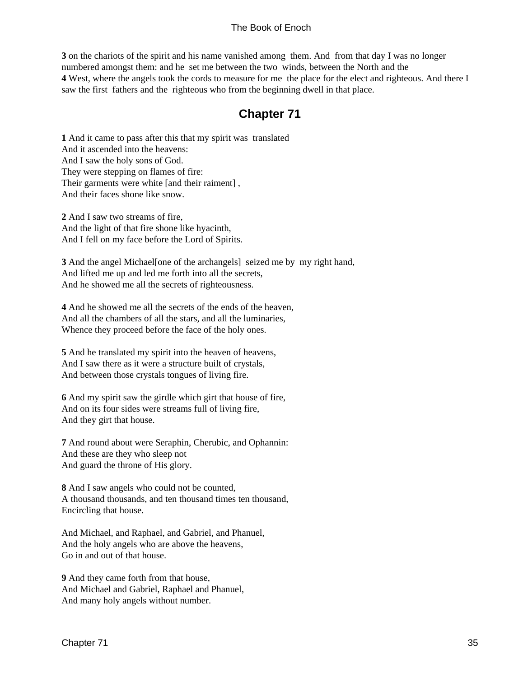<span id="page-38-0"></span>**3** on the chariots of the spirit and his name vanished among them. And from that day I was no longer numbered amongst them: and he set me between the two winds, between the North and the **4** West, where the angels took the cords to measure for me the place for the elect and righteous. And there I saw the first fathers and the righteous who from the beginning dwell in that place.

### **Chapter 71**

**1** And it came to pass after this that my spirit was translated And it ascended into the heavens: And I saw the holy sons of God. They were stepping on flames of fire: Their garments were white [and their raiment] , And their faces shone like snow.

**2** And I saw two streams of fire, And the light of that fire shone like hyacinth, And I fell on my face before the Lord of Spirits.

**3** And the angel Michael[one of the archangels] seized me by my right hand, And lifted me up and led me forth into all the secrets, And he showed me all the secrets of righteousness.

**4** And he showed me all the secrets of the ends of the heaven, And all the chambers of all the stars, and all the luminaries, Whence they proceed before the face of the holy ones.

**5** And he translated my spirit into the heaven of heavens, And I saw there as it were a structure built of crystals, And between those crystals tongues of living fire.

**6** And my spirit saw the girdle which girt that house of fire, And on its four sides were streams full of living fire, And they girt that house.

**7** And round about were Seraphin, Cherubic, and Ophannin: And these are they who sleep not And guard the throne of His glory.

**8** And I saw angels who could not be counted, A thousand thousands, and ten thousand times ten thousand, Encircling that house.

And Michael, and Raphael, and Gabriel, and Phanuel, And the holy angels who are above the heavens, Go in and out of that house.

**9** And they came forth from that house, And Michael and Gabriel, Raphael and Phanuel, And many holy angels without number.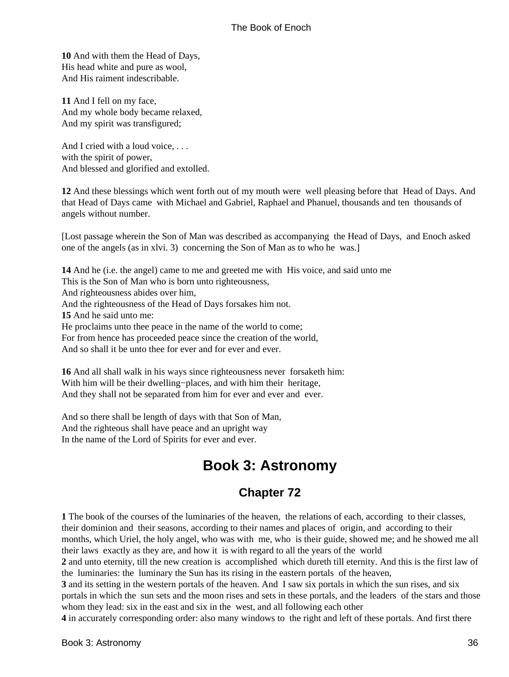<span id="page-39-0"></span>**10** And with them the Head of Days, His head white and pure as wool, And His raiment indescribable.

**11** And I fell on my face, And my whole body became relaxed, And my spirit was transfigured;

And I cried with a loud voice, ... with the spirit of power, And blessed and glorified and extolled.

**12** And these blessings which went forth out of my mouth were well pleasing before that Head of Days. And that Head of Days came with Michael and Gabriel, Raphael and Phanuel, thousands and ten thousands of angels without number.

[Lost passage wherein the Son of Man was described as accompanying the Head of Days, and Enoch asked one of the angels (as in xlvi. 3) concerning the Son of Man as to who he was.]

**14** And he (i.e. the angel) came to me and greeted me with His voice, and said unto me This is the Son of Man who is born unto righteousness, And righteousness abides over him, And the righteousness of the Head of Days forsakes him not. **15** And he said unto me: He proclaims unto thee peace in the name of the world to come; For from hence has proceeded peace since the creation of the world, And so shall it be unto thee for ever and for ever and ever.

**16** And all shall walk in his ways since righteousness never forsaketh him: With him will be their dwelling−places, and with him their heritage, And they shall not be separated from him for ever and ever and ever.

And so there shall be length of days with that Son of Man, And the righteous shall have peace and an upright way In the name of the Lord of Spirits for ever and ever.

# **Book 3: Astronomy**

### **Chapter 72**

**1** The book of the courses of the luminaries of the heaven, the relations of each, according to their classes, their dominion and their seasons, according to their names and places of origin, and according to their months, which Uriel, the holy angel, who was with me, who is their guide, showed me; and he showed me all their laws exactly as they are, and how it is with regard to all the years of the world

**2** and unto eternity, till the new creation is accomplished which dureth till eternity. And this is the first law of the luminaries: the luminary the Sun has its rising in the eastern portals of the heaven,

**3** and its setting in the western portals of the heaven. And I saw six portals in which the sun rises, and six portals in which the sun sets and the moon rises and sets in these portals, and the leaders of the stars and those whom they lead: six in the east and six in the west, and all following each other

**4** in accurately corresponding order: also many windows to the right and left of these portals. And first there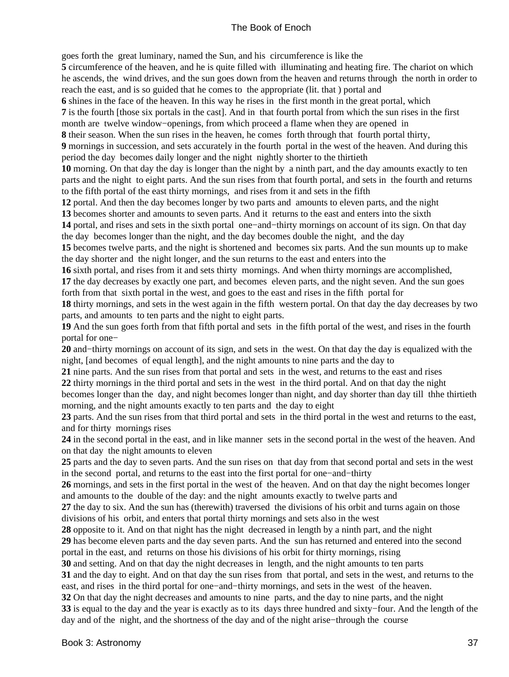goes forth the great luminary, named the Sun, and his circumference is like the

**5** circumference of the heaven, and he is quite filled with illuminating and heating fire. The chariot on which he ascends, the wind drives, and the sun goes down from the heaven and returns through the north in order to reach the east, and is so guided that he comes to the appropriate (lit. that ) portal and

**6** shines in the face of the heaven. In this way he rises in the first month in the great portal, which

**7** is the fourth [those six portals in the cast]. And in that fourth portal from which the sun rises in the first

month are twelve window−openings, from which proceed a flame when they are opened in

**8** their season. When the sun rises in the heaven, he comes forth through that fourth portal thirty, **9** mornings in succession, and sets accurately in the fourth portal in the west of the heaven. And during this period the day becomes daily longer and the night nightly shorter to the thirtieth

**10** morning. On that day the day is longer than the night by a ninth part, and the day amounts exactly to ten parts and the night to eight parts. And the sun rises from that fourth portal, and sets in the fourth and returns to the fifth portal of the east thirty mornings, and rises from it and sets in the fifth

**12** portal. And then the day becomes longer by two parts and amounts to eleven parts, and the night

**13** becomes shorter and amounts to seven parts. And it returns to the east and enters into the sixth

**14** portal, and rises and sets in the sixth portal one−and−thirty mornings on account of its sign. On that day the day becomes longer than the night, and the day becomes double the night, and the day

**15** becomes twelve parts, and the night is shortened and becomes six parts. And the sun mounts up to make the day shorter and the night longer, and the sun returns to the east and enters into the

**16** sixth portal, and rises from it and sets thirty mornings. And when thirty mornings are accomplished,

**17** the day decreases by exactly one part, and becomes eleven parts, and the night seven. And the sun goes forth from that sixth portal in the west, and goes to the east and rises in the fifth portal for

**18** thirty mornings, and sets in the west again in the fifth western portal. On that day the day decreases by two parts, and amounts to ten parts and the night to eight parts.

**19** And the sun goes forth from that fifth portal and sets in the fifth portal of the west, and rises in the fourth portal for one−

**20** and−thirty mornings on account of its sign, and sets in the west. On that day the day is equalized with the night, [and becomes of equal length], and the night amounts to nine parts and the day to

**21** nine parts. And the sun rises from that portal and sets in the west, and returns to the east and rises

**22** thirty mornings in the third portal and sets in the west in the third portal. And on that day the night

becomes longer than the day, and night becomes longer than night, and day shorter than day till thhe thirtieth morning, and the night amounts exactly to ten parts and the day to eight

**23** parts. And the sun rises from that third portal and sets in the third portal in the west and returns to the east, and for thirty mornings rises

**24** in the second portal in the east, and in like manner sets in the second portal in the west of the heaven. And on that day the night amounts to eleven

**25** parts and the day to seven parts. And the sun rises on that day from that second portal and sets in the west in the second portal, and returns to the east into the first portal for one−and−thirty

**26** mornings, and sets in the first portal in the west of the heaven. And on that day the night becomes longer and amounts to the double of the day: and the night amounts exactly to twelve parts and

**27** the day to six. And the sun has (therewith) traversed the divisions of his orbit and turns again on those divisions of his orbit, and enters that portal thirty mornings and sets also in the west

**28** opposite to it. And on that night has the night decreased in length by a ninth part, and the night

**29** has become eleven parts and the day seven parts. And the sun has returned and entered into the second portal in the east, and returns on those his divisions of his orbit for thirty mornings, rising

**30** and setting. And on that day the night decreases in length, and the night amounts to ten parts

**31** and the day to eight. And on that day the sun rises from that portal, and sets in the west, and returns to the east, and rises in the third portal for one−and−thirty mornings, and sets in the west of the heaven.

**32** On that day the night decreases and amounts to nine parts, and the day to nine parts, and the night **33** is equal to the day and the year is exactly as to its days three hundred and sixty−four. And the length of the day and of the night, and the shortness of the day and of the night arise−through the course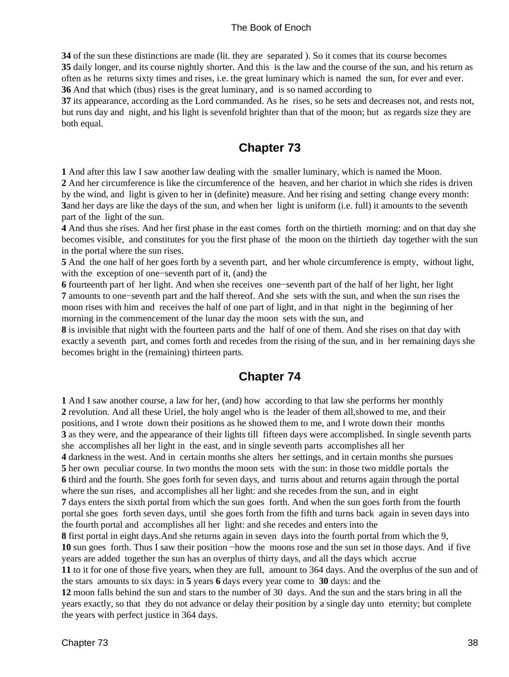<span id="page-41-0"></span> of the sun these distinctions are made (lit. they are separated ). So it comes that its course becomes daily longer, and its course nightly shorter. And this is the law and the course of the sun, and his return as often as he returns sixty times and rises, i.e. the great luminary which is named the sun, for ever and ever. And that which (thus) rises is the great luminary, and is so named according to

**37** its appearance, according as the Lord commanded. As he rises, so he sets and decreases not, and rests not, but runs day and night, and his light is sevenfold brighter than that of the moon; but as regards size they are both equal.

### **Chapter 73**

**1** And after this law I saw another law dealing with the smaller luminary, which is named the Moon.

**2** And her circumference is like the circumference of the heaven, and her chariot in which she rides is driven by the wind, and light is given to her in (definite) measure. And her rising and setting change every month: **3**and her days are like the days of the sun, and when her light is uniform (i.e. full) it amounts to the seventh part of the light of the sun.

**4** And thus she rises. And her first phase in the east comes forth on the thirtieth morning: and on that day she becomes visible, and constitutes for you the first phase of the moon on the thirtieth day together with the sun in the portal where the sun rises.

**5** And the one half of her goes forth by a seventh part, and her whole circumference is empty, without light, with the exception of one−seventh part of it, (and) the

**6** fourteenth part of her light. And when she receives one−seventh part of the half of her light, her light **7** amounts to one−seventh part and the half thereof. And she sets with the sun, and when the sun rises the moon rises with him and receives the half of one part of light, and in that night in the beginning of her morning in the commencement of the lunar day the moon sets with the sun, and

**8** is invisible that night with the fourteen parts and the half of one of them. And she rises on that day with exactly a seventh part, and comes forth and recedes from the rising of the sun, and in her remaining days she becomes bright in the (remaining) thirteen parts.

### **Chapter 74**

**1** And I saw another course, a law for her, (and) how according to that law she performs her monthly **2** revolution. And all these Uriel, the holy angel who is the leader of them all,showed to me, and their positions, and I wrote down their positions as he showed them to me, and I wrote down their months **3** as they were, and the appearance of their lights till fifteen days were accomplished. In single seventh parts she accomplishes all her light in the east, and in single seventh parts accomplishes all her **4** darkness in the west. And in certain months she alters her settings, and in certain months she pursues **5** her own peculiar course. In two months the moon sets with the sun: in those two middle portals the **6** third and the fourth. She goes forth for seven days, and turns about and returns again through the portal where the sun rises, and accomplishes all her light: and she recedes from the sun, and in eight **7** days enters the sixth portal from which the sun goes forth. And when the sun goes forth from the fourth portal she goes forth seven days, until she goes forth from the fifth and turns back again in seven days into the fourth portal and accomplishes all her light: and she recedes and enters into the **8** first portal in eight days.And she returns again in seven days into the fourth portal from which the 9, **10** sun goes forth. Thus I saw their position −how the moons rose and the sun set in those days. And if five years are added together the sun has an overplus of thirty days, and all the days which accrue **11** to it for one of those five years, when they are full, amount to 364 days. And the overplus of the sun and of the stars amounts to six days: in **5** years **6** days every year come to **30** days: and the **12** moon falls behind the sun and stars to the number of 30 days. And the sun and the stars bring in all the years exactly, so that they do not advance or delay their position by a single day unto eternity; but complete the years with perfect justice in 364 days.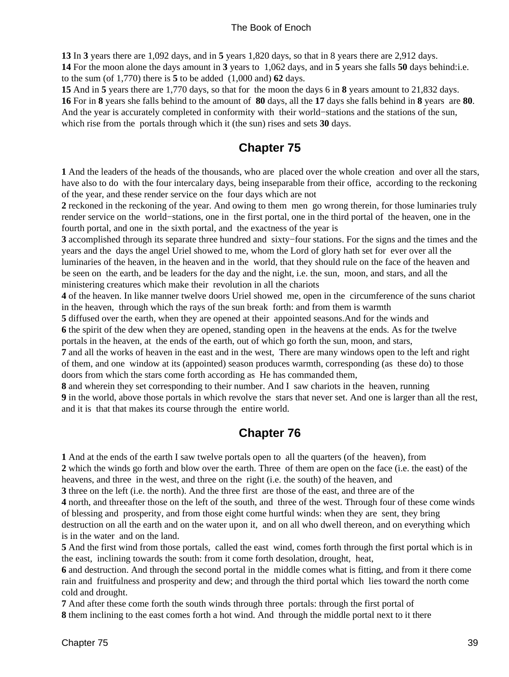<span id="page-42-0"></span>**13** In **3** years there are 1,092 days, and in **5** years 1,820 days, so that in 8 years there are 2,912 days.

**14** For the moon alone the days amount in **3** years to 1,062 days, and in **5** years she falls **50** days behind:i.e. to the sum (of 1,770) there is **5** to be added (1,000 and) **62** days.

**15** And in **5** years there are 1,770 days, so that for the moon the days 6 in **8** years amount to 21,832 days. **16** For in **8** years she falls behind to the amount of **80** days, all the **17** days she falls behind in **8** years are **80**. And the year is accurately completed in conformity with their world−stations and the stations of the sun, which rise from the portals through which it (the sun) rises and sets **30** days.

### **Chapter 75**

**1** And the leaders of the heads of the thousands, who are placed over the whole creation and over all the stars, have also to do with the four intercalary days, being inseparable from their office, according to the reckoning of the year, and these render service on the four days which are not

**2** reckoned in the reckoning of the year. And owing to them men go wrong therein, for those luminaries truly render service on the world−stations, one in the first portal, one in the third portal of the heaven, one in the fourth portal, and one in the sixth portal, and the exactness of the year is

**3** accomplished through its separate three hundred and sixty−four stations. For the signs and the times and the years and the days the angel Uriel showed to me, whom the Lord of glory hath set for ever over all the

luminaries of the heaven, in the heaven and in the world, that they should rule on the face of the heaven and be seen on the earth, and be leaders for the day and the night, i.e. the sun, moon, and stars, and all the ministering creatures which make their revolution in all the chariots

**4** of the heaven. In like manner twelve doors Uriel showed me, open in the circumference of the suns chariot in the heaven, through which the rays of the sun break forth: and from them is warmth

**5** diffused over the earth, when they are opened at their appointed seasons.And for the winds and **6** the spirit of the dew when they are opened, standing open in the heavens at the ends. As for the twelve portals in the heaven, at the ends of the earth, out of which go forth the sun, moon, and stars,

**7** and all the works of heaven in the east and in the west, There are many windows open to the left and right of them, and one window at its (appointed) season produces warmth, corresponding (as these do) to those doors from which the stars come forth according as He has commanded them,

**8** and wherein they set corresponding to their number. And I saw chariots in the heaven, running **9** in the world, above those portals in which revolve the stars that never set. And one is larger than all the rest, and it is that that makes its course through the entire world.

### **Chapter 76**

**1** And at the ends of the earth I saw twelve portals open to all the quarters (of the heaven), from **2** which the winds go forth and blow over the earth. Three of them are open on the face (i.e. the east) of the heavens, and three in the west, and three on the right (i.e. the south) of the heaven, and

**3** three on the left (i.e. the north). And the three first are those of the east, and three are of the

**4** north, and threeafter those on the left of the south, and three of the west. Through four of these come winds of blessing and prosperity, and from those eight come hurtful winds: when they are sent, they bring destruction on all the earth and on the water upon it, and on all who dwell thereon, and on everything which

is in the water and on the land.

**5** And the first wind from those portals, called the east wind, comes forth through the first portal which is in the east, inclining towards the south: from it come forth desolation, drought, heat,

**6** and destruction. And through the second portal in the middle comes what is fitting, and from it there come rain and fruitfulness and prosperity and dew; and through the third portal which lies toward the north come cold and drought.

**7** And after these come forth the south winds through three portals: through the first portal of **8** them inclining to the east comes forth a hot wind. And through the middle portal next to it there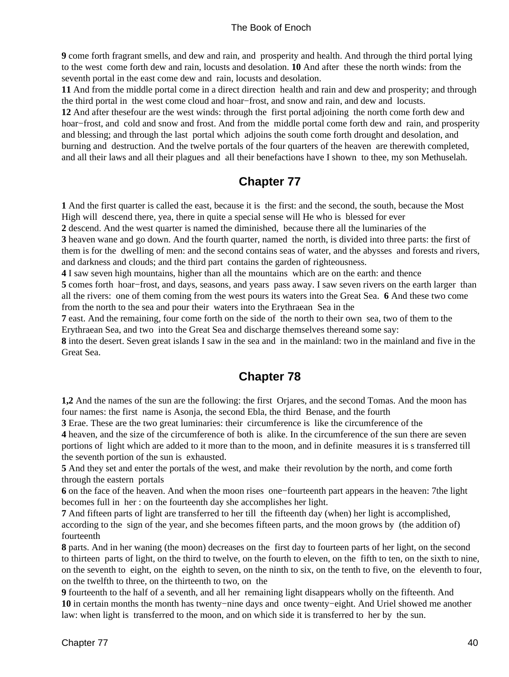<span id="page-43-0"></span>**9** come forth fragrant smells, and dew and rain, and prosperity and health. And through the third portal lying to the west come forth dew and rain, locusts and desolation. **10** And after these the north winds: from the seventh portal in the east come dew and rain, locusts and desolation.

**11** And from the middle portal come in a direct direction health and rain and dew and prosperity; and through the third portal in the west come cloud and hoar−frost, and snow and rain, and dew and locusts.

**12** And after thesefour are the west winds: through the first portal adjoining the north come forth dew and hoar−frost, and cold and snow and frost. And from the middle portal come forth dew and rain, and prosperity and blessing; and through the last portal which adjoins the south come forth drought and desolation, and burning and destruction. And the twelve portals of the four quarters of the heaven are therewith completed, and all their laws and all their plagues and all their benefactions have I shown to thee, my son Methuselah.

### **Chapter 77**

**1** And the first quarter is called the east, because it is the first: and the second, the south, because the Most High will descend there, yea, there in quite a special sense will He who is blessed for ever

**2** descend. And the west quarter is named the diminished, because there all the luminaries of the **3** heaven wane and go down. And the fourth quarter, named the north, is divided into three parts: the first of them is for the dwelling of men: and the second contains seas of water, and the abysses and forests and rivers, and darkness and clouds; and the third part contains the garden of righteousness.

**4** I saw seven high mountains, higher than all the mountains which are on the earth: and thence

**5** comes forth hoar−frost, and days, seasons, and years pass away. I saw seven rivers on the earth larger than all the rivers: one of them coming from the west pours its waters into the Great Sea. **6** And these two come from the north to the sea and pour their waters into the Erythraean Sea in the

**7** east. And the remaining, four come forth on the side of the north to their own sea, two of them to the Erythraean Sea, and two into the Great Sea and discharge themselves thereand some say:

**8** into the desert. Seven great islands I saw in the sea and in the mainland: two in the mainland and five in the Great Sea.

### **Chapter 78**

**1,2** And the names of the sun are the following: the first Orjares, and the second Tomas. And the moon has four names: the first name is Asonja, the second Ebla, the third Benase, and the fourth

**3** Erae. These are the two great luminaries: their circumference is like the circumference of the

**4** heaven, and the size of the circumference of both is alike. In the circumference of the sun there are seven portions of light which are added to it more than to the moon, and in definite measures it is s transferred till the seventh portion of the sun is exhausted.

**5** And they set and enter the portals of the west, and make their revolution by the north, and come forth through the eastern portals

**6** on the face of the heaven. And when the moon rises one−fourteenth part appears in the heaven: 7the light becomes full in her : on the fourteenth day she accomplishes her light.

**7** And fifteen parts of light are transferred to her till the fifteenth day (when) her light is accomplished, according to the sign of the year, and she becomes fifteen parts, and the moon grows by (the addition of) fourteenth

**8** parts. And in her waning (the moon) decreases on the first day to fourteen parts of her light, on the second to thirteen parts of light, on the third to twelve, on the fourth to eleven, on the fifth to ten, on the sixth to nine, on the seventh to eight, on the eighth to seven, on the ninth to six, on the tenth to five, on the eleventh to four, on the twelfth to three, on the thirteenth to two, on the

**9** fourteenth to the half of a seventh, and all her remaining light disappears wholly on the fifteenth. And **10** in certain months the month has twenty−nine days and once twenty−eight. And Uriel showed me another law: when light is transferred to the moon, and on which side it is transferred to her by the sun.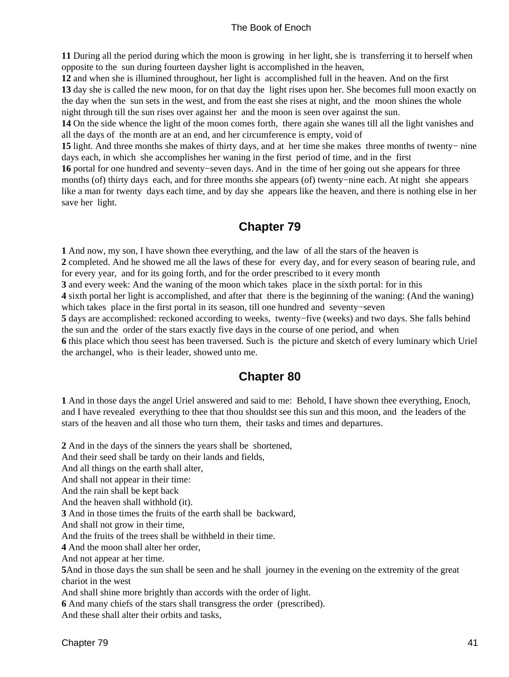<span id="page-44-0"></span>**11** During all the period during which the moon is growing in her light, she is transferring it to herself when opposite to the sun during fourteen daysher light is accomplished in the heaven,

**12** and when she is illumined throughout, her light is accomplished full in the heaven. And on the first **13** day she is called the new moon, for on that day the light rises upon her. She becomes full moon exactly on the day when the sun sets in the west, and from the east she rises at night, and the moon shines the whole night through till the sun rises over against her and the moon is seen over against the sun.

**14** On the side whence the light of the moon comes forth, there again she wanes till all the light vanishes and all the days of the month are at an end, and her circumference is empty, void of

**15** light. And three months she makes of thirty days, and at her time she makes three months of twenty− nine days each, in which she accomplishes her waning in the first period of time, and in the first

**16** portal for one hundred and seventy−seven days. And in the time of her going out she appears for three months (of) thirty days each, and for three months she appears (of) twenty−nine each. At night she appears like a man for twenty days each time, and by day she appears like the heaven, and there is nothing else in her save her light.

### **Chapter 79**

**1** And now, my son, I have shown thee everything, and the law of all the stars of the heaven is **2** completed. And he showed me all the laws of these for every day, and for every season of bearing rule, and for every year, and for its going forth, and for the order prescribed to it every month **3** and every week: And the waning of the moon which takes place in the sixth portal: for in this **4** sixth portal her light is accomplished, and after that there is the beginning of the waning: (And the waning) which takes place in the first portal in its season, till one hundred and seventy−seven **5** days are accomplished: reckoned according to weeks, twenty−five (weeks) and two days. She falls behind the sun and the order of the stars exactly five days in the course of one period, and when **6** this place which thou seest has been traversed. Such is the picture and sketch of every luminary which Uriel the archangel, who is their leader, showed unto me.

### **Chapter 80**

**1** And in those days the angel Uriel answered and said to me: Behold, I have shown thee everything, Enoch, and I have revealed everything to thee that thou shouldst see this sun and this moon, and the leaders of the stars of the heaven and all those who turn them, their tasks and times and departures.

**2** And in the days of the sinners the years shall be shortened,

And their seed shall be tardy on their lands and fields,

And all things on the earth shall alter,

And shall not appear in their time:

And the rain shall be kept back

And the heaven shall withhold (it).

**3** And in those times the fruits of the earth shall be backward,

And shall not grow in their time,

And the fruits of the trees shall be withheld in their time.

**4** And the moon shall alter her order,

And not appear at her time.

**5**And in those days the sun shall be seen and he shall journey in the evening on the extremity of the great chariot in the west

And shall shine more brightly than accords with the order of light.

**6** And many chiefs of the stars shall transgress the order (prescribed).

And these shall alter their orbits and tasks,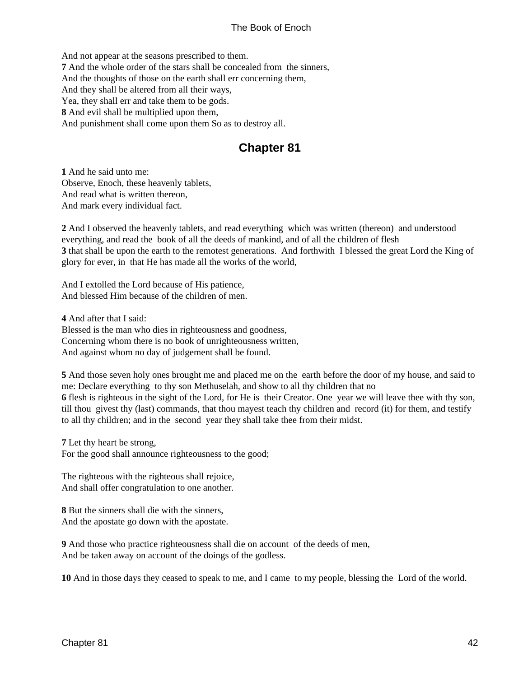<span id="page-45-0"></span>And not appear at the seasons prescribed to them. **7** And the whole order of the stars shall be concealed from the sinners, And the thoughts of those on the earth shall err concerning them, And they shall be altered from all their ways, Yea, they shall err and take them to be gods. **8** And evil shall be multiplied upon them, And punishment shall come upon them So as to destroy all.

### **Chapter 81**

**1** And he said unto me: Observe, Enoch, these heavenly tablets, And read what is written thereon, And mark every individual fact.

**2** And I observed the heavenly tablets, and read everything which was written (thereon) and understood everything, and read the book of all the deeds of mankind, and of all the children of flesh **3** that shall be upon the earth to the remotest generations. And forthwith I blessed the great Lord the King of glory for ever, in that He has made all the works of the world,

And I extolled the Lord because of His patience, And blessed Him because of the children of men.

**4** And after that I said:

Blessed is the man who dies in righteousness and goodness, Concerning whom there is no book of unrighteousness written, And against whom no day of judgement shall be found.

**5** And those seven holy ones brought me and placed me on the earth before the door of my house, and said to me: Declare everything to thy son Methuselah, and show to all thy children that no **6** flesh is righteous in the sight of the Lord, for He is their Creator. One year we will leave thee with thy son, till thou givest thy (last) commands, that thou mayest teach thy children and record (it) for them, and testify to all thy children; and in the second year they shall take thee from their midst.

**7** Let thy heart be strong, For the good shall announce righteousness to the good;

The righteous with the righteous shall rejoice, And shall offer congratulation to one another.

**8** But the sinners shall die with the sinners, And the apostate go down with the apostate.

**9** And those who practice righteousness shall die on account of the deeds of men, And be taken away on account of the doings of the godless.

**10** And in those days they ceased to speak to me, and I came to my people, blessing the Lord of the world.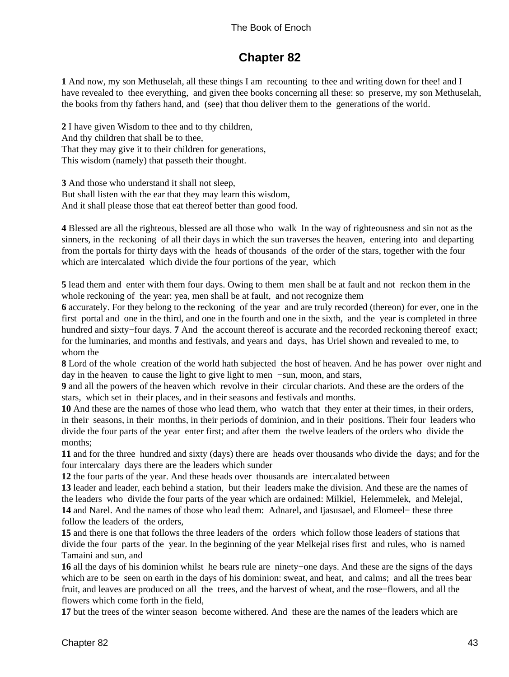### **Chapter 82**

<span id="page-46-0"></span>**1** And now, my son Methuselah, all these things I am recounting to thee and writing down for thee! and I have revealed to thee everything, and given thee books concerning all these: so preserve, my son Methuselah, the books from thy fathers hand, and (see) that thou deliver them to the generations of the world.

**2** I have given Wisdom to thee and to thy children, And thy children that shall be to thee, That they may give it to their children for generations, This wisdom (namely) that passeth their thought.

**3** And those who understand it shall not sleep, But shall listen with the ear that they may learn this wisdom, And it shall please those that eat thereof better than good food.

**4** Blessed are all the righteous, blessed are all those who walk In the way of righteousness and sin not as the sinners, in the reckoning of all their days in which the sun traverses the heaven, entering into and departing from the portals for thirty days with the heads of thousands of the order of the stars, together with the four which are intercalated which divide the four portions of the year, which

**5** lead them and enter with them four days. Owing to them men shall be at fault and not reckon them in the whole reckoning of the year: yea, men shall be at fault, and not recognize them

**6** accurately. For they belong to the reckoning of the year and are truly recorded (thereon) for ever, one in the first portal and one in the third, and one in the fourth and one in the sixth, and the year is completed in three hundred and sixty−four days. **7** And the account thereof is accurate and the recorded reckoning thereof exact; for the luminaries, and months and festivals, and years and days, has Uriel shown and revealed to me, to whom the

**8** Lord of the whole creation of the world hath subjected the host of heaven. And he has power over night and day in the heaven to cause the light to give light to men −sun, moon, and stars,

**9** and all the powers of the heaven which revolve in their circular chariots. And these are the orders of the stars, which set in their places, and in their seasons and festivals and months.

**10** And these are the names of those who lead them, who watch that they enter at their times, in their orders, in their seasons, in their months, in their periods of dominion, and in their positions. Their four leaders who divide the four parts of the year enter first; and after them the twelve leaders of the orders who divide the months;

**11** and for the three hundred and sixty (days) there are heads over thousands who divide the days; and for the four intercalary days there are the leaders which sunder

**12** the four parts of the year. And these heads over thousands are intercalated between

**13** leader and leader, each behind a station, but their leaders make the division. And these are the names of the leaders who divide the four parts of the year which are ordained: Milkiel, Helemmelek, and Melejal, **14** and Narel. And the names of those who lead them: Adnarel, and Ijasusael, and Elomeel− these three follow the leaders of the orders,

**15** and there is one that follows the three leaders of the orders which follow those leaders of stations that divide the four parts of the year. In the beginning of the year Melkejal rises first and rules, who is named Tamaini and sun, and

**16** all the days of his dominion whilst he bears rule are ninety−one days. And these are the signs of the days which are to be seen on earth in the days of his dominion: sweat, and heat, and calms; and all the trees bear fruit, and leaves are produced on all the trees, and the harvest of wheat, and the rose−flowers, and all the flowers which come forth in the field,

**17** but the trees of the winter season become withered. And these are the names of the leaders which are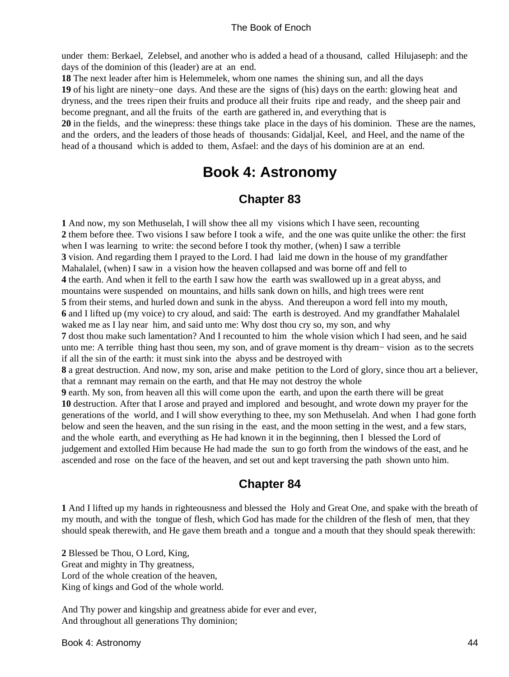<span id="page-47-0"></span>under them: Berkael, Zelebsel, and another who is added a head of a thousand, called Hilujaseph: and the days of the dominion of this (leader) are at an end.

**18** The next leader after him is Helemmelek, whom one names the shining sun, and all the days **19** of his light are ninety−one days. And these are the signs of (his) days on the earth: glowing heat and dryness, and the trees ripen their fruits and produce all their fruits ripe and ready, and the sheep pair and become pregnant, and all the fruits of the earth are gathered in, and everything that is

**20** in the fields, and the winepress: these things take place in the days of his dominion. These are the names, and the orders, and the leaders of those heads of thousands: Gidaljal, Keel, and Heel, and the name of the head of a thousand which is added to them, Asfael: and the days of his dominion are at an end.

## **Book 4: Astronomy**

### **Chapter 83**

**1** And now, my son Methuselah, I will show thee all my visions which I have seen, recounting **2** them before thee. Two visions I saw before I took a wife, and the one was quite unlike the other: the first when I was learning to write: the second before I took thy mother, (when) I saw a terrible **3** vision. And regarding them I prayed to the Lord. I had laid me down in the house of my grandfather Mahalalel, (when) I saw in a vision how the heaven collapsed and was borne off and fell to **4** the earth. And when it fell to the earth I saw how the earth was swallowed up in a great abyss, and mountains were suspended on mountains, and hills sank down on hills, and high trees were rent **5** from their stems, and hurled down and sunk in the abyss. And thereupon a word fell into my mouth, **6** and I lifted up (my voice) to cry aloud, and said: The earth is destroyed. And my grandfather Mahalalel waked me as I lay near him, and said unto me: Why dost thou cry so, my son, and why **7** dost thou make such lamentation? And I recounted to him the whole vision which I had seen, and he said unto me: A terrible thing hast thou seen, my son, and of grave moment is thy dream− vision as to the secrets if all the sin of the earth: it must sink into the abyss and be destroyed with **8** a great destruction. And now, my son, arise and make petition to the Lord of glory, since thou art a believer, that a remnant may remain on the earth, and that He may not destroy the whole **9** earth. My son, from heaven all this will come upon the earth, and upon the earth there will be great **10** destruction. After that I arose and prayed and implored and besought, and wrote down my prayer for the generations of the world, and I will show everything to thee, my son Methuselah. And when I had gone forth below and seen the heaven, and the sun rising in the east, and the moon setting in the west, and a few stars, and the whole earth, and everything as He had known it in the beginning, then I blessed the Lord of judgement and extolled Him because He had made the sun to go forth from the windows of the east, and he ascended and rose on the face of the heaven, and set out and kept traversing the path shown unto him.

### **Chapter 84**

**1** And I lifted up my hands in righteousness and blessed the Holy and Great One, and spake with the breath of my mouth, and with the tongue of flesh, which God has made for the children of the flesh of men, that they should speak therewith, and He gave them breath and a tongue and a mouth that they should speak therewith:

**2** Blessed be Thou, O Lord, King, Great and mighty in Thy greatness, Lord of the whole creation of the heaven, King of kings and God of the whole world.

And Thy power and kingship and greatness abide for ever and ever, And throughout all generations Thy dominion;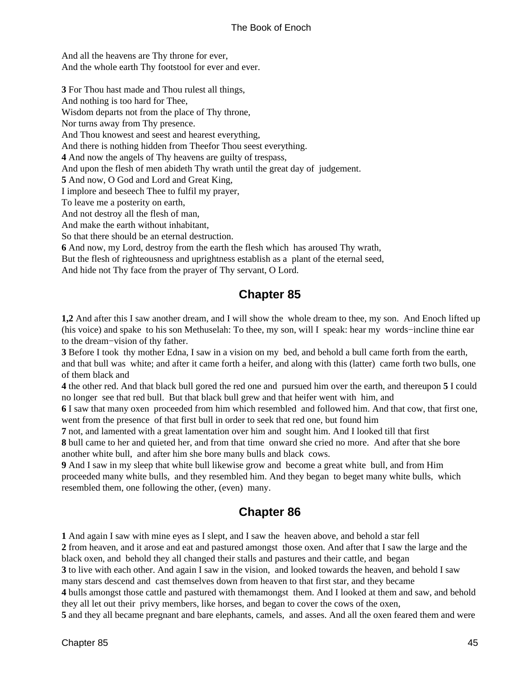<span id="page-48-0"></span>And all the heavens are Thy throne for ever, And the whole earth Thy footstool for ever and ever.

**3** For Thou hast made and Thou rulest all things, And nothing is too hard for Thee, Wisdom departs not from the place of Thy throne, Nor turns away from Thy presence. And Thou knowest and seest and hearest everything, And there is nothing hidden from Theefor Thou seest everything. **4** And now the angels of Thy heavens are guilty of trespass, And upon the flesh of men abideth Thy wrath until the great day of judgement. **5** And now, O God and Lord and Great King, I implore and beseech Thee to fulfil my prayer, To leave me a posterity on earth, And not destroy all the flesh of man, And make the earth without inhabitant, So that there should be an eternal destruction. **6** And now, my Lord, destroy from the earth the flesh which has aroused Thy wrath,

But the flesh of righteousness and uprightness establish as a plant of the eternal seed, And hide not Thy face from the prayer of Thy servant, O Lord.

### **Chapter 85**

**1,2** And after this I saw another dream, and I will show the whole dream to thee, my son. And Enoch lifted up (his voice) and spake to his son Methuselah: To thee, my son, will I speak: hear my words−incline thine ear to the dream−vision of thy father.

**3** Before I took thy mother Edna, I saw in a vision on my bed, and behold a bull came forth from the earth, and that bull was white; and after it came forth a heifer, and along with this (latter) came forth two bulls, one of them black and

**4** the other red. And that black bull gored the red one and pursued him over the earth, and thereupon **5** I could no longer see that red bull. But that black bull grew and that heifer went with him, and

**6** I saw that many oxen proceeded from him which resembled and followed him. And that cow, that first one, went from the presence of that first bull in order to seek that red one, but found him

**7** not, and lamented with a great lamentation over him and sought him. And I looked till that first **8** bull came to her and quieted her, and from that time onward she cried no more. And after that she bore

another white bull, and after him she bore many bulls and black cows.

**9** And I saw in my sleep that white bull likewise grow and become a great white bull, and from Him proceeded many white bulls, and they resembled him. And they began to beget many white bulls, which resembled them, one following the other, (even) many.

### **Chapter 86**

 And again I saw with mine eyes as I slept, and I saw the heaven above, and behold a star fell from heaven, and it arose and eat and pastured amongst those oxen. And after that I saw the large and the black oxen, and behold they all changed their stalls and pastures and their cattle, and began to live with each other. And again I saw in the vision, and looked towards the heaven, and behold I saw many stars descend and cast themselves down from heaven to that first star, and they became bulls amongst those cattle and pastured with themamongst them. And I looked at them and saw, and behold they all let out their privy members, like horses, and began to cover the cows of the oxen, and they all became pregnant and bare elephants, camels, and asses. And all the oxen feared them and were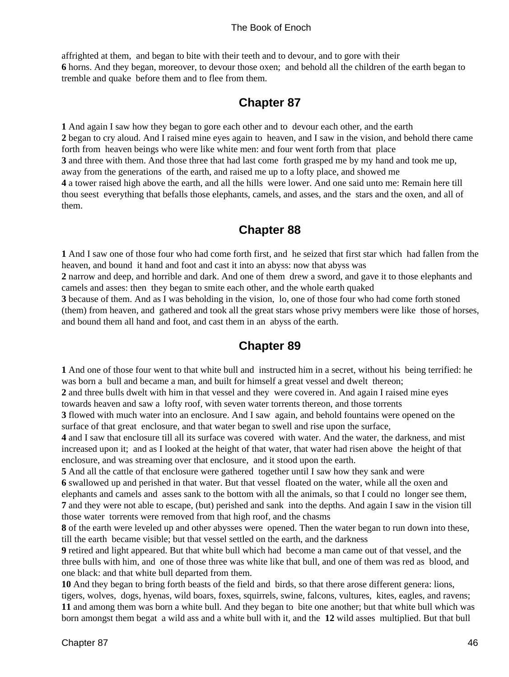<span id="page-49-0"></span>affrighted at them, and began to bite with their teeth and to devour, and to gore with their **6** horns. And they began, moreover, to devour those oxen; and behold all the children of the earth began to tremble and quake before them and to flee from them.

### **Chapter 87**

**1** And again I saw how they began to gore each other and to devour each other, and the earth **2** began to cry aloud. And I raised mine eyes again to heaven, and I saw in the vision, and behold there came forth from heaven beings who were like white men: and four went forth from that place **3** and three with them. And those three that had last come forth grasped me by my hand and took me up, away from the generations of the earth, and raised me up to a lofty place, and showed me **4** a tower raised high above the earth, and all the hills were lower. And one said unto me: Remain here till thou seest everything that befalls those elephants, camels, and asses, and the stars and the oxen, and all of them.

### **Chapter 88**

**1** And I saw one of those four who had come forth first, and he seized that first star which had fallen from the heaven, and bound it hand and foot and cast it into an abyss: now that abyss was

**2** narrow and deep, and horrible and dark. And one of them drew a sword, and gave it to those elephants and camels and asses: then they began to smite each other, and the whole earth quaked

**3** because of them. And as I was beholding in the vision, lo, one of those four who had come forth stoned (them) from heaven, and gathered and took all the great stars whose privy members were like those of horses, and bound them all hand and foot, and cast them in an abyss of the earth.

### **Chapter 89**

**1** And one of those four went to that white bull and instructed him in a secret, without his being terrified: he was born a bull and became a man, and built for himself a great vessel and dwelt thereon;

**2** and three bulls dwelt with him in that vessel and they were covered in. And again I raised mine eyes towards heaven and saw a lofty roof, with seven water torrents thereon, and those torrents

**3** flowed with much water into an enclosure. And I saw again, and behold fountains were opened on the surface of that great enclosure, and that water began to swell and rise upon the surface,

**4** and I saw that enclosure till all its surface was covered with water. And the water, the darkness, and mist increased upon it; and as I looked at the height of that water, that water had risen above the height of that enclosure, and was streaming over that enclosure, and it stood upon the earth.

**5** And all the cattle of that enclosure were gathered together until I saw how they sank and were

**6** swallowed up and perished in that water. But that vessel floated on the water, while all the oxen and elephants and camels and asses sank to the bottom with all the animals, so that I could no longer see them, **7** and they were not able to escape, (but) perished and sank into the depths. And again I saw in the vision till those water torrents were removed from that high roof, and the chasms

**8** of the earth were leveled up and other abysses were opened. Then the water began to run down into these, till the earth became visible; but that vessel settled on the earth, and the darkness

**9** retired and light appeared. But that white bull which had become a man came out of that vessel, and the three bulls with him, and one of those three was white like that bull, and one of them was red as blood, and one black: and that white bull departed from them.

**10** And they began to bring forth beasts of the field and birds, so that there arose different genera: lions, tigers, wolves, dogs, hyenas, wild boars, foxes, squirrels, swine, falcons, vultures, kites, eagles, and ravens; **11** and among them was born a white bull. And they began to bite one another; but that white bull which was born amongst them begat a wild ass and a white bull with it, and the **12** wild asses multiplied. But that bull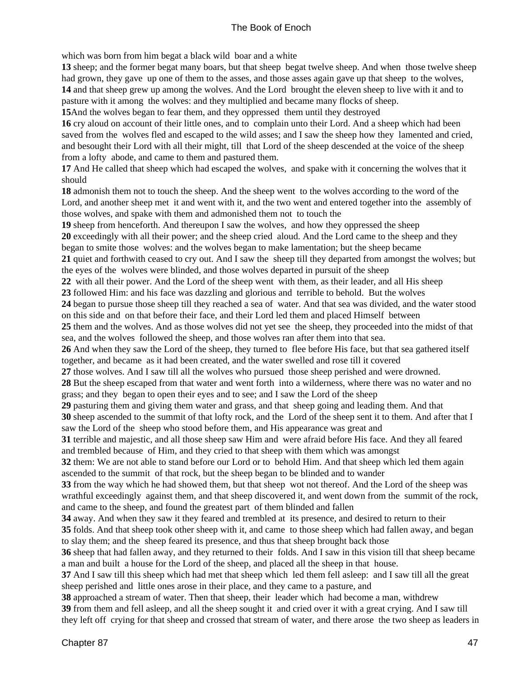which was born from him begat a black wild boar and a white

**13** sheep; and the former begat many boars, but that sheep begat twelve sheep. And when those twelve sheep had grown, they gave up one of them to the asses, and those asses again gave up that sheep to the wolves, **14** and that sheep grew up among the wolves. And the Lord brought the eleven sheep to live with it and to pasture with it among the wolves: and they multiplied and became many flocks of sheep.

**15**And the wolves began to fear them, and they oppressed them until they destroyed

**16** cry aloud on account of their little ones, and to complain unto their Lord. And a sheep which had been saved from the wolves fled and escaped to the wild asses; and I saw the sheep how they lamented and cried, and besought their Lord with all their might, till that Lord of the sheep descended at the voice of the sheep from a lofty abode, and came to them and pastured them.

**17** And He called that sheep which had escaped the wolves, and spake with it concerning the wolves that it should

**18** admonish them not to touch the sheep. And the sheep went to the wolves according to the word of the Lord, and another sheep met it and went with it, and the two went and entered together into the assembly of those wolves, and spake with them and admonished them not to touch the

**19** sheep from henceforth. And thereupon I saw the wolves, and how they oppressed the sheep

**20** exceedingly with all their power; and the sheep cried aloud. And the Lord came to the sheep and they began to smite those wolves: and the wolves began to make lamentation; but the sheep became

**21** quiet and forthwith ceased to cry out. And I saw the sheep till they departed from amongst the wolves; but the eyes of the wolves were blinded, and those wolves departed in pursuit of the sheep

**22** with all their power. And the Lord of the sheep went with them, as their leader, and all His sheep

**23** followed Him: and his face was dazzling and glorious and terrible to behold. But the wolves

**24** began to pursue those sheep till they reached a sea of water. And that sea was divided, and the water stood on this side and on that before their face, and their Lord led them and placed Himself between

**25** them and the wolves. And as those wolves did not yet see the sheep, they proceeded into the midst of that sea, and the wolves followed the sheep, and those wolves ran after them into that sea.

**26** And when they saw the Lord of the sheep, they turned to flee before His face, but that sea gathered itself together, and became as it had been created, and the water swelled and rose till it covered

**27** those wolves. And I saw till all the wolves who pursued those sheep perished and were drowned.

**28** But the sheep escaped from that water and went forth into a wilderness, where there was no water and no grass; and they began to open their eyes and to see; and I saw the Lord of the sheep

**29** pasturing them and giving them water and grass, and that sheep going and leading them. And that

**30** sheep ascended to the summit of that lofty rock, and the Lord of the sheep sent it to them. And after that I saw the Lord of the sheep who stood before them, and His appearance was great and

**31** terrible and majestic, and all those sheep saw Him and were afraid before His face. And they all feared and trembled because of Him, and they cried to that sheep with them which was amongst

**32** them: We are not able to stand before our Lord or to behold Him. And that sheep which led them again ascended to the summit of that rock, but the sheep began to be blinded and to wander

**33** from the way which he had showed them, but that sheep wot not thereof. And the Lord of the sheep was wrathful exceedingly against them, and that sheep discovered it, and went down from the summit of the rock, and came to the sheep, and found the greatest part of them blinded and fallen

**34** away. And when they saw it they feared and trembled at its presence, and desired to return to their **35** folds. And that sheep took other sheep with it, and came to those sheep which had fallen away, and began

to slay them; and the sheep feared its presence, and thus that sheep brought back those

**36** sheep that had fallen away, and they returned to their folds. And I saw in this vision till that sheep became a man and built a house for the Lord of the sheep, and placed all the sheep in that house.

**37** And I saw till this sheep which had met that sheep which led them fell asleep: and I saw till all the great sheep perished and little ones arose in their place, and they came to a pasture, and

**38** approached a stream of water. Then that sheep, their leader which had become a man, withdrew **39** from them and fell asleep, and all the sheep sought it and cried over it with a great crying. And I saw till they left off crying for that sheep and crossed that stream of water, and there arose the two sheep as leaders in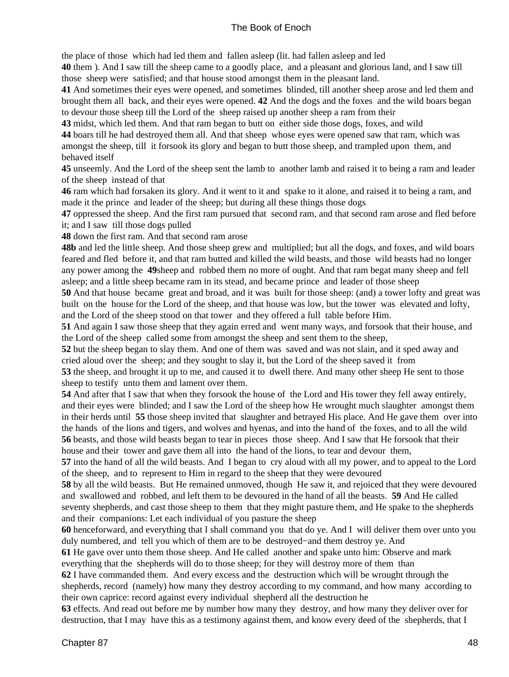the place of those which had led them and fallen asleep (lit. had fallen asleep and led

**40** them ). And I saw till the sheep came to a goodly place, and a pleasant and glorious land, and I saw till those sheep were satisfied; and that house stood amongst them in the pleasant land.

**41** And sometimes their eyes were opened, and sometimes blinded, till another sheep arose and led them and brought them all back, and their eyes were opened. **42** And the dogs and the foxes and the wild boars began to devour those sheep till the Lord of the sheep raised up another sheep a ram from their

**43** midst, which led them. And that ram began to butt on either side those dogs, foxes, and wild **44** boars till he had destroyed them all. And that sheep whose eyes were opened saw that ram, which was amongst the sheep, till it forsook its glory and began to butt those sheep, and trampled upon them, and

behaved itself

**45** unseemly. And the Lord of the sheep sent the lamb to another lamb and raised it to being a ram and leader of the sheep instead of that

**46** ram which had forsaken its glory. And it went to it and spake to it alone, and raised it to being a ram, and made it the prince and leader of the sheep; but during all these things those dogs

**47** oppressed the sheep. And the first ram pursued that second ram, and that second ram arose and fled before it; and I saw till those dogs pulled

**48** down the first ram. And that second ram arose

**48b** and led the little sheep. And those sheep grew and multiplied; but all the dogs, and foxes, and wild boars feared and fled before it, and that ram butted and killed the wild beasts, and those wild beasts had no longer any power among the **49**sheep and robbed them no more of ought. And that ram begat many sheep and fell asleep; and a little sheep became ram in its stead, and became prince and leader of those sheep

**50** And that house became great and broad, and it was built for those sheep: (and) a tower lofty and great was built on the house for the Lord of the sheep, and that house was low, but the tower was elevated and lofty, and the Lord of the sheep stood on that tower and they offered a full table before Him.

**51** And again I saw those sheep that they again erred and went many ways, and forsook that their house, and the Lord of the sheep called some from amongst the sheep and sent them to the sheep,

**52** but the sheep began to slay them. And one of them was saved and was not slain, and it sped away and cried aloud over the sheep; and they sought to slay it, but the Lord of the sheep saved it from

**53** the sheep, and brought it up to me, and caused it to dwell there. And many other sheep He sent to those sheep to testify unto them and lament over them.

**54** And after that I saw that when they forsook the house of the Lord and His tower they fell away entirely, and their eyes were blinded; and I saw the Lord of the sheep how He wrought much slaughter amongst them in their herds until **55** those sheep invited that slaughter and betrayed His place. And He gave them over into the hands of the lions and tigers, and wolves and hyenas, and into the hand of the foxes, and to all the wild **56** beasts, and those wild beasts began to tear in pieces those sheep. And I saw that He forsook that their house and their tower and gave them all into the hand of the lions, to tear and devour them,

**57** into the hand of all the wild beasts. And I began to cry aloud with all my power, and to appeal to the Lord of the sheep, and to represent to Him in regard to the sheep that they were devoured

**58** by all the wild beasts. But He remained unmoved, though He saw it, and rejoiced that they were devoured and swallowed and robbed, and left them to be devoured in the hand of all the beasts. **59** And He called seventy shepherds, and cast those sheep to them that they might pasture them, and He spake to the shepherds and their companions: Let each individual of you pasture the sheep

**60** henceforward, and everything that I shall command you that do ye. And I will deliver them over unto you duly numbered, and tell you which of them are to be destroyed−and them destroy ye. And

**61** He gave over unto them those sheep. And He called another and spake unto him: Observe and mark everything that the shepherds will do to those sheep; for they will destroy more of them than

**62** I have commanded them. And every excess and the destruction which will be wrought through the shepherds, record (namely) how many they destroy according to my command, and how many according to their own caprice: record against every individual shepherd all the destruction he

**63** effects. And read out before me by number how many they destroy, and how many they deliver over for destruction, that I may have this as a testimony against them, and know every deed of the shepherds, that I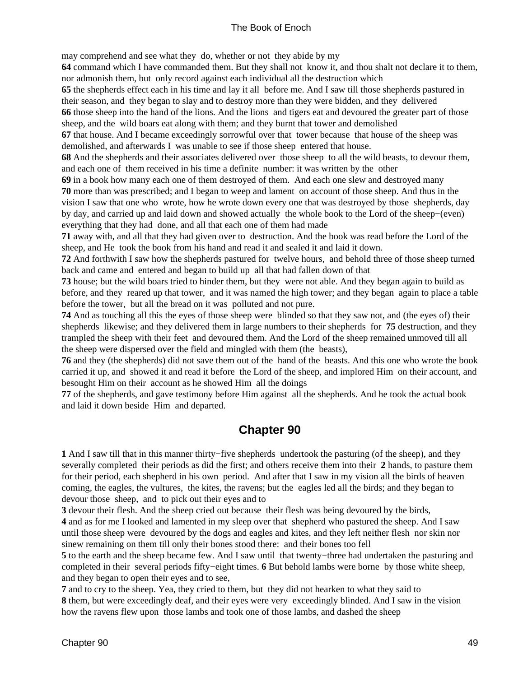<span id="page-52-0"></span>may comprehend and see what they do, whether or not they abide by my

**64** command which I have commanded them. But they shall not know it, and thou shalt not declare it to them, nor admonish them, but only record against each individual all the destruction which

**65** the shepherds effect each in his time and lay it all before me. And I saw till those shepherds pastured in their season, and they began to slay and to destroy more than they were bidden, and they delivered **66** those sheep into the hand of the lions. And the lions and tigers eat and devoured the greater part of those sheep, and the wild boars eat along with them; and they burnt that tower and demolished

**67** that house. And I became exceedingly sorrowful over that tower because that house of the sheep was demolished, and afterwards I was unable to see if those sheep entered that house.

**68** And the shepherds and their associates delivered over those sheep to all the wild beasts, to devour them, and each one of them received in his time a definite number: it was written by the other

**69** in a book how many each one of them destroyed of them. And each one slew and destroyed many **70** more than was prescribed; and I began to weep and lament on account of those sheep. And thus in the vision I saw that one who wrote, how he wrote down every one that was destroyed by those shepherds, day by day, and carried up and laid down and showed actually the whole book to the Lord of the sheep−(even) everything that they had done, and all that each one of them had made

**71** away with, and all that they had given over to destruction. And the book was read before the Lord of the sheep, and He took the book from his hand and read it and sealed it and laid it down.

**72** And forthwith I saw how the shepherds pastured for twelve hours, and behold three of those sheep turned back and came and entered and began to build up all that had fallen down of that

**73** house; but the wild boars tried to hinder them, but they were not able. And they began again to build as before, and they reared up that tower, and it was named the high tower; and they began again to place a table before the tower, but all the bread on it was polluted and not pure.

**74** And as touching all this the eyes of those sheep were blinded so that they saw not, and (the eyes of) their shepherds likewise; and they delivered them in large numbers to their shepherds for **75** destruction, and they trampled the sheep with their feet and devoured them. And the Lord of the sheep remained unmoved till all the sheep were dispersed over the field and mingled with them (the beasts),

**76** and they (the shepherds) did not save them out of the hand of the beasts. And this one who wrote the book carried it up, and showed it and read it before the Lord of the sheep, and implored Him on their account, and besought Him on their account as he showed Him all the doings

**77** of the shepherds, and gave testimony before Him against all the shepherds. And he took the actual book and laid it down beside Him and departed.

### **Chapter 90**

**1** And I saw till that in this manner thirty−five shepherds undertook the pasturing (of the sheep), and they severally completed their periods as did the first; and others receive them into their **2** hands, to pasture them for their period, each shepherd in his own period. And after that I saw in my vision all the birds of heaven coming, the eagles, the vultures, the kites, the ravens; but the eagles led all the birds; and they began to devour those sheep, and to pick out their eyes and to

**3** devour their flesh. And the sheep cried out because their flesh was being devoured by the birds, **4** and as for me I looked and lamented in my sleep over that shepherd who pastured the sheep. And I saw until those sheep were devoured by the dogs and eagles and kites, and they left neither flesh nor skin nor sinew remaining on them till only their bones stood there: and their bones too fell

**5** to the earth and the sheep became few. And I saw until that twenty−three had undertaken the pasturing and completed in their several periods fifty−eight times. **6** But behold lambs were borne by those white sheep, and they began to open their eyes and to see,

**7** and to cry to the sheep. Yea, they cried to them, but they did not hearken to what they said to **8** them, but were exceedingly deaf, and their eyes were very exceedingly blinded. And I saw in the vision how the ravens flew upon those lambs and took one of those lambs, and dashed the sheep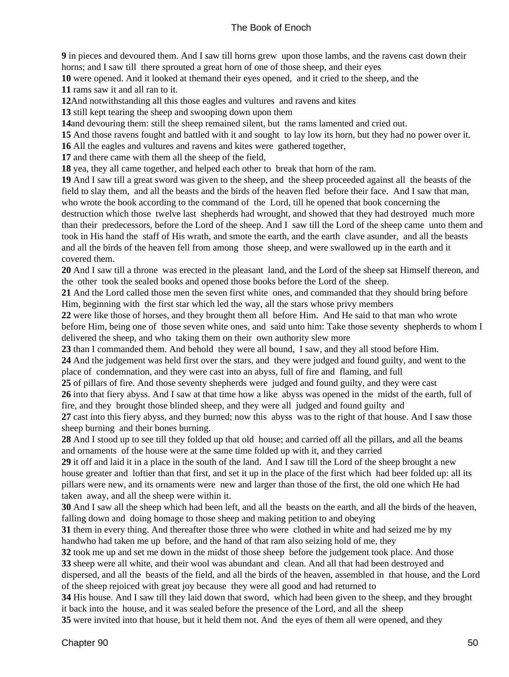**9** in pieces and devoured them. And I saw till horns grew upon those lambs, and the ravens cast down their horns; and I saw till there sprouted a great horn of one of those sheep, and their eyes

**10** were opened. And it looked at themand their eyes opened, and it cried to the sheep, and the

**11** rams saw it and all ran to it.

**12**And notwithstanding all this those eagles and vultures and ravens and kites

**13** still kept tearing the sheep and swooping down upon them

**14**and devouring them: still the sheep remained silent, but the rams lamented and cried out.

**15** And those ravens fought and battled with it and sought to lay low its horn, but they had no power over it.

**16** All the eagles and vultures and ravens and kites were gathered together,

**17** and there came with them all the sheep of the field,

**18** yea, they all came together, and helped each other to break that horn of the ram.

**19** And I saw till a great sword was given to the sheep, and the sheep proceeded against all the beasts of the field to slay them, and all the beasts and the birds of the heaven fled before their face. And I saw that man, who wrote the book according to the command of the Lord, till he opened that book concerning the destruction which those twelve last shepherds had wrought, and showed that they had destroyed much more than their predecessors, before the Lord of the sheep. And I saw till the Lord of the sheep came unto them and took in His hand the staff of His wrath, and smote the earth, and the earth clave asunder, and all the beasts and all the birds of the heaven fell from among those sheep, and were swallowed up in the earth and it covered them.

**20** And I saw till a throne was erected in the pleasant land, and the Lord of the sheep sat Himself thereon, and the other took the sealed books and opened those books before the Lord of the sheep.

**21** And the Lord called those men the seven first white ones, and commanded that they should bring before Him, beginning with the first star which led the way, all the stars whose privy members

**22** were like those of horses, and they brought them all before Him. And He said to that man who wrote before Him, being one of those seven white ones, and said unto him: Take those seventy shepherds to whom I delivered the sheep, and who taking them on their own authority slew more

**23** than I commanded them. And behold they were all bound, I saw, and they all stood before Him.

**24** And the judgement was held first over the stars, and they were judged and found guilty, and went to the place of condemnation, and they were cast into an abyss, full of fire and flaming, and full

**25** of pillars of fire. And those seventy shepherds were judged and found guilty, and they were cast **26** into that fiery abyss. And I saw at that time how a like abyss was opened in the midst of the earth, full of fire, and they brought those blinded sheep, and they were all judged and found guilty and

**27** cast into this fiery abyss, and they burned; now this abyss was to the right of that house. And I saw those sheep burning and their bones burning.

**28** And I stood up to see till they folded up that old house; and carried off all the pillars, and all the beams and ornaments of the house were at the same time folded up with it, and they carried

**29** it off and laid it in a place in the south of the land. And I saw till the Lord of the sheep brought a new house greater and loftier than that first, and set it up in the place of the first which had beer folded up: all its pillars were new, and its ornaments were new and larger than those of the first, the old one which He had taken away, and all the sheep were within it.

**30** And I saw all the sheep which had been left, and all the beasts on the earth, and all the birds of the heaven, falling down and doing homage to those sheep and making petition to and obeying

**31** them in every thing. And thereafter those three who were clothed in white and had seized me by my handwho had taken me up before, and the hand of that ram also seizing hold of me, they

**32** took me up and set me down in the midst of those sheep before the judgement took place. And those **33** sheep were all white, and their wool was abundant and clean. And all that had been destroyed and

dispersed, and all the beasts of the field, and all the birds of the heaven, assembled in that house, and the Lord of the sheep rejoiced with great joy because they were all good and had returned to

**34** His house. And I saw till they laid down that sword, which had been given to the sheep, and they brought it back into the house, and it was sealed before the presence of the Lord, and all the sheep

**35** were invited into that house, but it held them not. And the eyes of them all were opened, and they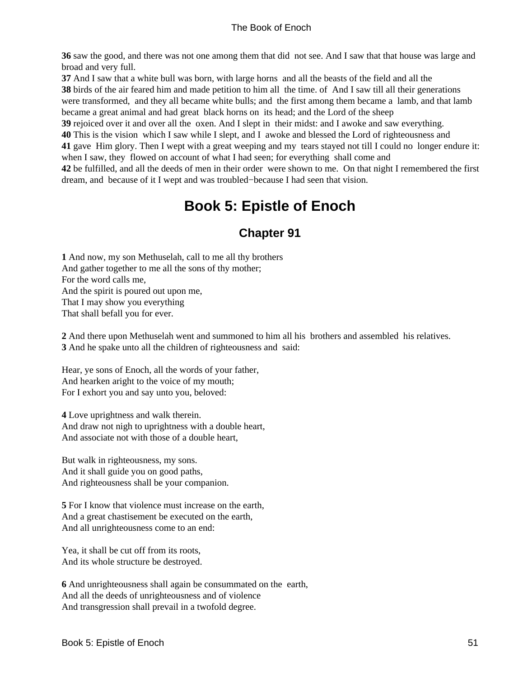<span id="page-54-0"></span>**36** saw the good, and there was not one among them that did not see. And I saw that that house was large and broad and very full.

**37** And I saw that a white bull was born, with large horns and all the beasts of the field and all the

**38** birds of the air feared him and made petition to him all the time. of And I saw till all their generations were transformed, and they all became white bulls; and the first among them became a lamb, and that lamb became a great animal and had great black horns on its head; and the Lord of the sheep

**39** rejoiced over it and over all the oxen. And I slept in their midst: and I awoke and saw everything.

**40** This is the vision which I saw while I slept, and I awoke and blessed the Lord of righteousness and

**41** gave Him glory. Then I wept with a great weeping and my tears stayed not till I could no longer endure it: when I saw, they flowed on account of what I had seen; for everything shall come and

**42** be fulfilled, and all the deeds of men in their order were shown to me. On that night I remembered the first dream, and because of it I wept and was troubled−because I had seen that vision.

# **Book 5: Epistle of Enoch**

## **Chapter 91**

**1** And now, my son Methuselah, call to me all thy brothers And gather together to me all the sons of thy mother; For the word calls me, And the spirit is poured out upon me, That I may show you everything That shall befall you for ever.

**2** And there upon Methuselah went and summoned to him all his brothers and assembled his relatives. **3** And he spake unto all the children of righteousness and said:

Hear, ye sons of Enoch, all the words of your father, And hearken aright to the voice of my mouth; For I exhort you and say unto you, beloved:

**4** Love uprightness and walk therein. And draw not nigh to uprightness with a double heart, And associate not with those of a double heart,

But walk in righteousness, my sons. And it shall guide you on good paths, And righteousness shall be your companion.

**5** For I know that violence must increase on the earth, And a great chastisement be executed on the earth, And all unrighteousness come to an end:

Yea, it shall be cut off from its roots, And its whole structure be destroyed.

**6** And unrighteousness shall again be consummated on the earth, And all the deeds of unrighteousness and of violence And transgression shall prevail in a twofold degree.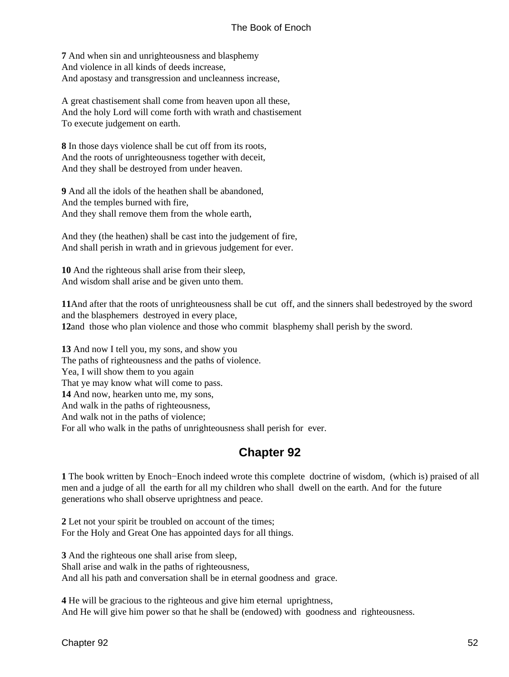<span id="page-55-0"></span>**7** And when sin and unrighteousness and blasphemy And violence in all kinds of deeds increase, And apostasy and transgression and uncleanness increase,

A great chastisement shall come from heaven upon all these, And the holy Lord will come forth with wrath and chastisement To execute judgement on earth.

**8** In those days violence shall be cut off from its roots, And the roots of unrighteousness together with deceit, And they shall be destroyed from under heaven.

**9** And all the idols of the heathen shall be abandoned, And the temples burned with fire, And they shall remove them from the whole earth,

And they (the heathen) shall be cast into the judgement of fire, And shall perish in wrath and in grievous judgement for ever.

**10** And the righteous shall arise from their sleep, And wisdom shall arise and be given unto them.

**11**And after that the roots of unrighteousness shall be cut off, and the sinners shall bedestroyed by the sword and the blasphemers destroyed in every place, **12**and those who plan violence and those who commit blasphemy shall perish by the sword.

**13** And now I tell you, my sons, and show you The paths of righteousness and the paths of violence. Yea, I will show them to you again That ye may know what will come to pass. **14** And now, hearken unto me, my sons, And walk in the paths of righteousness, And walk not in the paths of violence; For all who walk in the paths of unrighteousness shall perish for ever.

### **Chapter 92**

**1** The book written by Enoch−Enoch indeed wrote this complete doctrine of wisdom, (which is) praised of all men and a judge of all the earth for all my children who shall dwell on the earth. And for the future generations who shall observe uprightness and peace.

**2** Let not your spirit be troubled on account of the times; For the Holy and Great One has appointed days for all things.

**3** And the righteous one shall arise from sleep, Shall arise and walk in the paths of righteousness, And all his path and conversation shall be in eternal goodness and grace.

**4** He will be gracious to the righteous and give him eternal uprightness, And He will give him power so that he shall be (endowed) with goodness and righteousness.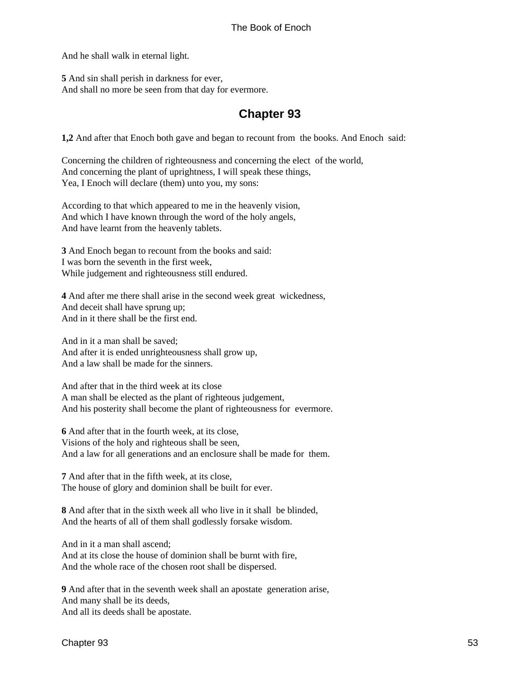<span id="page-56-0"></span>And he shall walk in eternal light.

**5** And sin shall perish in darkness for ever, And shall no more be seen from that day for evermore.

### **Chapter 93**

**1,2** And after that Enoch both gave and began to recount from the books. And Enoch said:

Concerning the children of righteousness and concerning the elect of the world, And concerning the plant of uprightness, I will speak these things, Yea, I Enoch will declare (them) unto you, my sons:

According to that which appeared to me in the heavenly vision, And which I have known through the word of the holy angels, And have learnt from the heavenly tablets.

**3** And Enoch began to recount from the books and said: I was born the seventh in the first week, While judgement and righteousness still endured.

**4** And after me there shall arise in the second week great wickedness, And deceit shall have sprung up; And in it there shall be the first end.

And in it a man shall be saved; And after it is ended unrighteousness shall grow up, And a law shall be made for the sinners.

And after that in the third week at its close A man shall be elected as the plant of righteous judgement, And his posterity shall become the plant of righteousness for evermore.

**6** And after that in the fourth week, at its close, Visions of the holy and righteous shall be seen, And a law for all generations and an enclosure shall be made for them.

**7** And after that in the fifth week, at its close, The house of glory and dominion shall be built for ever.

**8** And after that in the sixth week all who live in it shall be blinded, And the hearts of all of them shall godlessly forsake wisdom.

And in it a man shall ascend; And at its close the house of dominion shall be burnt with fire, And the whole race of the chosen root shall be dispersed.

**9** And after that in the seventh week shall an apostate generation arise, And many shall be its deeds, And all its deeds shall be apostate.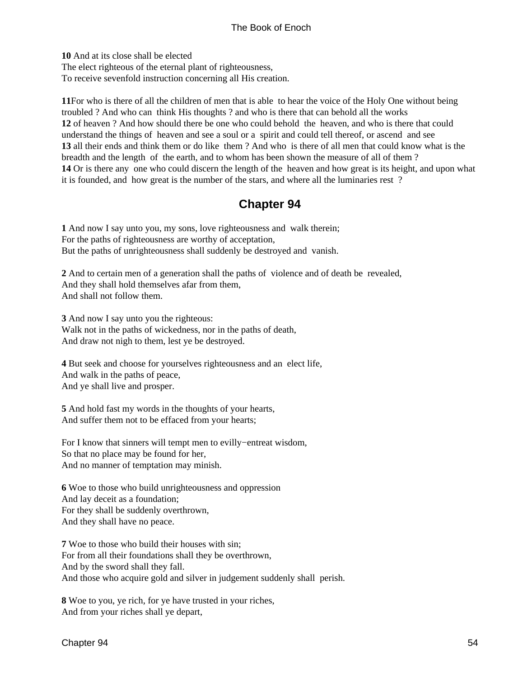<span id="page-57-0"></span>**10** And at its close shall be elected The elect righteous of the eternal plant of righteousness, To receive sevenfold instruction concerning all His creation.

**11**For who is there of all the children of men that is able to hear the voice of the Holy One without being troubled ? And who can think His thoughts ? and who is there that can behold all the works **12** of heaven ? And how should there be one who could behold the heaven, and who is there that could understand the things of heaven and see a soul or a spirit and could tell thereof, or ascend and see **13** all their ends and think them or do like them ? And who is there of all men that could know what is the breadth and the length of the earth, and to whom has been shown the measure of all of them ? **14** Or is there any one who could discern the length of the heaven and how great is its height, and upon what it is founded, and how great is the number of the stars, and where all the luminaries rest ?

### **Chapter 94**

**1** And now I say unto you, my sons, love righteousness and walk therein; For the paths of righteousness are worthy of acceptation, But the paths of unrighteousness shall suddenly be destroyed and vanish.

**2** And to certain men of a generation shall the paths of violence and of death be revealed, And they shall hold themselves afar from them, And shall not follow them.

**3** And now I say unto you the righteous: Walk not in the paths of wickedness, nor in the paths of death, And draw not nigh to them, lest ye be destroyed.

**4** But seek and choose for yourselves righteousness and an elect life, And walk in the paths of peace, And ye shall live and prosper.

**5** And hold fast my words in the thoughts of your hearts, And suffer them not to be effaced from your hearts;

For I know that sinners will tempt men to evilly−entreat wisdom, So that no place may be found for her, And no manner of temptation may minish.

**6** Woe to those who build unrighteousness and oppression And lay deceit as a foundation; For they shall be suddenly overthrown, And they shall have no peace.

**7** Woe to those who build their houses with sin; For from all their foundations shall they be overthrown, And by the sword shall they fall. And those who acquire gold and silver in judgement suddenly shall perish.

**8** Woe to you, ye rich, for ye have trusted in your riches, And from your riches shall ye depart,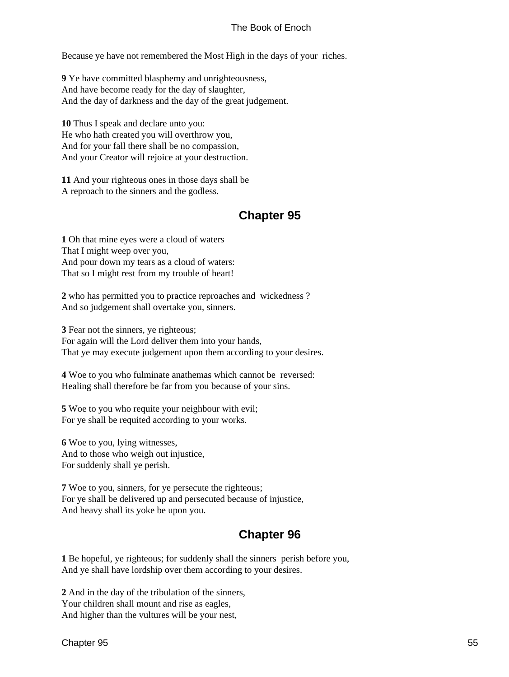<span id="page-58-0"></span>Because ye have not remembered the Most High in the days of your riches.

**9** Ye have committed blasphemy and unrighteousness, And have become ready for the day of slaughter, And the day of darkness and the day of the great judgement.

**10** Thus I speak and declare unto you: He who hath created you will overthrow you, And for your fall there shall be no compassion, And your Creator will rejoice at your destruction.

**11** And your righteous ones in those days shall be A reproach to the sinners and the godless.

### **Chapter 95**

**1** Oh that mine eyes were a cloud of waters That I might weep over you, And pour down my tears as a cloud of waters: That so I might rest from my trouble of heart!

**2** who has permitted you to practice reproaches and wickedness ? And so judgement shall overtake you, sinners.

**3** Fear not the sinners, ye righteous; For again will the Lord deliver them into your hands, That ye may execute judgement upon them according to your desires.

**4** Woe to you who fulminate anathemas which cannot be reversed: Healing shall therefore be far from you because of your sins.

**5** Woe to you who requite your neighbour with evil; For ye shall be requited according to your works.

**6** Woe to you, lying witnesses, And to those who weigh out injustice, For suddenly shall ye perish.

**7** Woe to you, sinners, for ye persecute the righteous; For ye shall be delivered up and persecuted because of injustice, And heavy shall its yoke be upon you.

### **Chapter 96**

**1** Be hopeful, ye righteous; for suddenly shall the sinners perish before you, And ye shall have lordship over them according to your desires.

**2** And in the day of the tribulation of the sinners, Your children shall mount and rise as eagles, And higher than the vultures will be your nest,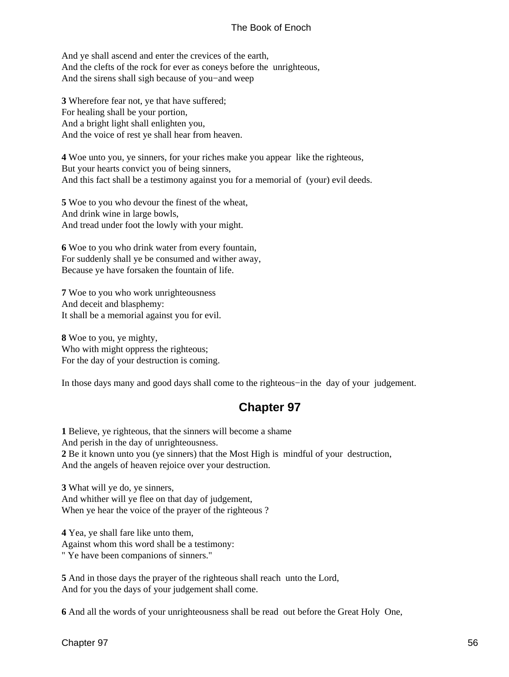<span id="page-59-0"></span>And ye shall ascend and enter the crevices of the earth, And the clefts of the rock for ever as coneys before the unrighteous, And the sirens shall sigh because of you−and weep

**3** Wherefore fear not, ye that have suffered; For healing shall be your portion, And a bright light shall enlighten you, And the voice of rest ye shall hear from heaven.

**4** Woe unto you, ye sinners, for your riches make you appear like the righteous, But your hearts convict you of being sinners, And this fact shall be a testimony against you for a memorial of (your) evil deeds.

**5** Woe to you who devour the finest of the wheat, And drink wine in large bowls, And tread under foot the lowly with your might.

**6** Woe to you who drink water from every fountain, For suddenly shall ye be consumed and wither away, Because ye have forsaken the fountain of life.

**7** Woe to you who work unrighteousness And deceit and blasphemy: It shall be a memorial against you for evil.

**8** Woe to you, ye mighty, Who with might oppress the righteous; For the day of your destruction is coming.

In those days many and good days shall come to the righteous−in the day of your judgement.

### **Chapter 97**

**1** Believe, ye righteous, that the sinners will become a shame And perish in the day of unrighteousness. **2** Be it known unto you (ye sinners) that the Most High is mindful of your destruction, And the angels of heaven rejoice over your destruction.

**3** What will ye do, ye sinners, And whither will ye flee on that day of judgement, When ye hear the voice of the prayer of the righteous ?

**4** Yea, ye shall fare like unto them,

Against whom this word shall be a testimony:

" Ye have been companions of sinners."

**5** And in those days the prayer of the righteous shall reach unto the Lord, And for you the days of your judgement shall come.

**6** And all the words of your unrighteousness shall be read out before the Great Holy One,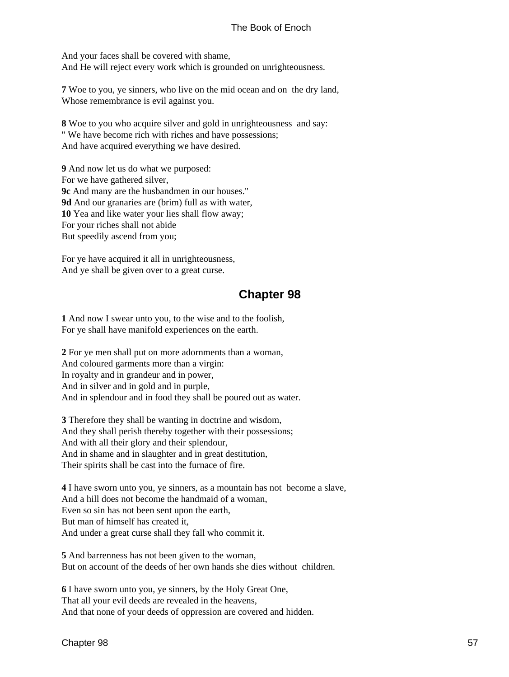<span id="page-60-0"></span>And your faces shall be covered with shame, And He will reject every work which is grounded on unrighteousness.

**7** Woe to you, ye sinners, who live on the mid ocean and on the dry land, Whose remembrance is evil against you.

**8** Woe to you who acquire silver and gold in unrighteousness and say: " We have become rich with riches and have possessions; And have acquired everything we have desired.

**9** And now let us do what we purposed: For we have gathered silver, **9c** And many are the husbandmen in our houses." **9d** And our granaries are (brim) full as with water, **10** Yea and like water your lies shall flow away; For your riches shall not abide But speedily ascend from you;

For ye have acquired it all in unrighteousness, And ye shall be given over to a great curse.

### **Chapter 98**

**1** And now I swear unto you, to the wise and to the foolish, For ye shall have manifold experiences on the earth.

**2** For ye men shall put on more adornments than a woman, And coloured garments more than a virgin: In royalty and in grandeur and in power, And in silver and in gold and in purple, And in splendour and in food they shall be poured out as water.

**3** Therefore they shall be wanting in doctrine and wisdom, And they shall perish thereby together with their possessions; And with all their glory and their splendour, And in shame and in slaughter and in great destitution, Their spirits shall be cast into the furnace of fire.

**4** I have sworn unto you, ye sinners, as a mountain has not become a slave, And a hill does not become the handmaid of a woman, Even so sin has not been sent upon the earth, But man of himself has created it, And under a great curse shall they fall who commit it.

**5** And barrenness has not been given to the woman, But on account of the deeds of her own hands she dies without children.

**6** I have sworn unto you, ye sinners, by the Holy Great One, That all your evil deeds are revealed in the heavens, And that none of your deeds of oppression are covered and hidden.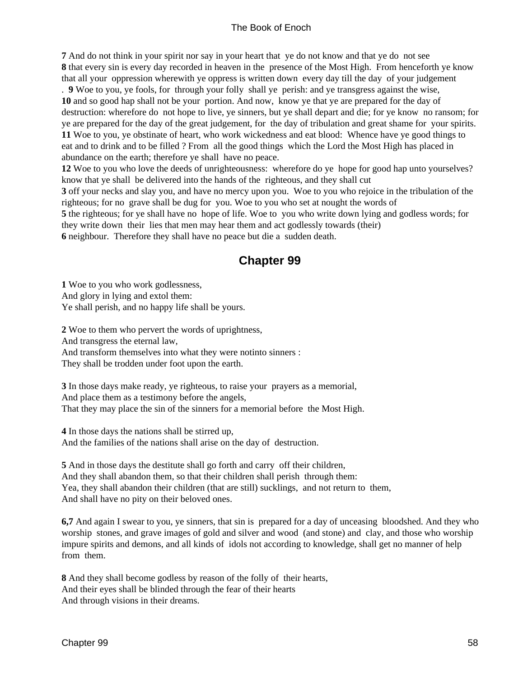<span id="page-61-0"></span>**7** And do not think in your spirit nor say in your heart that ye do not know and that ye do not see **8** that every sin is every day recorded in heaven in the presence of the Most High. From henceforth ye know that all your oppression wherewith ye oppress is written down every day till the day of your judgement

. **9** Woe to you, ye fools, for through your folly shall ye perish: and ye transgress against the wise, **10** and so good hap shall not be your portion. And now, know ye that ye are prepared for the day of destruction: wherefore do not hope to live, ye sinners, but ye shall depart and die; for ye know no ransom; for ye are prepared for the day of the great judgement, for the day of tribulation and great shame for your spirits. **11** Woe to you, ye obstinate of heart, who work wickedness and eat blood: Whence have ye good things to eat and to drink and to be filled ? From all the good things which the Lord the Most High has placed in abundance on the earth; therefore ye shall have no peace.

**12** Woe to you who love the deeds of unrighteousness: wherefore do ye hope for good hap unto yourselves? know that ye shall be delivered into the hands of the righteous, and they shall cut

**3** off your necks and slay you, and have no mercy upon you. Woe to you who rejoice in the tribulation of the righteous; for no grave shall be dug for you. Woe to you who set at nought the words of

**5** the righteous; for ye shall have no hope of life. Woe to you who write down lying and godless words; for they write down their lies that men may hear them and act godlessly towards (their)

**6** neighbour. Therefore they shall have no peace but die a sudden death.

### **Chapter 99**

**1** Woe to you who work godlessness, And glory in lying and extol them: Ye shall perish, and no happy life shall be yours.

**2** Woe to them who pervert the words of uprightness, And transgress the eternal law, And transform themselves into what they were notinto sinners : They shall be trodden under foot upon the earth.

**3** In those days make ready, ye righteous, to raise your prayers as a memorial, And place them as a testimony before the angels, That they may place the sin of the sinners for a memorial before the Most High.

**4** In those days the nations shall be stirred up, And the families of the nations shall arise on the day of destruction.

**5** And in those days the destitute shall go forth and carry off their children, And they shall abandon them, so that their children shall perish through them: Yea, they shall abandon their children (that are still) sucklings, and not return to them, And shall have no pity on their beloved ones.

**6,7** And again I swear to you, ye sinners, that sin is prepared for a day of unceasing bloodshed. And they who worship stones, and grave images of gold and silver and wood (and stone) and clay, and those who worship impure spirits and demons, and all kinds of idols not according to knowledge, shall get no manner of help from them.

**8** And they shall become godless by reason of the folly of their hearts, And their eyes shall be blinded through the fear of their hearts And through visions in their dreams.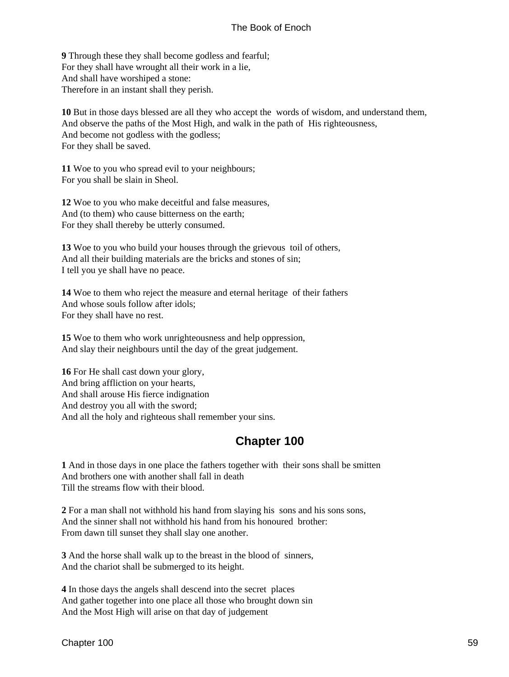<span id="page-62-0"></span>**9** Through these they shall become godless and fearful; For they shall have wrought all their work in a lie, And shall have worshiped a stone: Therefore in an instant shall they perish.

**10** But in those days blessed are all they who accept the words of wisdom, and understand them, And observe the paths of the Most High, and walk in the path of His righteousness, And become not godless with the godless; For they shall be saved.

**11** Woe to you who spread evil to your neighbours; For you shall be slain in Sheol.

**12** Woe to you who make deceitful and false measures, And (to them) who cause bitterness on the earth; For they shall thereby be utterly consumed.

**13** Woe to you who build your houses through the grievous toil of others, And all their building materials are the bricks and stones of sin; I tell you ye shall have no peace.

**14** Woe to them who reject the measure and eternal heritage of their fathers And whose souls follow after idols; For they shall have no rest.

**15** Woe to them who work unrighteousness and help oppression, And slay their neighbours until the day of the great judgement.

**16** For He shall cast down your glory, And bring affliction on your hearts, And shall arouse His fierce indignation And destroy you all with the sword; And all the holy and righteous shall remember your sins.

### **Chapter 100**

**1** And in those days in one place the fathers together with their sons shall be smitten And brothers one with another shall fall in death Till the streams flow with their blood.

**2** For a man shall not withhold his hand from slaying his sons and his sons sons, And the sinner shall not withhold his hand from his honoured brother: From dawn till sunset they shall slay one another.

**3** And the horse shall walk up to the breast in the blood of sinners, And the chariot shall be submerged to its height.

**4** In those days the angels shall descend into the secret places And gather together into one place all those who brought down sin And the Most High will arise on that day of judgement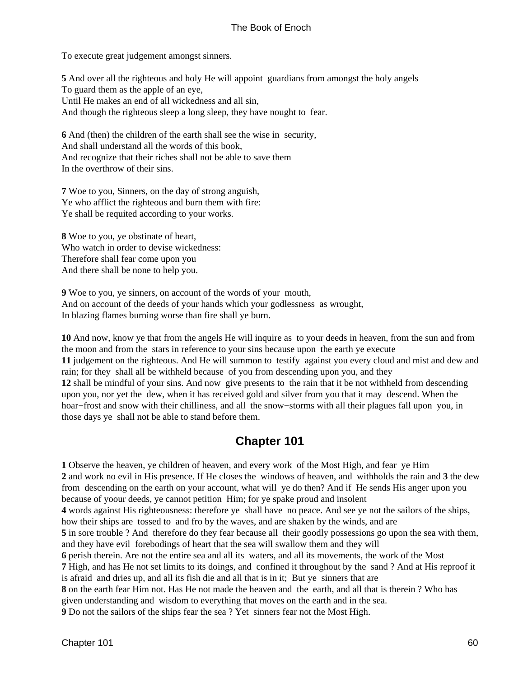<span id="page-63-0"></span>To execute great judgement amongst sinners.

**5** And over all the righteous and holy He will appoint guardians from amongst the holy angels To guard them as the apple of an eye, Until He makes an end of all wickedness and all sin, And though the righteous sleep a long sleep, they have nought to fear.

**6** And (then) the children of the earth shall see the wise in security, And shall understand all the words of this book, And recognize that their riches shall not be able to save them In the overthrow of their sins.

**7** Woe to you, Sinners, on the day of strong anguish, Ye who afflict the righteous and burn them with fire: Ye shall be requited according to your works.

**8** Woe to you, ye obstinate of heart, Who watch in order to devise wickedness: Therefore shall fear come upon you And there shall be none to help you.

**9** Woe to you, ye sinners, on account of the words of your mouth, And on account of the deeds of your hands which your godlessness as wrought, In blazing flames burning worse than fire shall ye burn.

**10** And now, know ye that from the angels He will inquire as to your deeds in heaven, from the sun and from the moon and from the stars in reference to your sins because upon the earth ye execute **11** judgement on the righteous. And He will summon to testify against you every cloud and mist and dew and rain; for they shall all be withheld because of you from descending upon you, and they **12** shall be mindful of your sins. And now give presents to the rain that it be not withheld from descending upon you, nor yet the dew, when it has received gold and silver from you that it may descend. When the hoar−frost and snow with their chilliness, and all the snow−storms with all their plagues fall upon you, in those days ye shall not be able to stand before them.

### **Chapter 101**

**1** Observe the heaven, ye children of heaven, and every work of the Most High, and fear ye Him **2** and work no evil in His presence. If He closes the windows of heaven, and withholds the rain and **3** the dew from descending on the earth on your account, what will ye do then? And if He sends His anger upon you because of yoour deeds, ye cannot petition Him; for ye spake proud and insolent **4** words against His righteousness: therefore ye shall have no peace. And see ye not the sailors of the ships, how their ships are tossed to and fro by the waves, and are shaken by the winds, and are **5** in sore trouble ? And therefore do they fear because all their goodly possessions go upon the sea with them, and they have evil forebodings of heart that the sea will swallow them and they will **6** perish therein. Are not the entire sea and all its waters, and all its movements, the work of the Most **7** High, and has He not set limits to its doings, and confined it throughout by the sand ? And at His reproof it is afraid and dries up, and all its fish die and all that is in it; But ye sinners that are **8** on the earth fear Him not. Has He not made the heaven and the earth, and all that is therein ? Who has given understanding and wisdom to everything that moves on the earth and in the sea. **9** Do not the sailors of the ships fear the sea ? Yet sinners fear not the Most High.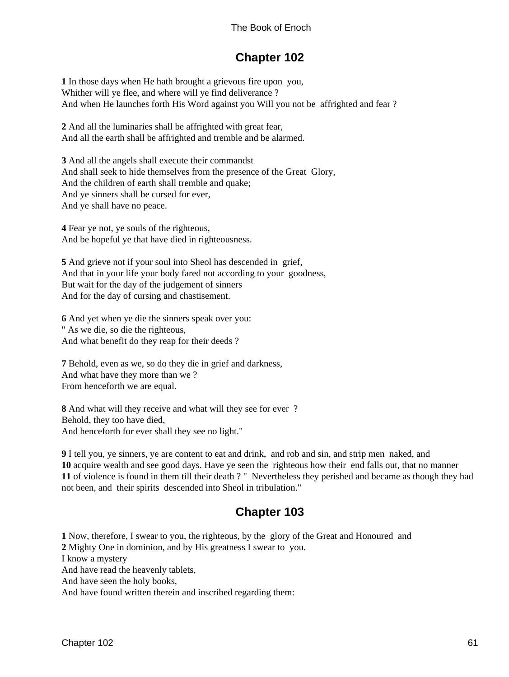### **Chapter 102**

<span id="page-64-0"></span>**1** In those days when He hath brought a grievous fire upon you, Whither will ye flee, and where will ye find deliverance ? And when He launches forth His Word against you Will you not be affrighted and fear ?

**2** And all the luminaries shall be affrighted with great fear, And all the earth shall be affrighted and tremble and be alarmed.

**3** And all the angels shall execute their commandst And shall seek to hide themselves from the presence of the Great Glory, And the children of earth shall tremble and quake; And ye sinners shall be cursed for ever, And ye shall have no peace.

**4** Fear ye not, ye souls of the righteous, And be hopeful ye that have died in righteousness.

**5** And grieve not if your soul into Sheol has descended in grief, And that in your life your body fared not according to your goodness, But wait for the day of the judgement of sinners And for the day of cursing and chastisement.

**6** And yet when ye die the sinners speak over you: " As we die, so die the righteous, And what benefit do they reap for their deeds ?

**7** Behold, even as we, so do they die in grief and darkness, And what have they more than we ? From henceforth we are equal.

**8** And what will they receive and what will they see for ever ? Behold, they too have died, And henceforth for ever shall they see no light."

 I tell you, ye sinners, ye are content to eat and drink, and rob and sin, and strip men naked, and acquire wealth and see good days. Have ye seen the righteous how their end falls out, that no manner of violence is found in them till their death ? " Nevertheless they perished and became as though they had not been, and their spirits descended into Sheol in tribulation."

### **Chapter 103**

**1** Now, therefore, I swear to you, the righteous, by the glory of the Great and Honoured and **2** Mighty One in dominion, and by His greatness I swear to you. I know a mystery And have read the heavenly tablets, And have seen the holy books, And have found written therein and inscribed regarding them: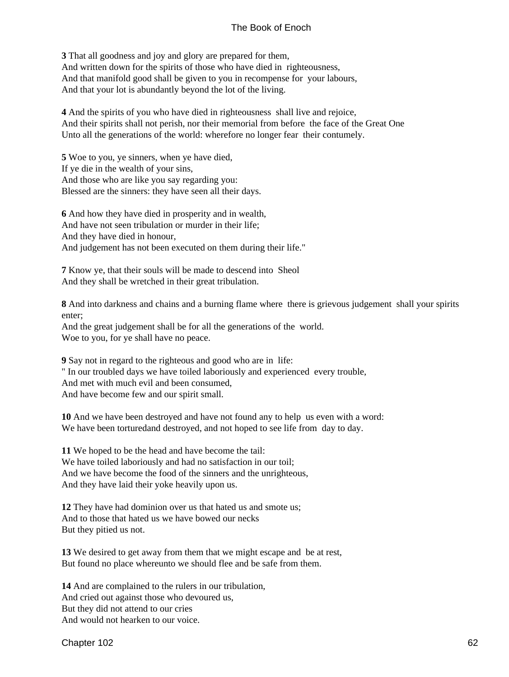**3** That all goodness and joy and glory are prepared for them, And written down for the spirits of those who have died in righteousness, And that manifold good shall be given to you in recompense for your labours, And that your lot is abundantly beyond the lot of the living.

**4** And the spirits of you who have died in righteousness shall live and rejoice, And their spirits shall not perish, nor their memorial from before the face of the Great One Unto all the generations of the world: wherefore no longer fear their contumely.

**5** Woe to you, ye sinners, when ye have died, If ye die in the wealth of your sins, And those who are like you say regarding you: Blessed are the sinners: they have seen all their days.

**6** And how they have died in prosperity and in wealth, And have not seen tribulation or murder in their life; And they have died in honour, And judgement has not been executed on them during their life."

**7** Know ye, that their souls will be made to descend into Sheol And they shall be wretched in their great tribulation.

**8** And into darkness and chains and a burning flame where there is grievous judgement shall your spirits enter;

And the great judgement shall be for all the generations of the world. Woe to you, for ye shall have no peace.

**9** Say not in regard to the righteous and good who are in life:

" In our troubled days we have toiled laboriously and experienced every trouble,

And met with much evil and been consumed,

And have become few and our spirit small.

**10** And we have been destroyed and have not found any to help us even with a word: We have been torturedand destroyed, and not hoped to see life from day to day.

**11** We hoped to be the head and have become the tail: We have toiled laboriously and had no satisfaction in our toil; And we have become the food of the sinners and the unrighteous, And they have laid their yoke heavily upon us.

**12** They have had dominion over us that hated us and smote us; And to those that hated us we have bowed our necks But they pitied us not.

**13** We desired to get away from them that we might escape and be at rest, But found no place whereunto we should flee and be safe from them.

**14** And are complained to the rulers in our tribulation, And cried out against those who devoured us, But they did not attend to our cries And would not hearken to our voice.

Chapter 102 62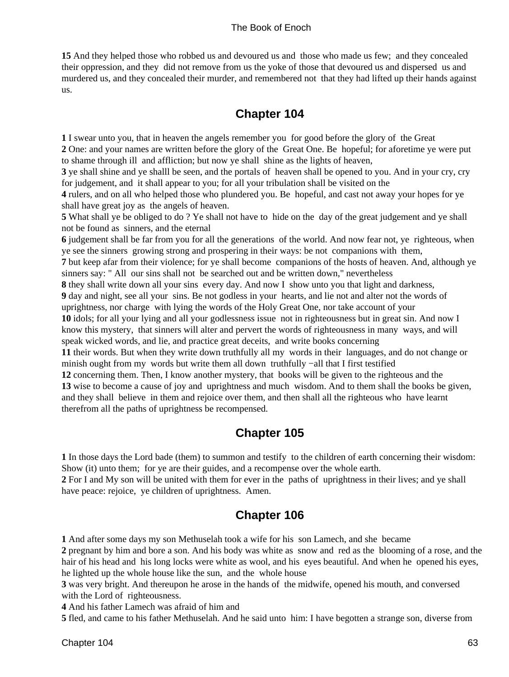<span id="page-66-0"></span>**15** And they helped those who robbed us and devoured us and those who made us few; and they concealed their oppression, and they did not remove from us the yoke of those that devoured us and dispersed us and murdered us, and they concealed their murder, and remembered not that they had lifted up their hands against us.

### **Chapter 104**

**1** I swear unto you, that in heaven the angels remember you for good before the glory of the Great

**2** One: and your names are written before the glory of the Great One. Be hopeful; for aforetime ye were put to shame through ill and affliction; but now ye shall shine as the lights of heaven,

**3** ye shall shine and ye shalll be seen, and the portals of heaven shall be opened to you. And in your cry, cry for judgement, and it shall appear to you; for all your tribulation shall be visited on the

**4** rulers, and on all who helped those who plundered you. Be hopeful, and cast not away your hopes for ye shall have great joy as the angels of heaven.

**5** What shall ye be obliged to do ? Ye shall not have to hide on the day of the great judgement and ye shall not be found as sinners, and the eternal

**6** judgement shall be far from you for all the generations of the world. And now fear not, ye righteous, when ye see the sinners growing strong and prospering in their ways: be not companions with them,

**7** but keep afar from their violence; for ye shall become companions of the hosts of heaven. And, although ye sinners say: " All our sins shall not be searched out and be written down," nevertheless

**8** they shall write down all your sins every day. And now I show unto you that light and darkness,

**9** day and night, see all your sins. Be not godless in your hearts, and lie not and alter not the words of uprightness, nor charge with lying the words of the Holy Great One, nor take account of your

**10** idols; for all your lying and all your godlessness issue not in righteousness but in great sin. And now I know this mystery, that sinners will alter and pervert the words of righteousness in many ways, and will speak wicked words, and lie, and practice great deceits, and write books concerning

**11** their words. But when they write down truthfully all my words in their languages, and do not change or minish ought from my words but write them all down truthfully −all that I first testified

**12** concerning them. Then, I know another mystery, that books will be given to the righteous and the **13** wise to become a cause of joy and uprightness and much wisdom. And to them shall the books be given, and they shall believe in them and rejoice over them, and then shall all the righteous who have learnt therefrom all the paths of uprightness be recompensed.

### **Chapter 105**

**1** In those days the Lord bade (them) to summon and testify to the children of earth concerning their wisdom: Show (it) unto them; for ye are their guides, and a recompense over the whole earth.

**2** For I and My son will be united with them for ever in the paths of uprightness in their lives; and ye shall have peace: rejoice, ye children of uprightness. Amen.

### **Chapter 106**

**1** And after some days my son Methuselah took a wife for his son Lamech, and she became

**2** pregnant by him and bore a son. And his body was white as snow and red as the blooming of a rose, and the hair of his head and his long locks were white as wool, and his eyes beautiful. And when he opened his eyes, he lighted up the whole house like the sun, and the whole house

**3** was very bright. And thereupon he arose in the hands of the midwife, opened his mouth, and conversed with the Lord of righteousness.

**4** And his father Lamech was afraid of him and

**5** fled, and came to his father Methuselah. And he said unto him: I have begotten a strange son, diverse from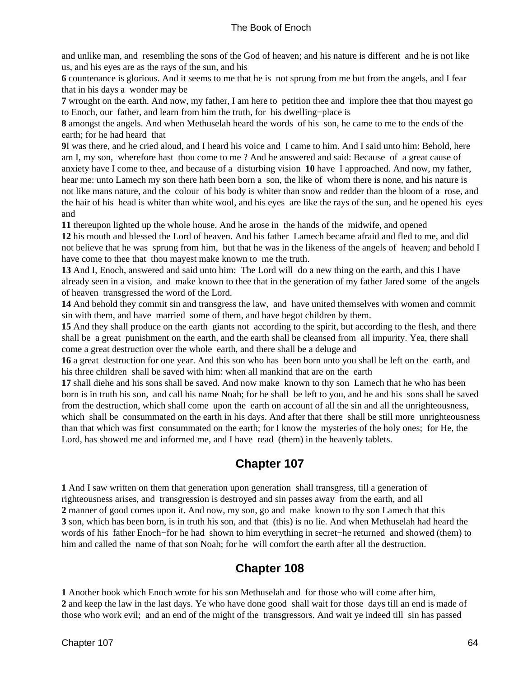<span id="page-67-0"></span>and unlike man, and resembling the sons of the God of heaven; and his nature is different and he is not like us, and his eyes are as the rays of the sun, and his

**6** countenance is glorious. And it seems to me that he is not sprung from me but from the angels, and I fear that in his days a wonder may be

**7** wrought on the earth. And now, my father, I am here to petition thee and implore thee that thou mayest go to Enoch, our father, and learn from him the truth, for his dwelling−place is

**8** amongst the angels. And when Methuselah heard the words of his son, he came to me to the ends of the earth; for he had heard that

**9**I was there, and he cried aloud, and I heard his voice and I came to him. And I said unto him: Behold, here am I, my son, wherefore hast thou come to me ? And he answered and said: Because of a great cause of anxiety have I come to thee, and because of a disturbing vision **10** have I approached. And now, my father, hear me: unto Lamech my son there hath been born a son, the like of whom there is none, and his nature is not like mans nature, and the colour of his body is whiter than snow and redder than the bloom of a rose, and the hair of his head is whiter than white wool, and his eyes are like the rays of the sun, and he opened his eyes and

**11** thereupon lighted up the whole house. And he arose in the hands of the midwife, and opened

**12** his mouth and blessed the Lord of heaven. And his father Lamech became afraid and fled to me, and did not believe that he was sprung from him, but that he was in the likeness of the angels of heaven; and behold I have come to thee that thou mayest make known to me the truth.

**13** And I, Enoch, answered and said unto him: The Lord will do a new thing on the earth, and this I have already seen in a vision, and make known to thee that in the generation of my father Jared some of the angels of heaven transgressed the word of the Lord.

**14** And behold they commit sin and transgress the law, and have united themselves with women and commit sin with them, and have married some of them, and have begot children by them.

**15** And they shall produce on the earth giants not according to the spirit, but according to the flesh, and there shall be a great punishment on the earth, and the earth shall be cleansed from all impurity. Yea, there shall come a great destruction over the whole earth, and there shall be a deluge and

**16** a great destruction for one year. And this son who has been born unto you shall be left on the earth, and his three children shall be saved with him: when all mankind that are on the earth

**17** shall diehe and his sons shall be saved. And now make known to thy son Lamech that he who has been born is in truth his son, and call his name Noah; for he shall be left to you, and he and his sons shall be saved from the destruction, which shall come upon the earth on account of all the sin and all the unrighteousness, which shall be consummated on the earth in his days. And after that there shall be still more unrighteousness than that which was first consummated on the earth; for I know the mysteries of the holy ones; for He, the Lord, has showed me and informed me, and I have read (them) in the heavenly tablets.

### **Chapter 107**

**1** And I saw written on them that generation upon generation shall transgress, till a generation of righteousness arises, and transgression is destroyed and sin passes away from the earth, and all **2** manner of good comes upon it. And now, my son, go and make known to thy son Lamech that this **3** son, which has been born, is in truth his son, and that (this) is no lie. And when Methuselah had heard the words of his father Enoch−for he had shown to him everything in secret−he returned and showed (them) to him and called the name of that son Noah; for he will comfort the earth after all the destruction.

### **Chapter 108**

**1** Another book which Enoch wrote for his son Methuselah and for those who will come after him, **2** and keep the law in the last days. Ye who have done good shall wait for those days till an end is made of those who work evil; and an end of the might of the transgressors. And wait ye indeed till sin has passed